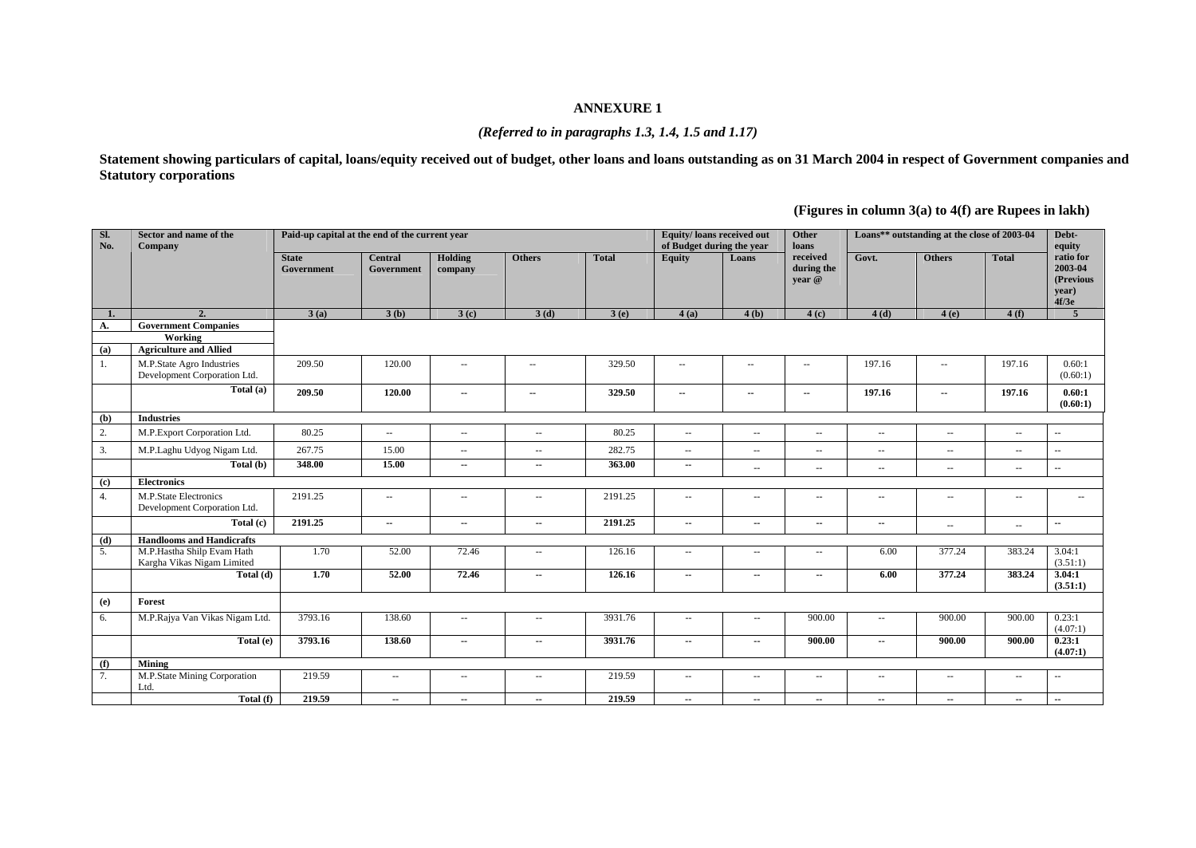#### **ANNEXURE 1**

#### *(Referred to in paragraphs 1.3, 1.4, 1.5 and 1.17)*

**Statement showing particulars of capital, loans/equity received out of budget, other loans and loans outstanding as on 31 March 2004 in respect of Government companies and Statutory corporations** 

**(Figures in column 3(a) to 4(f) are Rupees in lakh)** 

| Sl.<br>No.                  | Sector and name of the<br>Company                                       | Paid-up capital at the end of the current year |                              |                          |                          |              | Equity/loans received out<br>of Budget during the year |                          | Other<br>loans                   |                          | Loans** outstanding at the close of 2003-04 |                             | Debt-<br>equity                                     |
|-----------------------------|-------------------------------------------------------------------------|------------------------------------------------|------------------------------|--------------------------|--------------------------|--------------|--------------------------------------------------------|--------------------------|----------------------------------|--------------------------|---------------------------------------------|-----------------------------|-----------------------------------------------------|
|                             |                                                                         | <b>State</b><br>Government                     | <b>Central</b><br>Government | Holding<br>company       | <b>Others</b>            | <b>Total</b> | <b>Equity</b>                                          | Loans                    | received<br>during the<br>vear @ | Govt.                    | <b>Others</b>                               | <b>Total</b>                | ratio for<br>2003-04<br>(Previous<br>year)<br>4f/3e |
| 1.                          | $\overline{\mathcal{L}}$                                                | 3(a)                                           | 3(b)                         | 3(c)                     | 3(d)                     | 3(e)         | 4(a)                                                   | 4(b)                     | 4(c)                             | 4(d)                     | 4(e)                                        | 4(f)                        | 5 <sup>5</sup>                                      |
| А.<br>(a)                   | <b>Government Companies</b><br>Working<br><b>Agriculture and Allied</b> |                                                |                              |                          |                          |              |                                                        |                          |                                  |                          |                                             |                             |                                                     |
| 1.                          | M.P.State Agro Industries<br>Development Corporation Ltd.               | 209.50                                         | 120.00                       | $\sim$                   | $\sim$ $\sim$            | 329.50       | $\sim$ $\sim$                                          | $\overline{\phantom{a}}$ | $\sim$ $\sim$                    | 197.16                   | $\overline{\phantom{a}}$                    | 197.16                      | 0.60:1<br>(0.60:1)                                  |
|                             | Total (a)                                                               | 209.50                                         | 120.00                       | $\overline{\phantom{a}}$ | ۰.                       | 329.50       | ۰.                                                     | $\overline{\phantom{a}}$ | $\sim$                           | 197.16                   | --                                          | 197.16                      | 0.60:1<br>(0.60:1)                                  |
| (b)                         | <b>Industries</b>                                                       |                                                |                              |                          |                          |              |                                                        |                          |                                  |                          |                                             |                             |                                                     |
| 2.                          | M.P.Export Corporation Ltd.                                             | 80.25                                          | $\sim$ $\sim$                | $\sim$ $\sim$            | $\sim$ $\sim$            | 80.25        | $\sim$                                                 | $\sim$                   | $\sim$ $\sim$                    | $\sim$ $\sim$            | $\sim$ $\sim$                               | $\mathcal{L}_{\mathcal{A}}$ | $\sim$                                              |
| 3.                          | M.P.Laghu Udyog Nigam Ltd.                                              | 267.75                                         | 15.00                        | $\sim$ $\sim$            | $\sim$ $\sim$            | 282.75       | $\sim$ $\sim$                                          | $\sim$ $\sim$            | $\sim$                           | $\sim$ $\sim$            | $-$                                         | $\overline{\phantom{a}}$    | $\sim$ $\sim$                                       |
|                             | Total (b)                                                               | 348.00                                         | 15.00                        | $\overline{\phantom{a}}$ | $\overline{\phantom{a}}$ | 363.00       | $\overline{\phantom{a}}$                               | $\overline{\phantom{a}}$ | $\overline{\phantom{a}}$         | $\sim$ $\sim$            | $\sim$ $\sim$                               | $\mathcal{L}_{\mathcal{A}}$ | $\mathcal{L}_{\mathcal{A}}$                         |
| $\left( \mathbf{c} \right)$ | <b>Electronics</b>                                                      |                                                |                              |                          |                          |              |                                                        |                          |                                  |                          |                                             |                             |                                                     |
| 4.                          | <b>M.P.State Electronics</b><br>Development Corporation Ltd.            | 2191.25                                        | $\overline{\phantom{a}}$     | $\hspace{0.05cm} \ldots$ | $\overline{\phantom{a}}$ | 2191.25      | $\overline{\phantom{a}}$                               | $\overline{a}$           | $\hspace{0.05cm} -$              | $\hspace{0.05cm} \ldots$ | $\sim$ $\sim$                               | $\overline{\phantom{a}}$    | $\sim$ $-$                                          |
|                             | Total (c)                                                               | 2191.25                                        | $\sim$                       | --                       | --                       | 2191.25      | $\overline{\phantom{a}}$                               | $\overline{\phantom{a}}$ | $\overline{\phantom{a}}$         | $\overline{\phantom{a}}$ | $\sim$ $\sim$                               | $\overline{\phantom{a}}$    | $\mathbf{u}$                                        |
| (d)                         | <b>Handlooms and Handicrafts</b>                                        |                                                |                              |                          |                          |              |                                                        |                          |                                  |                          |                                             |                             |                                                     |
| 5.                          | M.P.Hastha Shilp Evam Hath<br>Kargha Vikas Nigam Limited                | 1.70                                           | 52.00                        | 72.46                    | $\sim$ $\sim$            | 126.16       | $\sim$ $\sim$                                          | $\sim$ $\sim$            | $\sim$                           | 6.00                     | 377.24                                      | 383.24                      | 3.04:1<br>(3.51:1)                                  |
|                             | Total (d)                                                               | 1.70                                           | 52.00                        | 72.46                    | $\overline{\phantom{a}}$ | 126.16       | $\overline{\phantom{a}}$                               | ۰.                       | $\overline{\phantom{a}}$         | 6.00                     | 377.24                                      | 383.24                      | 3.04:1<br>(3.51:1)                                  |
| (e)                         | Forest                                                                  |                                                |                              |                          |                          |              |                                                        |                          |                                  |                          |                                             |                             |                                                     |
| 6.                          | M.P.Rajya Van Vikas Nigam Ltd.                                          | 3793.16                                        | 138.60                       | $\sim$ $\sim$            | $\sim$ $\sim$            | 3931.76      | $\sim$ $\sim$                                          | $\sim$ $-$               | 900.00                           | $\sim$ $\sim$            | 900.00                                      | 900.00                      | 0.23:1<br>(4.07:1)                                  |
|                             | Total (e)                                                               | 3793.16                                        | 138.60                       | $\overline{\phantom{a}}$ | $\sim$                   | 3931.76      | $\sim$                                                 | $\overline{\phantom{a}}$ | 900.00                           | $\overline{\phantom{a}}$ | 900.00                                      | 900.00                      | 0.23:1<br>(4.07:1)                                  |
| (f)                         | Mining                                                                  |                                                |                              |                          |                          |              |                                                        |                          |                                  |                          |                                             |                             |                                                     |
| 7.                          | M.P.State Mining Corporation<br>Ltd.                                    | 219.59                                         | $\sim$ $\sim$                | $\sim$ $\sim$            | $\sim$ $\sim$            | 219.59       | $\sim$ $\sim$                                          | $\frac{1}{2}$            | $\sim$ $\sim$                    | $\sim$ $\sim$            | $\sim$                                      | $\sim$                      | $\sim$                                              |
|                             | Total (f)                                                               | 219.59                                         | $\overline{\phantom{a}}$     | $\overline{\phantom{a}}$ | $\overline{\phantom{a}}$ | 219.59       | $\overline{\phantom{a}}$                               | ۰.                       | ۰.                               | $\overline{\phantom{a}}$ | $\overline{\phantom{a}}$                    | $\overline{\phantom{a}}$    | $\overline{\phantom{a}}$                            |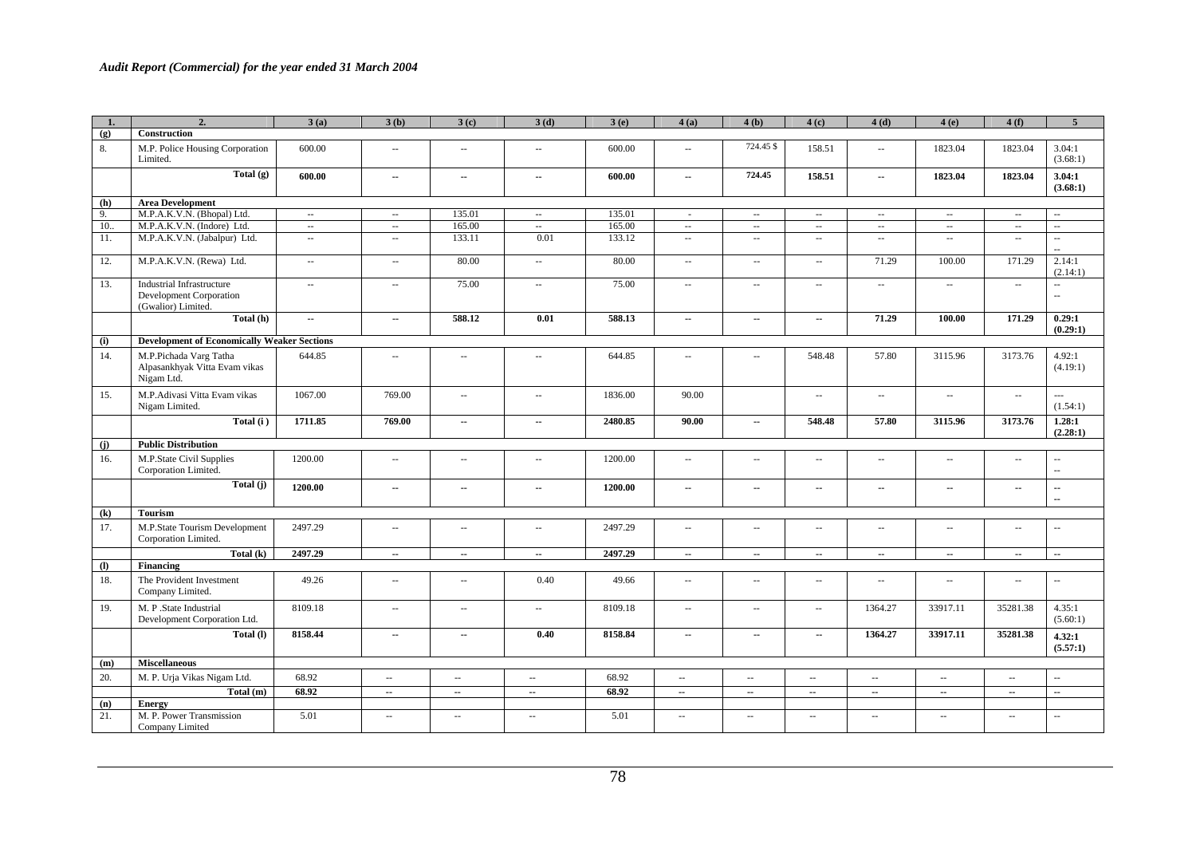| 1.         | $\overline{2}$                                                                    | 3(a)                        | 3(b)                        | 3(c)                        | 3(d)                        | 3(e)    | 4(a)                        | 4(b)                        | 4(c)                                          | 4(d)                        | 4(e)                        | 4(f)                     | 5 <sup>5</sup>                 |
|------------|-----------------------------------------------------------------------------------|-----------------------------|-----------------------------|-----------------------------|-----------------------------|---------|-----------------------------|-----------------------------|-----------------------------------------------|-----------------------------|-----------------------------|--------------------------|--------------------------------|
| (g)        | Construction                                                                      |                             |                             |                             |                             |         |                             |                             |                                               |                             |                             |                          |                                |
| 8.         | M.P. Police Housing Corporation<br>Limited.                                       | 600.00                      | $\mathcal{L}_{\mathcal{A}}$ | $\sim$                      | $\overline{a}$              | 600.00  | $\mathbb{Z}^{\mathbb{Z}}$   | 724.45 \$                   | 158.51                                        | $\sim$ $\sim$               | 1823.04                     | 1823.04                  | 3.04:1<br>(3.68:1)             |
|            | Total $(g)$                                                                       | 600.00                      | $\sim$                      | ۰.                          | ٠.                          | 600.00  | ۰.                          | 724.45                      | 158.51                                        | $\sim$                      | 1823.04                     | 1823.04                  | 3.04:1<br>(3.68:1)             |
| (h)        | <b>Area Development</b>                                                           |                             |                             |                             |                             |         |                             |                             |                                               |                             |                             |                          |                                |
| 9.         | M.P.A.K.V.N. (Bhopal) Ltd.                                                        | $\sim$                      | $\sim$                      | 135.01                      | $\sim$                      | 135.01  | $\sim$                      | $\sim$                      | $\overline{\phantom{a}}$                      | $\sim$                      | $\sim$                      | $\sim$                   | ÷.                             |
| 10.        | M.P.A.K.V.N. (Indore) Ltd.                                                        | $\sim$                      | $\sim$                      | 165.00                      | $\sim$                      | 165.00  | $\sim$                      | $\sim$                      | $\mathbb{H}^2$                                | $\sim$                      | $\sim$                      | $\sim$                   | цý,                            |
| 11.        | M.P.A.K.V.N. (Jabalpur) Ltd.                                                      | $\mathcal{L}_{\mathcal{A}}$ | $\sim$                      | 133.11                      | 0.01                        | 133.12  | $\mathcal{L}_{\mathcal{A}}$ | $\mathbb{L}^2$              | $\mathcal{L}_{\mathcal{A}}$                   | $\mathcal{L}_{\mathcal{A}}$ | $\mathcal{L}_{\mathcal{A}}$ | $\sim$                   | ω.<br>$\sim$                   |
| 12.        | M.P.A.K.V.N. (Rewa) Ltd.                                                          | $\sim$                      | $\sim$                      | 80.00                       | $\sim$                      | 80.00   | $\sim$                      | $\sim$                      | $\sim$                                        | 71.29                       | 100.00                      | 171.29                   | 2.14:1<br>(2.14:1)             |
| 13.        | <b>Industrial Infrastructure</b><br>Development Corporation<br>(Gwalior) Limited. | $\sim$                      | $\sim$                      | 75.00                       | $\mathcal{L}_{\mathcal{A}}$ | 75.00   | $\mathcal{L}_{\mathcal{A}}$ | $\sim$                      | $\mathcal{L}_{\mathcal{A}}$                   | $\sim$ $\sim$               | $\sim$                      | $\sim$                   | L.<br>$\overline{\phantom{a}}$ |
|            | Total (h)                                                                         | ۰.                          | $\overline{\phantom{a}}$    | 588.12                      | 0.01                        | 588.13  | $\overline{\phantom{a}}$    | --                          | --                                            | 71.29                       | 100.00                      | 171.29                   | 0.29:1<br>(0.29:1)             |
| (i)        | <b>Development of Economically Weaker Sections</b>                                |                             |                             |                             |                             |         |                             |                             |                                               |                             |                             |                          |                                |
| 14.        | M.P.Pichada Varg Tatha<br>Alpasankhyak Vitta Evam vikas<br>Nigam Ltd.             | 644.85                      | $\mathcal{L}_{\mathcal{F}}$ | $\sim$                      | $\sim$                      | 644.85  | $\mathcal{L}_{\mathcal{F}}$ | $\sim$ $\sim$               | 548.48                                        | 57.80                       | 3115.96                     | 3173.76                  | 4.92:1<br>(4.19:1)             |
| 15.        | M.P.Adivasi Vitta Evam vikas<br>Nigam Limited.                                    | 1067.00                     | 769.00                      | $\sim$                      | $\sim$ $\sim$               | 1836.00 | 90.00                       |                             | $\sim$                                        | $\overline{\phantom{a}}$    | $\sim$                      | $\sim$                   | $\overline{a}$<br>(1.54:1)     |
|            | Total (i)                                                                         | 1711.85                     | 769.00                      | $\overline{\phantom{a}}$    | $\mathbf{u}$                | 2480.85 | 90.00                       | ۰.                          | 548.48                                        | 57.80                       | 3115.96                     | 3173.76                  | 1.28:1<br>(2.28:1)             |
| (i)        | <b>Public Distribution</b>                                                        |                             |                             |                             |                             |         |                             |                             |                                               |                             |                             |                          |                                |
| 16.        | M.P.State Civil Supplies<br>Corporation Limited.                                  | 1200.00                     | $\sim$                      | $\sim$ $\sim$               | $\mathbb{L}^{\mathbb{L}}$   | 1200.00 | $\sim$                      | $\mathcal{L}_{\mathcal{F}}$ | $\sim$                                        | $\sim$                      | $\sim$                      | $\sim$                   | $\sim$<br>$\mathbf{u}$         |
|            | Total (j)                                                                         | 1200.00                     | ۰.                          | --                          | --                          | 1200.00 | −−                          | ۰.                          | --                                            | $\overline{\phantom{a}}$    | $\overline{\phantom{a}}$    | --                       | --<br>--                       |
| (k)        | <b>Tourism</b>                                                                    |                             |                             |                             |                             |         |                             |                             |                                               |                             |                             |                          |                                |
| 17.        | M.P.State Tourism Development<br>Corporation Limited.                             | 2497.29                     | $\sim$                      | $\sim$                      | $\mathbb{Z}^{\mathbb{Z}}$   | 2497.29 | $\sim$                      | $\sim$                      | $\sim$                                        | $\sim$                      | $\sim$                      | $\sim$ $\sim$            | $\mathbb{L}^{\mathbb{L}}$      |
|            | Total $(k)$                                                                       | 2497.29                     | $\sim$                      | $\sim$                      | $\overline{\phantom{a}}$    | 2497.29 | $\overline{\phantom{a}}$    | $\overline{\phantom{a}}$    | $\overline{\phantom{a}}$                      | $\overline{\phantom{a}}$    | $\sim$                      | $\sim$                   | ۰.                             |
| <b>(I)</b> | Financing                                                                         |                             |                             |                             |                             |         |                             |                             |                                               |                             |                             |                          |                                |
| 18.        | The Provident Investment<br>Company Limited.                                      | 49.26                       | $\mathcal{L}_{\mathcal{A}}$ | $\mathcal{L}_{\mathcal{F}}$ | 0.40                        | 49.66   | $\sim$                      | $\mathcal{L}_{\mathcal{F}}$ | $\sim$                                        | $\sim$                      | $\sim$ $\sim$               | $\sim$ $\sim$            | $\overline{\phantom{a}}$       |
| 19.        | M. P .State Industrial<br>Development Corporation Ltd.                            | 8109.18                     | $\sim$                      | ÷.                          | $\mathbb{Z}^2$              | 8109.18 | $\mathcal{L}_{\mathcal{A}}$ | Ξ.                          | $\mathbb{L}^{\mathbb{L}}$                     | 1364.27                     | 33917.11                    | 35281.38                 | 4.35:1<br>(5.60:1)             |
|            | Total (I)                                                                         | 8158.44                     | $\sim$                      | $\overline{\phantom{a}}$    | 0.40                        | 8158.84 | $\overline{\phantom{a}}$    | ۰.                          | $\overline{\phantom{a}}$                      | 1364.27                     | 33917.11                    | 35281.38                 | 4.32:1<br>(5.57:1)             |
| (m)        | <b>Miscellaneous</b>                                                              |                             |                             |                             |                             |         |                             |                             |                                               |                             |                             |                          |                                |
| 20.        | M. P. Urja Vikas Nigam Ltd.                                                       | 68.92                       | $\mathcal{L}_{\mathcal{F}}$ | $\sim$ $\sim$               | $\mathcal{L}_{\mathcal{F}}$ | 68.92   | $\overline{\phantom{a}}$    | $\overline{a}$              | $\mathord{\hspace{1pt}\text{--}\hspace{1pt}}$ | ÷.                          | $\sim$ $\sim$               | $\sim$ $\sim$            | $\sim$                         |
|            | Total (m)                                                                         | 68.92                       | $\sim$                      | $\overline{\phantom{a}}$    | $\overline{\phantom{a}}$    | 68.92   | $\overline{\phantom{a}}$    | $\overline{\phantom{a}}$    | $\overline{\phantom{a}}$                      | $\sim$                      | $\sim$                      | $\overline{\phantom{a}}$ | $\overline{\phantom{a}}$       |
| (n)        | <b>Energy</b>                                                                     |                             |                             |                             |                             |         |                             |                             |                                               |                             |                             |                          |                                |
| 21.        | M. P. Power Transmission<br>Company Limited                                       | 5.01                        | $\sim$                      | $\mathbb{L}^{\mathbb{L}}$   | $\sim$                      | 5.01    | $\sim$                      | $\mathcal{L}_{\mathcal{F}}$ | $\mathbb{L}^{\mathbb{L}}$                     | $\sim$                      | $\sim$                      | $\sim$                   | $\overline{\phantom{a}}$       |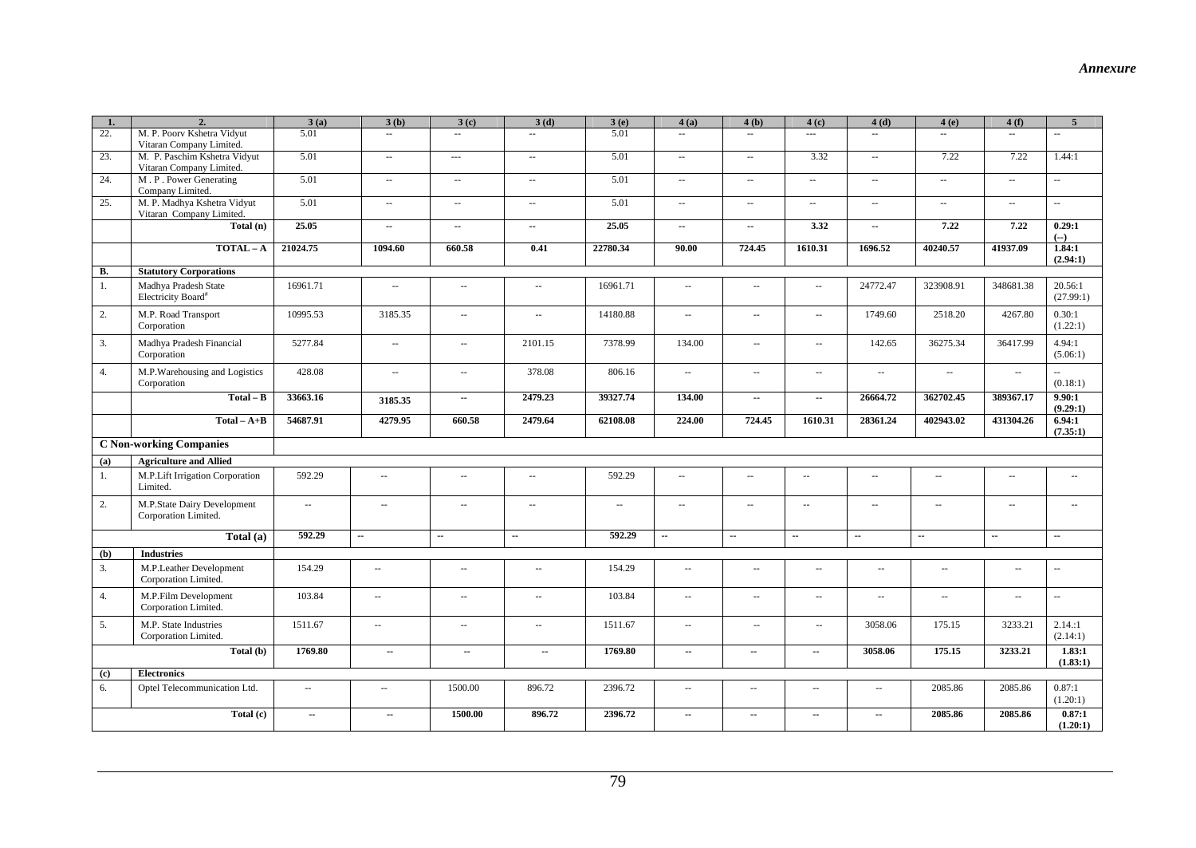| $\mathbf{1}$                | $\overline{2}$ .                                         | 3(a)                     | 3(b)                                          | 3(c)                        | 3(d)                        | 3(e)                     | 4(a)                        | 4(b)                        | 4(c)                        | 4(d)                                          | 4(e)                      | 4(f)                                          | $\overline{5}$              |
|-----------------------------|----------------------------------------------------------|--------------------------|-----------------------------------------------|-----------------------------|-----------------------------|--------------------------|-----------------------------|-----------------------------|-----------------------------|-----------------------------------------------|---------------------------|-----------------------------------------------|-----------------------------|
| 22.                         | M. P. Poorv Kshetra Vidyut                               | 5.01                     | $\omega_{\rm{m}}$                             | $\omega_{\rm{m}}$           | $\sim$                      | 5.01                     | $\sim$                      | $\sim$                      | $\sim$ $\sim$               | $\mathbf{r}$                                  | ω.                        | $\mathbf{r}$                                  | $\sim$                      |
|                             | Vitaran Company Limited.                                 |                          |                                               |                             |                             |                          |                             |                             |                             |                                               |                           |                                               |                             |
| 23.                         | M. P. Paschim Kshetra Vidyut<br>Vitaran Company Limited. | 5.01                     | $\mathbb{Z}^{\mathbb{Z}}$                     | $\sim$                      | $\sim$                      | 5.01                     | $\mathcal{L}_{\mathcal{A}}$ | $\mathcal{L}_{\mathcal{A}}$ | 3.32                        | $\mathcal{L}_{\mathcal{F}}$                   | 7.22                      | 7.22                                          | 1.44:1                      |
| 24.                         | M.P. Power Generating<br>Company Limited.                | 5.01                     | $\mathbb{L}^2$                                | $\mathcal{L}_{\mathcal{F}}$ | $\sim$                      | 5.01                     | $\sim$                      | $\mathcal{L} = \mathcal{L}$ | $\mathbb{L} \mathbb{L}$     | $\mathcal{L}_{\mathcal{A}}$                   | $\mathbb{Z}^{\mathbb{Z}}$ | ω.                                            | u.                          |
| 25.                         | M. P. Madhya Kshetra Vidyut<br>Vitaran Company Limited.  | 5.01                     | $\sim$                                        | $\sim$                      | $\sim$                      | 5.01                     | $\sim$                      | $\sim$                      | $\sim$ $\sim$               | $\mathcal{L}_{\mathcal{A}}$                   | $\sim$                    | ω.                                            | ω.                          |
|                             | Total (n)                                                | 25.05                    | $\overline{\phantom{a}}$                      | $\overline{\phantom{a}}$    | $\sim$                      | 25.05                    | $\overline{\phantom{a}}$    | $\overline{\phantom{a}}$    | 3.32                        | $\overline{\phantom{a}}$                      | 7.22                      | 7.22                                          | 0.29:1<br>$(--)$            |
|                             | $\overline{TOTAL - A}$                                   | 21024.75                 | 1094.60                                       | 660.58                      | 0.41                        | 22780.34                 | 90.00                       | 724.45                      | 1610.31                     | 1696.52                                       | 40240.57                  | 41937.09                                      | 1.84:1<br>(2.94:1)          |
| <b>B.</b>                   | <b>Statutory Corporations</b>                            |                          |                                               |                             |                             |                          |                             |                             |                             |                                               |                           |                                               |                             |
| 1.                          | Madhya Pradesh State<br>Electricity Board <sup>#</sup>   | 16961.71                 | $\mathord{\hspace{1pt}\text{--}\hspace{1pt}}$ | $\sim$ $\sim$               | $\mathcal{L}_{\mathcal{A}}$ | 16961.71                 | $\sim$                      | $\mathcal{L}_{\mathcal{A}}$ | $\overline{\phantom{a}}$    | 24772.47                                      | 323908.91                 | 348681.38                                     | 20.56:1<br>(27.99:1)        |
| 2.                          | M.P. Road Transport<br>Corporation                       | 10995.53                 | 3185.35                                       | $\sim$ $\sim$               | $\bar{\phantom{a}}$         | 14180.88                 | $\sim$                      | $\sim$                      | $\overline{\phantom{a}}$    | 1749.60                                       | 2518.20                   | 4267.80                                       | 0.30:1<br>(1.22:1)          |
| 3.                          | Madhya Pradesh Financial<br>Corporation                  | 5277.84                  | $\mathord{\hspace{1pt}\text{--}\hspace{1pt}}$ | $\sim$                      | 2101.15                     | 7378.99                  | 134.00                      | $\sim$                      | ω.                          | 142.65                                        | 36275.34                  | 36417.99                                      | 4.94:1<br>(5.06:1)          |
| 4.                          | M.P.Warehousing and Logistics<br>Corporation             | 428.08                   | $\mathbb{Z}^{\mathbb{Z}}$                     | $\sim$ $\sim$               | 378.08                      | 806.16                   | $\mathcal{L}_{\mathcal{A}}$ | $\sim$                      | $\overline{\phantom{a}}$    | $\mathcal{L}_{\mathcal{A}}$                   | $\sim$                    | $\sim$ $\sim$                                 | $\sim$<br>(0.18:1)          |
|                             | $Total - B$                                              | 33663.16                 | 3185.35                                       | $\overline{\phantom{a}}$    | 2479.23                     | 39327.74                 | 134.00                      | $\sim$                      | $\overline{\phantom{a}}$    | 26664.72                                      | 362702.45                 | 389367.17                                     | 9.90:1<br>(9.29:1)          |
|                             | $Total - A+B$                                            | 54687.91                 | 4279.95                                       | 660.58                      | 2479.64                     | 62108.08                 | 224.00                      | 724.45                      | 1610.31                     | 28361.24                                      | 402943.02                 | 431304.26                                     | 6.94:1<br>(7.35:1)          |
|                             | <b>C Non-working Companies</b>                           |                          |                                               |                             |                             |                          |                             |                             |                             |                                               |                           |                                               |                             |
| (a)                         | <b>Agriculture and Allied</b>                            |                          |                                               |                             |                             |                          |                             |                             |                             |                                               |                           |                                               |                             |
| 1.                          | M.P.Lift Irrigation Corporation<br>Limited.              | 592.29                   | $\sim$ $\sim$                                 | $\sim$ $\sim$               | $\mathcal{L}_{\mathcal{A}}$ | 592.29                   | $\overline{\phantom{a}}$    | $\overline{\phantom{a}}$    | $\mathcal{L} = \mathcal{L}$ | $\mathbb{L}^{\mathbb{L}}$                     | $\sim$ $\sim$             | $\mathcal{L}_{\mathcal{F}}$                   | $\sim$                      |
| 2.                          | M.P.State Dairy Development<br>Corporation Limited.      | $\sim$                   | $\sim$ $\sim$                                 | $\sim$                      | $\sim$                      | $\overline{\phantom{a}}$ | $\sim$                      | $\mathcal{L}_{\mathcal{F}}$ | $\overline{\phantom{a}}$    | $\sim$                                        | $\overline{\phantom{a}}$  | $\overline{\phantom{a}}$                      | $\sim$                      |
|                             | Total (a)                                                | 592.29                   | $\overline{\phantom{a}}$                      | $\overline{\phantom{a}}$    | $\overline{\phantom{a}}$    | 592.29                   | $\overline{\phantom{a}}$    | $\overline{\phantom{a}}$    | $\overline{\phantom{a}}$    | $\overline{\phantom{a}}$                      | $\overline{\phantom{a}}$  | $\overline{\phantom{a}}$                      | $\overline{\phantom{a}}$    |
|                             |                                                          |                          |                                               |                             |                             |                          |                             |                             |                             |                                               |                           |                                               |                             |
| (b)                         | <b>Industries</b>                                        |                          |                                               |                             |                             |                          |                             |                             |                             |                                               |                           |                                               |                             |
| 3.                          | M.P.Leather Development<br>Corporation Limited.          | 154.29                   | $\sim$                                        | $\sim$                      | $\sim$ $\sim$               | 154.29                   | $\sim$                      | $\overline{\phantom{a}}$    | $\sim$ $\sim$               | $\sim$ $\sim$                                 | $\sim$ $\sim$             | $\mathord{\hspace{1pt}\text{--}\hspace{1pt}}$ | $\mathcal{L}_{\mathcal{F}}$ |
| 4.                          | M.P.Film Development<br>Corporation Limited.             | 103.84                   | $\sim$                                        | $\bar{\phantom{a}}$         | $\sim$                      | 103.84                   | $\sim$                      | $\sim$                      | $\overline{\phantom{a}}$    | $\mathord{\hspace{1pt}\text{--}\hspace{1pt}}$ | $\sim$                    | $\overline{\phantom{a}}$                      | ÷,                          |
| 5.                          | M.P. State Industries<br>Corporation Limited.            | 1511.67                  | u.                                            | $\sim$ $\sim$               | $\sim$                      | 1511.67                  | $\sim$ $\sim$               | $\sim$                      | $\sim$ $\sim$               | 3058.06                                       | 175.15                    | 3233.21                                       | 2.14:1<br>(2.14:1)          |
|                             | Total (b)                                                | 1769.80                  | $\overline{\phantom{a}}$                      | $\overline{\phantom{a}}$    | $\overline{\phantom{a}}$    | 1769.80                  | $\overline{\phantom{a}}$    | ۰.                          | $\overline{\phantom{a}}$    | 3058.06                                       | 175.15                    | 3233.21                                       | 1.83:1<br>(1.83:1)          |
| $\left( \mathbf{c} \right)$ | <b>Electronics</b>                                       |                          |                                               |                             |                             |                          |                             |                             |                             |                                               |                           |                                               |                             |
| 6.                          | Optel Telecommunication Ltd.                             | $\sim$                   | $\sim$                                        | 1500.00                     | 896.72                      | 2396.72                  | $\sim$                      | $\overline{\phantom{a}}$    | $\sim$                      | $\sim$                                        | 2085.86                   | 2085.86                                       | 0.87:1<br>(1.20:1)          |
|                             | Total (c)                                                | $\overline{\phantom{a}}$ | $\overline{\phantom{a}}$                      | 1500.00                     | 896.72                      | 2396.72                  | $\sim$                      | ۰.                          | --                          | $\overline{\phantom{a}}$                      | 2085.86                   | 2085.86                                       | 0.87:1<br>(1.20:1)          |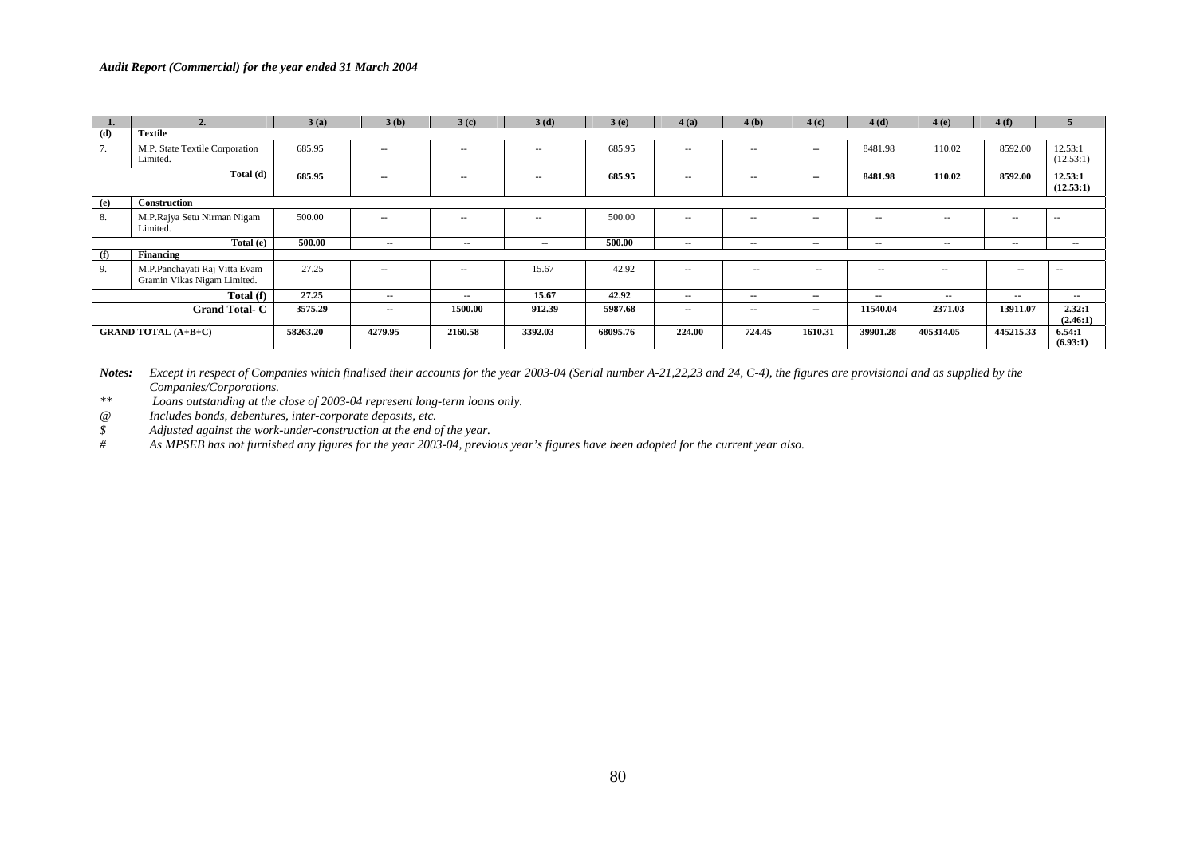|     |                                                              | 3(a)     | 3(b)          | 3(c)          | 3(d)          | 3(e)     | 4(a)                     | 4(b)          | 4(c)                     | 4(d)          | 4(e)          | 4(f)       |                      |
|-----|--------------------------------------------------------------|----------|---------------|---------------|---------------|----------|--------------------------|---------------|--------------------------|---------------|---------------|------------|----------------------|
| (d) | <b>Textile</b>                                               |          |               |               |               |          |                          |               |                          |               |               |            |                      |
| 7.  | M.P. State Textile Corporation<br>Limited.                   | 685.95   | $\sim$ $\sim$ | $\sim$ $\sim$ | $\sim$ $\sim$ | 685.95   | $-$                      | $\sim$ $\sim$ | $-$                      | 8481.98       | 110.02        | 8592.00    | 12.53:1<br>(12.53:1) |
|     | Total (d)                                                    | 685.95   | $\sim$        | $\sim$        | $- -$         | 685.95   | $\sim$ $\sim$            | $\sim$ $\sim$ | $\sim$                   | 8481.98       | 110.02        | 8592.00    | 12.53:1<br>(12.53:1) |
| (e) | Construction                                                 |          |               |               |               |          |                          |               |                          |               |               |            |                      |
| 8.  | M.P.Rajya Setu Nirman Nigam<br>Limited.                      | 500.00   | $\sim$ $\sim$ | $\sim$ $\sim$ | $\sim 100$    | 500.00   | $\sim$ $\sim$            | $\sim$ $\sim$ | $- -$                    | $\sim$ $-$    | $\frac{1}{2}$ | $\cdots$   | $-$                  |
|     | Total (e)                                                    | 500.00   | $\sim$        | $\sim$        | $- -$         | 500.00   | $- -$                    | $- -$         | $- -$                    | $\sim$ $\sim$ | --            | --         | $\sim$               |
| (f) | Financing                                                    |          |               |               |               |          |                          |               |                          |               |               |            |                      |
| 9.  | M.P.Panchayati Raj Vitta Evam<br>Gramin Vikas Nigam Limited. | 27.25    | $\sim$ $\sim$ | $\sim$ $\sim$ | 15.67         | 42.92    | $\overline{\phantom{m}}$ | $\sim$        | $\overline{\phantom{m}}$ | $\sim$ $\sim$ | $\sim$ $\sim$ | $\sim$ $-$ | $\sim$ $-$           |
|     | Total (f)                                                    | 27.25    | $\sim$ $\sim$ | $\sim$        | 15.67         | 42.92    | $- -$                    | $- -$         | $- -$                    | $\sim$ $\sim$ | $\sim$ $-$    | $- -$      | $\sim$               |
|     | <b>Grand Total-C</b>                                         | 3575.29  | $\sim$ $\sim$ | 1500.00       | 912.39        | 5987.68  | $- -$                    | $\sim$ $\sim$ | $\sim$                   | 11540.04      | 2371.03       | 13911.07   | 2.32:1<br>(2.46:1)   |
|     | <b>GRAND TOTAL (A+B+C)</b>                                   | 58263.20 | 4279.95       | 2160.58       | 3392.03       | 68095.76 | 224.00                   | 724.45        | 1610.31                  | 39901.28      | 405314.05     | 445215.33  | 6.54:1<br>(6.93:1)   |

*Notes: Except in respect of Companies which finalised their accounts for the year 2003-04 (Serial number A-21,22,23 and 24, C-4), the figures are provisional and as supplied by the Companies/Corporations.* 

*\*\* Loans outstanding at the close of 2003-04 represent long-term loans only.* 

*@ Includes bonds, debentures, inter-corporate deposits, etc.* 

*\$ Adjusted against the work-under-construction at the end of the year.* 

*# As MPSEB has not furnished any figures for the year 2003-04, previous year's figures have been adopted for the current year also.*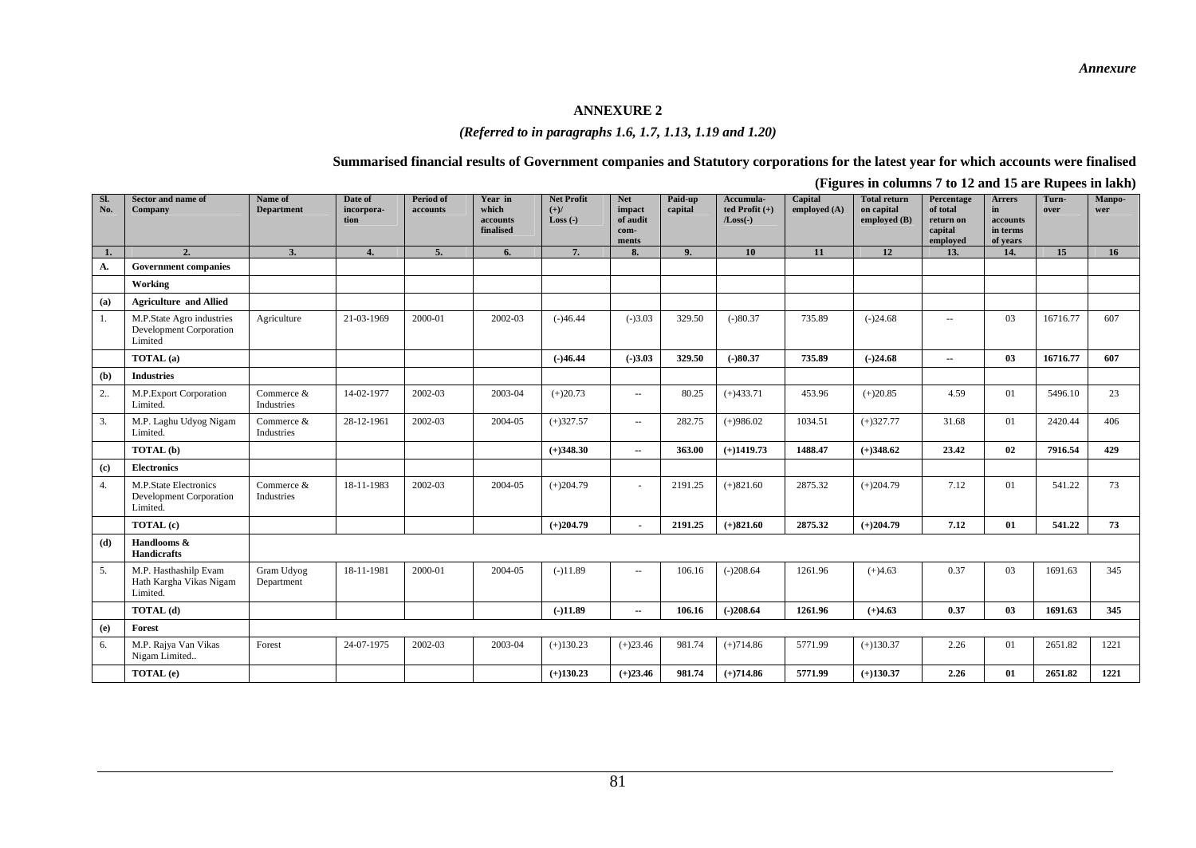#### **ANNEXURE 2**

## *(Referred to in paragraphs 1.6, 1.7, 1.13, 1.19 and 1.20)*

#### **Summarised financial results of Government companies and Statutory corporations for the latest year for which accounts were finalised**

| Sl.<br>No. | <b>Sector and name of</b><br>Company                                   | Name of<br><b>Department</b> | Date of<br>incorpora-<br>tion | <b>Period of</b><br>accounts | Year in<br>which<br>accounts<br>finalised | <b>Net Profit</b><br>$(+)/$<br>$Loss(-)$ | <b>Net</b><br>impact<br>of audit<br>com-<br>ments | Paid-up<br>capital | Accumula-<br>ted Profit $(+)$<br>$/Loss(-)$ | o<br>Capital<br>employed (A) | <b>Total return</b><br>on capital<br>employed (B) | Percentage<br>of total<br>return on<br>capital<br>emploved | <b>Arrers</b><br>in<br>accounts<br>in terms<br>of vears | Turn-<br>over | Manpo-<br>wer |
|------------|------------------------------------------------------------------------|------------------------------|-------------------------------|------------------------------|-------------------------------------------|------------------------------------------|---------------------------------------------------|--------------------|---------------------------------------------|------------------------------|---------------------------------------------------|------------------------------------------------------------|---------------------------------------------------------|---------------|---------------|
| 1.         | 2.                                                                     | 3.                           | 4.                            | 5.                           | 6.                                        | 7.                                       | 8.                                                | 9.                 | 10                                          | 11                           | 12                                                | 13.                                                        | 14.                                                     | 15            | 16            |
| А.         | <b>Government companies</b>                                            |                              |                               |                              |                                           |                                          |                                                   |                    |                                             |                              |                                                   |                                                            |                                                         |               |               |
|            | Working                                                                |                              |                               |                              |                                           |                                          |                                                   |                    |                                             |                              |                                                   |                                                            |                                                         |               |               |
| (a)        | <b>Agriculture and Allied</b>                                          |                              |                               |                              |                                           |                                          |                                                   |                    |                                             |                              |                                                   |                                                            |                                                         |               |               |
| 1.         | M.P.State Agro industries<br><b>Development Corporation</b><br>Limited | Agriculture                  | 21-03-1969                    | 2000-01                      | 2002-03                                   | $(-)46.44$                               | $(-)3.03$                                         | 329.50             | $(-)80.37$                                  | 735.89                       | $(-)24.68$                                        | $\sim$                                                     | 03                                                      | 16716.77      | 607           |
|            | TOTAL (a)                                                              |                              |                               |                              |                                           | $(-)46.44$                               | $(-)3.03$                                         | 329.50             | $(-)80.37$                                  | 735.89                       | $(-)24.68$                                        | $\overline{\phantom{a}}$                                   | 03                                                      | 16716.77      | 607           |
| (b)        | <b>Industries</b>                                                      |                              |                               |                              |                                           |                                          |                                                   |                    |                                             |                              |                                                   |                                                            |                                                         |               |               |
| 2          | M.P.Export Corporation<br>Limited.                                     | Commerce &<br>Industries     | 14-02-1977                    | 2002-03                      | 2003-04                                   | $(+)20.73$                               | $\sim$ $\sim$                                     | 80.25              | $(+)433.71$                                 | 453.96                       | $(+)20.85$                                        | 4.59                                                       | 01                                                      | 5496.10       | 23            |
| 3.         | M.P. Laghu Udyog Nigam<br>Limited.                                     | Commerce &<br>Industries     | 28-12-1961                    | 2002-03                      | 2004-05                                   | $(+)327.57$                              | $\sim$                                            | 282.75             | $(+)986.02$                                 | 1034.51                      | $(+)327.77$                                       | 31.68                                                      | 01                                                      | 2420.44       | 406           |
|            | TOTAL (b)                                                              |                              |                               |                              |                                           | $(+)348.30$                              | $\overline{\phantom{a}}$                          | 363.00             | $(+)1419.73$                                | 1488.47                      | $(+)348.62$                                       | 23.42                                                      | 02                                                      | 7916.54       | 429           |
| (c)        | <b>Electronics</b>                                                     |                              |                               |                              |                                           |                                          |                                                   |                    |                                             |                              |                                                   |                                                            |                                                         |               |               |
| 4.         | M.P.State Electronics<br><b>Development Corporation</b><br>Limited.    | Commerce &<br>Industries     | 18-11-1983                    | 2002-03                      | 2004-05                                   | $(+)204.79$                              | $\sim$                                            | 2191.25            | $(+)821.60$                                 | 2875.32                      | $(+)204.79$                                       | 7.12                                                       | 01                                                      | 541.22        | 73            |
|            | TOTAL (c)                                                              |                              |                               |                              |                                           | $(+)204.79$                              |                                                   | 2191.25            | $(+)821.60$                                 | 2875.32                      | $(+)204.79$                                       | 7.12                                                       | 01                                                      | 541.22        | 73            |
| (d)        | Handlooms &<br>Handicrafts                                             |                              |                               |                              |                                           |                                          |                                                   |                    |                                             |                              |                                                   |                                                            |                                                         |               |               |
| 5.         | M.P. Hasthashilp Evam<br>Hath Kargha Vikas Nigam<br>Limited.           | Gram Udyog<br>Department     | 18-11-1981                    | 2000-01                      | 2004-05                                   | $(-)11.89$                               | $\sim$ $\sim$                                     | 106.16             | $(-)208.64$                                 | 1261.96                      | $(+)4.63$                                         | 0.37                                                       | 03                                                      | 1691.63       | 345           |
|            | TOTAL (d)                                                              |                              |                               |                              |                                           | $(-)11.89$                               | $\sim$                                            | 106.16             | $(-)208.64$                                 | 1261.96                      | $(+)4.63$                                         | 0.37                                                       | 03                                                      | 1691.63       | 345           |
| (e)        | Forest                                                                 |                              |                               |                              |                                           |                                          |                                                   |                    |                                             |                              |                                                   |                                                            |                                                         |               |               |
| 6.         | M.P. Rajya Van Vikas<br>Nigam Limited                                  | Forest                       | 24-07-1975                    | 2002-03                      | 2003-04                                   | $(+)130.23$                              | $(+)23.46$                                        | 981.74             | $(+)714.86$                                 | 5771.99                      | $(+)130.37$                                       | 2.26                                                       | 01                                                      | 2651.82       | 1221          |
|            | TOTAL (e)                                                              |                              |                               |                              |                                           | $(+)130.23$                              | $(+)23.46$                                        | 981.74             | $(+)714.86$                                 | 5771.99                      | $(+)130.37$                                       | 2.26                                                       | 01                                                      | 2651.82       | 1221          |

**(Figures in columns 7 to 12 and 15 are Rupees in lakh)**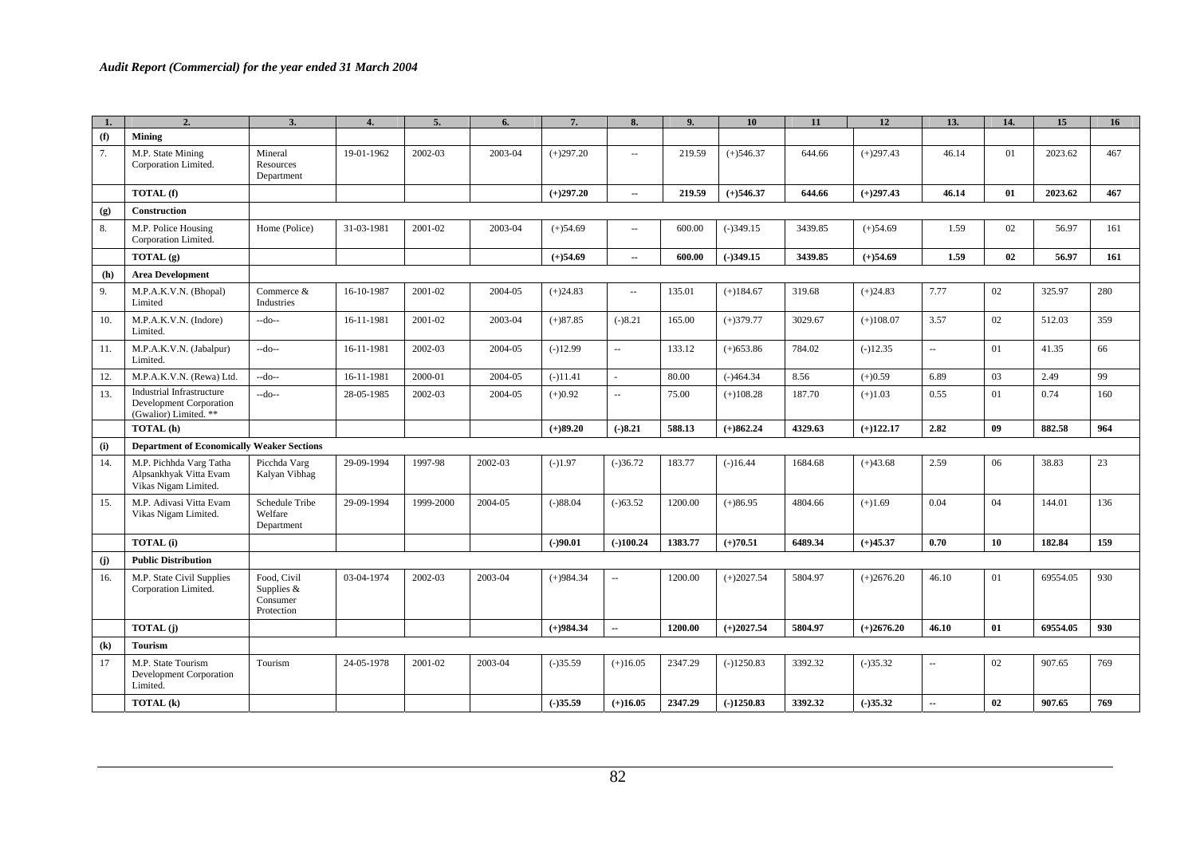| 1.                         | 2.                                                                                   | 3.                                                  | 4.         | 5.        | 6.      | 7.          | 8.                          | 9.      | 10           | 11      | 12           | 13.                      | 14. | 15       | 16  |
|----------------------------|--------------------------------------------------------------------------------------|-----------------------------------------------------|------------|-----------|---------|-------------|-----------------------------|---------|--------------|---------|--------------|--------------------------|-----|----------|-----|
| (f)                        | <b>Mining</b>                                                                        |                                                     |            |           |         |             |                             |         |              |         |              |                          |     |          |     |
| 7.                         | M.P. State Mining<br>Corporation Limited.                                            | Mineral<br>Resources<br>Department                  | 19-01-1962 | 2002-03   | 2003-04 | $(+)297.20$ | $\sim$                      | 219.59  | $(+)546.37$  | 644.66  | $(+)297.43$  | 46.14                    | 01  | 2023.62  | 467 |
|                            | TOTAL (f)                                                                            |                                                     |            |           |         | $(+)297.20$ | $\overline{\phantom{a}}$    | 219.59  | $(+)546.37$  | 644.66  | $(+)297.43$  | 46.14                    | 01  | 2023.62  | 467 |
| (g)                        | <b>Construction</b>                                                                  |                                                     |            |           |         |             |                             |         |              |         |              |                          |     |          |     |
| 8.                         | M.P. Police Housing<br>Corporation Limited.                                          | Home (Police)                                       | 31-03-1981 | 2001-02   | 2003-04 | $(+)54.69$  | $\overline{\phantom{a}}$    | 600.00  | $(-)349.15$  | 3439.85 | $(+)54.69$   | 1.59                     | 02  | 56.97    | 161 |
|                            | TOTAL $(g)$                                                                          |                                                     |            |           |         | $(+)54.69$  | $\overline{\phantom{a}}$    | 600.00  | $(-)349.15$  | 3439.85 | $(+)54.69$   | 1.59                     | 02  | 56.97    | 161 |
| (h)                        | <b>Area Development</b>                                                              |                                                     |            |           |         |             |                             |         |              |         |              |                          |     |          |     |
| 9.                         | M.P.A.K.V.N. (Bhopal)<br>Limited                                                     | Commerce &<br>Industries                            | 16-10-1987 | 2001-02   | 2004-05 | $(+)24.83$  | $\overline{\phantom{a}}$    | 135.01  | $(+)184.67$  | 319.68  | $(+)24.83$   | 7.77                     | 02  | 325.97   | 280 |
| 10.                        | M.P.A.K.V.N. (Indore)<br>Limited.                                                    | $-do-$                                              | 16-11-1981 | 2001-02   | 2003-04 | $(+)87.85$  | $(-)8.21$                   | 165.00  | $(+)379.77$  | 3029.67 | $(+)108.07$  | 3.57                     | 02  | 512.03   | 359 |
| 11.                        | M.P.A.K.V.N. (Jabalpur)<br>Limited.                                                  | $-do-$                                              | 16-11-1981 | 2002-03   | 2004-05 | $(-)12.99$  | $\overline{\phantom{a}}$    | 133.12  | $(+)653.86$  | 784.02  | $(-)12.35$   | $\sim$                   | 01  | 41.35    | 66  |
| 12.                        | M.P.A.K.V.N. (Rewa) Ltd.                                                             | $-do-$                                              | 16-11-1981 | 2000-01   | 2004-05 | $(-)11.41$  |                             | 80.00   | $(-)464.34$  | 8.56    | $(+)0.59$    | 6.89                     | 03  | 2.49     | 99  |
| 13.                        | <b>Industrial Infrastructure</b><br>Development Corporation<br>(Gwalior) Limited. ** | $-do-$                                              | 28-05-1985 | 2002-03   | 2004-05 | $(+)0.92$   | $\mathcal{L}_{\mathcal{A}}$ | 75.00   | $(+)108.28$  | 187.70  | $(+)1.03$    | 0.55                     | 01  | 0.74     | 160 |
|                            | TOTAL (h)                                                                            |                                                     |            |           |         | $(+)89.20$  | $(-)8.21$                   | 588.13  | $(+)862.24$  | 4329.63 | $(+)122.17$  | 2.82                     | 09  | 882.58   | 964 |
| (i)                        | <b>Department of Economically Weaker Sections</b>                                    |                                                     |            |           |         |             |                             |         |              |         |              |                          |     |          |     |
| 14.                        | M.P. Pichhda Varg Tatha<br>Alpsankhyak Vitta Evam<br>Vikas Nigam Limited.            | Picchda Varg<br>Kalyan Vibhag                       | 29-09-1994 | 1997-98   | 2002-03 | $(-)1.97$   | $(-)36.72$                  | 183.77  | $(-)16.44$   | 1684.68 | $(+)43.68$   | 2.59                     | 06  | 38.83    | 23  |
| 15.                        | M.P. Adivasi Vitta Evam<br>Vikas Nigam Limited.                                      | Schedule Tribe<br>Welfare<br>Department             | 29-09-1994 | 1999-2000 | 2004-05 | $(-)88.04$  | $(-)63.52$                  | 1200.00 | $(+)86.95$   | 4804.66 | $(+)1.69$    | 0.04                     | 04  | 144.01   | 136 |
|                            | <b>TOTAL</b> (i)                                                                     |                                                     |            |           |         | $(-)90.01$  | $(-100.24)$                 | 1383.77 | $(+)70.51$   | 6489.34 | $(+)45.37$   | 0.70                     | 10  | 182.84   | 159 |
| (j)                        | <b>Public Distribution</b>                                                           |                                                     |            |           |         |             |                             |         |              |         |              |                          |     |          |     |
| 16.                        | M.P. State Civil Supplies<br>Corporation Limited.                                    | Food, Civil<br>Supplies &<br>Consumer<br>Protection | 03-04-1974 | 2002-03   | 2003-04 | $(+)984.34$ | $\mathcal{L}_{\mathcal{A}}$ | 1200.00 | $(+)2027.54$ | 5804.97 | $(+)2676.20$ | 46.10                    | 01  | 69554.05 | 930 |
|                            | <b>TOTAL</b> (j)                                                                     |                                                     |            |           |         | $(+)984.34$ | $\overline{\phantom{a}}$    | 1200.00 | $(+)2027.54$ | 5804.97 | $(+)2676.20$ | 46.10                    | 01  | 69554.05 | 930 |
| $\left( \mathbf{k}\right)$ | <b>Tourism</b>                                                                       |                                                     |            |           |         |             |                             |         |              |         |              |                          |     |          |     |
| 17                         | M.P. State Tourism<br>Development Corporation<br>Limited.                            | Tourism                                             | 24-05-1978 | 2001-02   | 2003-04 | $(-)35.59$  | $(+)16.05$                  | 2347.29 | $(-)1250.83$ | 3392.32 | $(-)35.32$   | $\sim$                   | 02  | 907.65   | 769 |
|                            | TOTAL (k)                                                                            |                                                     |            |           |         | $(-)35.59$  | $(+)16.05$                  | 2347.29 | $(-)1250.83$ | 3392.32 | $(-)35.32$   | $\overline{\phantom{a}}$ | 02  | 907.65   | 769 |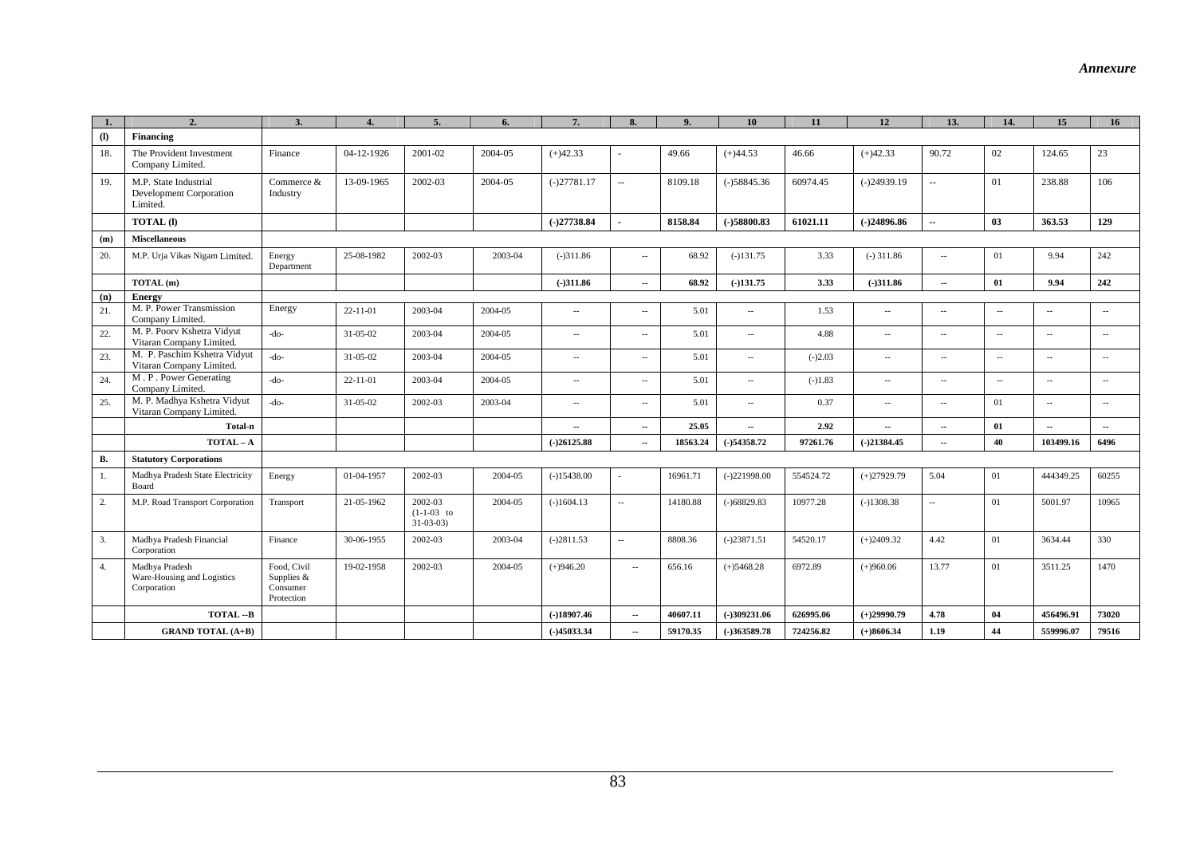|                             | 2.                                                                  | 3.                                                  |                |                                           | 6.      | 7.                       | 8                        | 9        | 10                       | 11        | 12                       | 13.                      | 14.    | 15                       | 16                       |
|-----------------------------|---------------------------------------------------------------------|-----------------------------------------------------|----------------|-------------------------------------------|---------|--------------------------|--------------------------|----------|--------------------------|-----------|--------------------------|--------------------------|--------|--------------------------|--------------------------|
| $\left( \mathbf{I} \right)$ | Financing                                                           |                                                     |                |                                           |         |                          |                          |          |                          |           |                          |                          |        |                          |                          |
| 18.                         | The Provident Investment<br>Company Limited.                        | Finance                                             | 04-12-1926     | 2001-02                                   | 2004-05 | $(+)42.33$               |                          | 49.66    | $(+)44.53$               | 46.66     | $(+)42.33$               | 90.72                    | 02     | 124.65                   | 23                       |
| 19.                         | M.P. State Industrial<br><b>Development Corporation</b><br>Limited. | Commerce &<br>Industry                              | 13-09-1965     | 2002-03                                   | 2004-05 | $(-)27781.17$            | $\overline{\phantom{a}}$ | 8109.18  | $(-)58845.36$            | 60974.45  | $(-)24939.19$            | $\sim$                   | 01     | 238.88                   | 106                      |
|                             | <b>TOTAL</b> (I)                                                    |                                                     |                |                                           |         | $(-)27738.84$            |                          | 8158.84  | $(-)58800.83$            | 61021.11  | $(-)24896.86$            | $\overline{a}$           | 03     | 363.53                   | 129                      |
| (m)                         | <b>Miscellaneous</b>                                                |                                                     |                |                                           |         |                          |                          |          |                          |           |                          |                          |        |                          |                          |
| 20.                         | M.P. Urja Vikas Nigam Limited.                                      | Energy<br>Department                                | 25-08-1982     | 2002-03                                   | 2003-04 | $(-)311.86$              | $\sim$                   | 68.92    | $(-)131.75$              | 3.33      | $(-)$ 311.86             | $\sim$                   | 01     | 9.94                     | 242                      |
|                             | TOTAL (m)                                                           |                                                     |                |                                           |         | $(-)311.86$              | $\sim$                   | 68.92    | $(-)131.75$              | 3.33      | $(-)311.86$              | $\sim$                   | 01     | 9.94                     | 242                      |
| (n)                         | Energy                                                              |                                                     |                |                                           |         |                          |                          |          |                          |           |                          |                          |        |                          |                          |
| 21.                         | M. P. Power Transmission<br>Company Limited.                        | Energy                                              | $22 - 11 - 01$ | 2003-04                                   | 2004-05 | $\sim$                   | $\sim$                   | 5.01     | $\sim$                   | 1.53      | $\sim$                   | $\sim$                   | $\sim$ | $\overline{\phantom{a}}$ | $\overline{\phantom{a}}$ |
| 22.                         | M. P. Poorv Kshetra Vidyut<br>Vitaran Company Limited.              | $-do-$                                              | 31-05-02       | 2003-04                                   | 2004-05 | $\sim$                   | $\sim$                   | 5.01     | $\overline{\phantom{a}}$ | 4.88      | $\overline{\phantom{a}}$ | $\sim$                   | $\sim$ | $\sim$                   | $\sim$                   |
| 23.                         | M. P. Paschim Kshetra Vidyut<br>Vitaran Company Limited.            | $-do-$                                              | 31-05-02       | 2003-04                                   | 2004-05 | $\sim$                   | $\sim$                   | 5.01     | $\overline{\phantom{a}}$ | $(-)2.03$ | $\sim$                   | $\sim$                   | $\sim$ | $\sim$                   | $\sim$                   |
| 24.                         | M. P. Power Generating<br>Company Limited.                          | $-do-$                                              | $22 - 11 - 01$ | 2003-04                                   | 2004-05 | $\sim$                   | $\overline{\phantom{a}}$ | 5.01     | $\overline{\phantom{a}}$ | $(-)1.83$ | $\overline{\phantom{a}}$ | $\sim$                   | $\sim$ | $\sim$                   | $\sim$                   |
| 25.                         | M. P. Madhya Kshetra Vidyut<br>Vitaran Company Limited              | $-do-$                                              | $31 - 05 - 02$ | 2002-03                                   | 2003-04 | $\sim$                   | $\sim$                   | 5.01     | $\overline{a}$           | 0.37      | $\overline{\phantom{a}}$ | $\sim$                   | 01     | $\overline{\phantom{a}}$ | $\sim$                   |
|                             | Total-n                                                             |                                                     |                |                                           |         | $\overline{\phantom{a}}$ | $\sim$                   | 25.05    | $\sim$                   | 2.92      | $\sim$                   | $\sim$                   | 01     | цú.                      | $\sim$                   |
|                             | $TOTAL - A$                                                         |                                                     |                |                                           |         | $(-)26125.88$            | $\overline{a}$           | 18563.24 | $(-)54358.72$            | 97261.76  | $(-)21384.45$            | ä.                       | 40     | 103499.16                | 6496                     |
| <b>B.</b>                   | <b>Statutory Corporations</b>                                       |                                                     |                |                                           |         |                          |                          |          |                          |           |                          |                          |        |                          |                          |
| 1.                          | Madhya Pradesh State Electricity<br>Board                           | Energy                                              | 01-04-1957     | 2002-03                                   | 2004-05 | $(-)15438.00$            |                          | 16961.71 | $(-)221998.00$           | 554524.72 | $(+)27929.79$            | 5.04                     | 01     | 444349.25                | 60255                    |
| 2.                          | M.P. Road Transport Corporation                                     | Transport                                           | 21-05-1962     | 2002-03<br>$(1-1-03$ to<br>$31 - 03 - 03$ | 2004-05 | $(-)1604.13$             | $\overline{\phantom{a}}$ | 14180.88 | $(-)68829.83$            | 10977.28  | $(-)1308.38$             | $\overline{\phantom{a}}$ | 01     | 5001.97                  | 10965                    |
| 3.                          | Madhya Pradesh Financial<br>Corporation                             | Finance                                             | 30-06-1955     | 2002-03                                   | 2003-04 | $(-)2811.53$             | $\overline{\phantom{a}}$ | 8808.36  | $(-)23871.51$            | 54520.17  | $(+)2409.32$             | 4.42                     | 01     | 3634.44                  | 330                      |
| 4.                          | Madhya Pradesh<br>Ware-Housing and Logistics<br>Corporation         | Food, Civil<br>Supplies &<br>Consumer<br>Protection | 19-02-1958     | 2002-03                                   | 2004-05 | $(+)946.20$              | $\sim$                   | 656.16   | $(+)$ 5468.28            | 6972.89   | $(+)960.06$              | 13.77                    | 01     | 3511.25                  | 1470                     |
|                             | TOTAL-B                                                             |                                                     |                |                                           |         | $(-)18907.46$            | $\sim$                   | 40607.11 | $(-)309231.06$           | 626995.06 | $(+)29990.79$            | 4.78                     | 04     | 456496.91                | 73020                    |
|                             | <b>GRAND TOTAL (A+B)</b>                                            |                                                     |                |                                           |         | $(-)45033.34$            | $\sim$                   | 59170.35 | $(-)363589.78$           | 724256.82 | $(+)8606.34$             | 1.19                     | 44     | 559996.07                | 79516                    |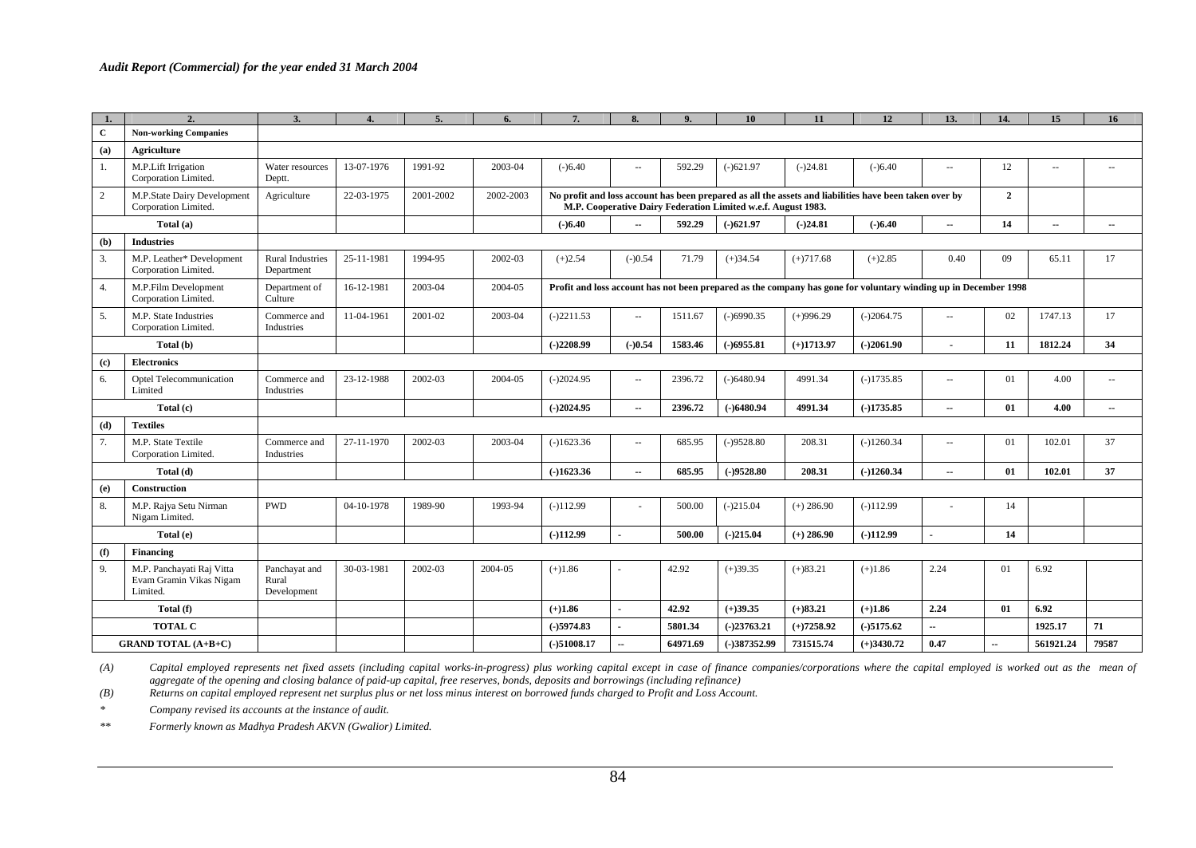|                             | 2.                                                               | 3.                                    |            | 5.        | 6.        | 7.            | 8.                        | 9.       | 10                                                            | 11           | 12                                                                                                              | 13.                      | 14.                      | 15                       | 16                       |
|-----------------------------|------------------------------------------------------------------|---------------------------------------|------------|-----------|-----------|---------------|---------------------------|----------|---------------------------------------------------------------|--------------|-----------------------------------------------------------------------------------------------------------------|--------------------------|--------------------------|--------------------------|--------------------------|
| $\mathbf{C}$                | <b>Non-working Companies</b>                                     |                                       |            |           |           |               |                           |          |                                                               |              |                                                                                                                 |                          |                          |                          |                          |
| (a)                         | <b>Agriculture</b>                                               |                                       |            |           |           |               |                           |          |                                                               |              |                                                                                                                 |                          |                          |                          |                          |
| 1.                          | M.P.Lift Irrigation<br>Corporation Limited.                      | Water resources<br>Deptt.             | 13-07-1976 | 1991-92   | 2003-04   | $(-)6.40$     | $\sim$ $\sim$             | 592.29   | $(-)621.97$                                                   | $(-)24.81$   | $(-)6.40$                                                                                                       | $\overline{a}$           | 12                       | $\overline{a}$           | $\overline{\phantom{a}}$ |
| 2                           | M.P.State Dairy Development<br>Corporation Limited.              | Agriculture                           | 22-03-1975 | 2001-2002 | 2002-2003 |               |                           |          | M.P. Cooperative Dairy Federation Limited w.e.f. August 1983. |              | No profit and loss account has been prepared as all the assets and liabilities have been taken over by          |                          | $\overline{2}$           |                          |                          |
|                             | Total (a)                                                        |                                       |            |           |           | $(-)6.40$     | $\overline{\phantom{a}}$  | 592.29   | $(-)621.97$                                                   | $(-)24.81$   | $(-)6.40$                                                                                                       | ۰.                       | 14                       | $\overline{\phantom{a}}$ | $\sim$                   |
| (b)                         | <b>Industries</b>                                                |                                       |            |           |           |               |                           |          |                                                               |              |                                                                                                                 |                          |                          |                          |                          |
| 3.                          | M.P. Leather* Development<br>Corporation Limited.                | <b>Rural Industries</b><br>Department | 25-11-1981 | 1994-95   | 2002-03   | $(+)2.54$     | $(-)0.54$                 | 71.79    | $(+)34.54$                                                    | $(+)717.68$  | $(+)2.85$                                                                                                       | 0.40                     | 09                       | 65.11                    | 17                       |
| 4.                          | M.P.Film Development<br>Corporation Limited.                     | Department of<br>Culture              | 16-12-1981 | 2003-04   | 2004-05   |               |                           |          |                                                               |              | Profit and loss account has not been prepared as the company has gone for voluntary winding up in December 1998 |                          |                          |                          |                          |
| 5.                          | M.P. State Industries<br>Corporation Limited.                    | Commerce and<br>Industries            | 11-04-1961 | 2001-02   | 2003-04   | $(-)2211.53$  | $\mathbb{L}^{\mathbb{L}}$ | 1511.67  | $(-)6990.35$                                                  | $(+)996.29$  | $(-)2064.75$                                                                                                    | $\sim$                   | 02                       | 1747.13                  | 17                       |
|                             | Total (b)                                                        |                                       |            |           |           | $(-)2208.99$  | $(-)0.54$                 | 1583.46  | $(-)6955.81$                                                  | $(+)1713.97$ | $(-)2061.90$                                                                                                    |                          | 11                       | 1812.24                  | 34                       |
| $\left( \mathbf{c} \right)$ | <b>Electronics</b>                                               |                                       |            |           |           |               |                           |          |                                                               |              |                                                                                                                 |                          |                          |                          |                          |
| 6.                          | Optel Telecommunication<br>Limited                               | Commerce and<br>Industries            | 23-12-1988 | 2002-03   | 2004-05   | $(-)2024.95$  | $\sim$                    | 2396.72  | $(-)6480.94$                                                  | 4991.34      | $(-)1735.85$                                                                                                    | $\sim$ $\sim$            | 01                       | 4.00                     | $\sim$ $\sim$            |
|                             | Total (c)                                                        |                                       |            |           |           | $(-)2024.95$  | $\sim$                    | 2396.72  | $(-)6480.94$                                                  | 4991.34      | $(-)1735.85$                                                                                                    | $\overline{\phantom{a}}$ | 01                       | 4.00                     | $\sim$                   |
| (d)                         | <b>Textiles</b>                                                  |                                       |            |           |           |               |                           |          |                                                               |              |                                                                                                                 |                          |                          |                          |                          |
| 7.                          | M.P. State Textile<br>Corporation Limited.                       | Commerce and<br>Industries            | 27-11-1970 | 2002-03   | 2003-04   | $(-)1623.36$  | $\sim$ $\sim$             | 685.95   | $(-)9528.80$                                                  | 208.31       | $(-)1260.34$                                                                                                    | $-$                      | 01                       | 102.01                   | 37                       |
|                             | Total (d)                                                        |                                       |            |           |           | $(-)1623.36$  | $\overline{\phantom{a}}$  | 685.95   | $(-)9528.80$                                                  | 208.31       | $(-)1260.34$                                                                                                    | $\overline{\phantom{a}}$ | 01                       | 102.01                   | 37                       |
| (e)                         | <b>Construction</b>                                              |                                       |            |           |           |               |                           |          |                                                               |              |                                                                                                                 |                          |                          |                          |                          |
| 8.                          | M.P. Rajya Setu Nirman<br>Nigam Limited.                         | <b>PWD</b>                            | 04-10-1978 | 1989-90   | 1993-94   | $(-)112.99$   |                           | 500.00   | $(-)215.04$                                                   | $(+) 286.90$ | $(-)112.99$                                                                                                     |                          | 14                       |                          |                          |
|                             | Total (e)                                                        |                                       |            |           |           | $(-)112.99$   |                           | 500.00   | $(-)215.04$                                                   | $(+)$ 286.90 | $(-)112.99$                                                                                                     |                          | 14                       |                          |                          |
| (f)                         | <b>Financing</b>                                                 |                                       |            |           |           |               |                           |          |                                                               |              |                                                                                                                 |                          |                          |                          |                          |
| 9.                          | M.P. Panchayati Raj Vitta<br>Evam Gramin Vikas Nigam<br>Limited. | Panchayat and<br>Rural<br>Development | 30-03-1981 | 2002-03   | 2004-05   | $(+)1.86$     |                           | 42.92    | $(+)39.35$                                                    | $(+)83.21$   | $(+)1.86$                                                                                                       | 2.24                     | 01                       | 6.92                     |                          |
|                             | Total (f)                                                        |                                       |            |           |           | $(+)1.86$     |                           | 42.92    | $(+)39.35$                                                    | $(+)83.21$   | $(+)1.86$                                                                                                       | 2.24                     | 01                       | 6.92                     |                          |
|                             | <b>TOTAL C</b>                                                   |                                       |            |           |           | $(-)5974.83$  |                           | 5801.34  | $(-)23763.21$                                                 | $(+)7258.92$ | $(-)5175.62$                                                                                                    |                          |                          | 1925.17                  | 71                       |
|                             | <b>GRAND TOTAL (A+B+C)</b>                                       |                                       |            |           |           | $(-)51008.17$ | $\overline{\phantom{a}}$  | 64971.69 | $(-)387352.99$                                                | 731515.74    | $(+)3430.72$                                                                                                    | 0.47                     | $\overline{\phantom{a}}$ | 561921.24                | 79587                    |

(A) Capital employed represents net fixed assets (including capital works-in-progress) plus working capital except in case of finance companies/corporations where the capital employed is worked out as the mean of *aggregate of the opening and closing balance of paid-up capital, free reserves, bonds, deposits and borrowings (including refinance)* 

*(B) Returns on capital employed represent net surplus plus or net loss minus interest on borrowed funds charged to Profit and Loss Account.*

*\* Company revised its accounts at the instance of audit.*

*\*\*Formerly known as Madhya Pradesh AKVN (Gwalior) Limited.*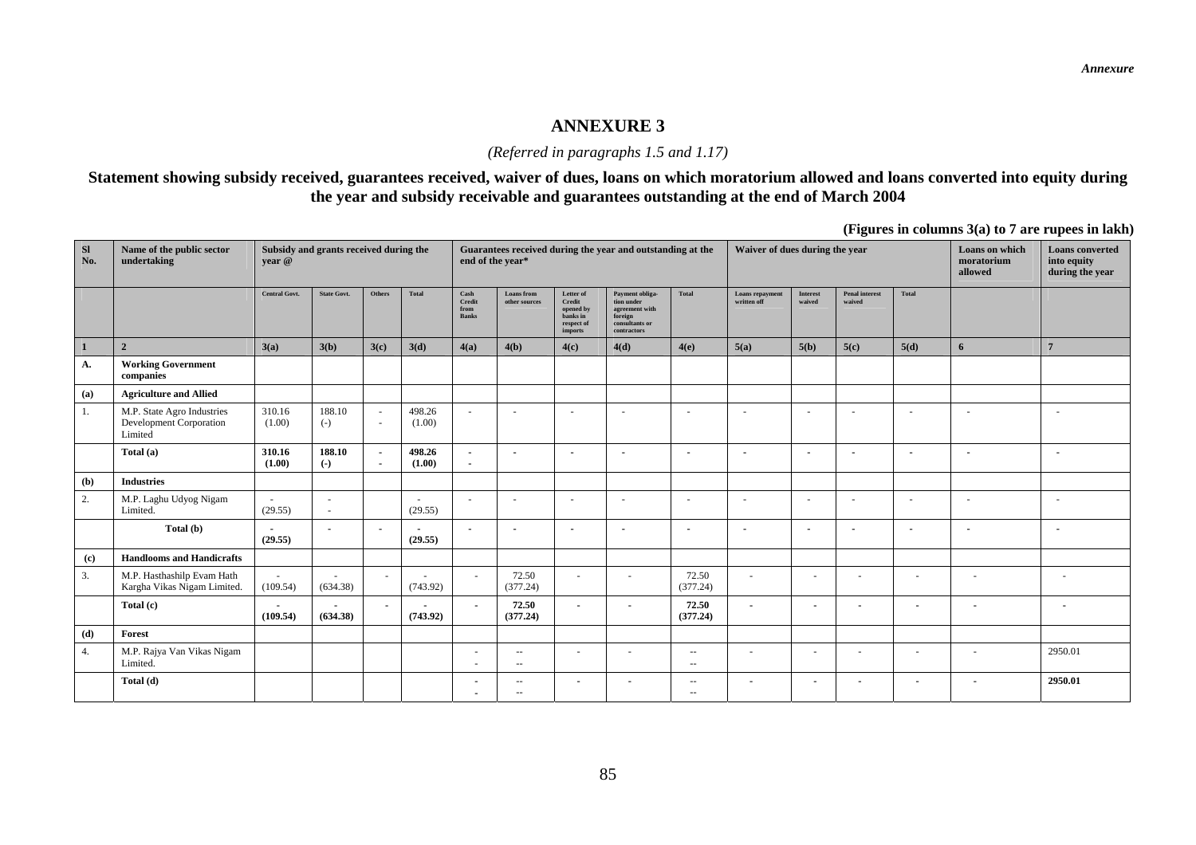#### **ANNEXURE 3**

## *(Referred in paragraphs 1.5 and 1.17)*

## **Statement showing subsidy received, guarantees received, waiver of dues, loans on which moratorium allowed and loans converted into equity during the year and subsidy receivable and guarantees outstanding at the end of March 2004**

**(Figures in columns 3(a) to 7 are rupees in lakh)** 

| <b>SI</b><br>No. | Name of the public sector<br>undertaking                         | Subsidy and grants received during the<br>vear @ |                          |                                                      |                  | end of the year*                                              |                                            |                                                                       | Guarantees received during the year and outstanding at the                                  |                             | Waiver of dues during the year |                          |                                 |                          | Loans on which<br>moratorium<br>allowed | <b>Loans</b> converted<br>into equity<br>during the year |
|------------------|------------------------------------------------------------------|--------------------------------------------------|--------------------------|------------------------------------------------------|------------------|---------------------------------------------------------------|--------------------------------------------|-----------------------------------------------------------------------|---------------------------------------------------------------------------------------------|-----------------------------|--------------------------------|--------------------------|---------------------------------|--------------------------|-----------------------------------------|----------------------------------------------------------|
|                  |                                                                  | <b>Central Govt.</b>                             | <b>State Govt.</b>       | Others                                               | Total            | $\operatorname{Cash}$<br>$\bf Credit$<br>from<br><b>Banks</b> | <b>Loans</b> from<br>other sources         | Letter of<br>Credit<br>opened by<br>banks in<br>respect of<br>imports | Payment obliga-<br>tion under<br>agreement with<br>foreign<br>consultants or<br>contractors | Total                       | Loans repayment<br>written off | Interest<br>waived       | <b>Penal interest</b><br>waived | Total                    |                                         |                                                          |
| $\overline{1}$   | $\overline{2}$                                                   | 3(a)                                             | 3(b)                     | 3(c)                                                 | 3(d)             | 4(a)                                                          | 4(b)                                       | 4(c)                                                                  | 4(d)                                                                                        | 4(e)                        | 5(a)                           | 5(b)                     | 5(c)                            | 5(d)                     | 6                                       | $\overline{7}$                                           |
| A.               | <b>Working Government</b><br>companies                           |                                                  |                          |                                                      |                  |                                                               |                                            |                                                                       |                                                                                             |                             |                                |                          |                                 |                          |                                         |                                                          |
| (a)              | <b>Agriculture and Allied</b>                                    |                                                  |                          |                                                      |                  |                                                               |                                            |                                                                       |                                                                                             |                             |                                |                          |                                 |                          |                                         |                                                          |
| 1.               | M.P. State Agro Industries<br>Development Corporation<br>Limited | 310.16<br>(1.00)                                 | 188.10<br>$(-)$          | $\overline{\phantom{a}}$<br>$\overline{\phantom{a}}$ | 498.26<br>(1.00) | $\overline{a}$                                                | $\overline{\phantom{a}}$                   | $\overline{\phantom{a}}$                                              | <b>.</b>                                                                                    | $\blacksquare$              | $\sim$                         | $\sim$                   |                                 | $\overline{\phantom{a}}$ | ٠                                       | $\overline{\phantom{a}}$                                 |
|                  | Total (a)                                                        | 310.16<br>(1.00)                                 | 188.10<br>$(-)$          | $\overline{\phantom{a}}$<br>$\blacksquare$           | 498.26<br>(1.00) | $\overline{a}$<br>$\overline{\phantom{a}}$                    | $\blacksquare$                             | $\overline{\phantom{a}}$                                              | $\overline{\phantom{a}}$                                                                    | $\blacksquare$              | $\overline{\phantom{a}}$       | $\overline{\phantom{a}}$ | $\overline{\phantom{a}}$        | . .                      | $\blacksquare$                          |                                                          |
| (b)              | <b>Industries</b>                                                |                                                  |                          |                                                      |                  |                                                               |                                            |                                                                       |                                                                                             |                             |                                |                          |                                 |                          |                                         |                                                          |
| 2.               | M.P. Laghu Udyog Nigam<br>Limited.                               | $\sim$<br>(29.55)                                | $\sim$<br>$\sim$         |                                                      | (29.55)          | $\sim$                                                        | $\overline{\phantom{a}}$                   | $\overline{\phantom{a}}$                                              | $\sim$                                                                                      | $\blacksquare$              | $\sim$                         | $\sim$                   |                                 | $\sim$                   | $\sim$                                  | $\sim$                                                   |
|                  | Total (b)                                                        | (29.55)                                          | $\overline{\phantom{a}}$ | $\overline{\phantom{a}}$                             | (29.55)          | $\overline{\phantom{a}}$                                      |                                            | $\overline{\phantom{a}}$                                              |                                                                                             | $\blacksquare$              | $\overline{\phantom{a}}$       | $\overline{\phantom{a}}$ |                                 |                          | $\blacksquare$                          | $\blacksquare$                                           |
| (c)              | <b>Handlooms and Handicrafts</b>                                 |                                                  |                          |                                                      |                  |                                                               |                                            |                                                                       |                                                                                             |                             |                                |                          |                                 |                          |                                         |                                                          |
| 3.               | M.P. Hasthashilp Evam Hath<br>Kargha Vikas Nigam Limited.        | $\overline{\phantom{a}}$<br>(109.54)             | (634.38)                 |                                                      | (743.92)         | $\sim$                                                        | 72.50<br>(377.24)                          | $\sim$                                                                | $\sim$                                                                                      | 72.50<br>(377.24)           | $\sim$                         | $\sim$                   | $\overline{\phantom{a}}$        |                          | $\sim$                                  | н.                                                       |
|                  | Total (c)                                                        | (109.54)                                         | (634.38)                 | $\sim$                                               | (743.92)         | $\blacksquare$                                                | 72.50<br>(377.24)                          | $\blacksquare$                                                        | $\blacksquare$                                                                              | 72.50<br>(377.24)           |                                |                          | $\overline{\phantom{a}}$        |                          | $\blacksquare$                          | $\blacksquare$                                           |
| (d)              | Forest                                                           |                                                  |                          |                                                      |                  |                                                               |                                            |                                                                       |                                                                                             |                             |                                |                          |                                 |                          |                                         |                                                          |
| 4.               | M.P. Rajya Van Vikas Nigam<br>Limited.                           |                                                  |                          |                                                      |                  | $\sim$<br>٠                                                   | $\overline{\phantom{a}}$<br>$\overline{a}$ | $\sim$                                                                | $\sim$                                                                                      | $\sim$<br>$\sim$ $\sim$     | $\sim$                         | $\sim$                   | $\sim$                          | $\sim$                   | $\overline{\phantom{a}}$                | 2950.01                                                  |
|                  | Total (d)                                                        |                                                  |                          |                                                      |                  | ٠<br>٠                                                        | $\qquad \qquad -$<br>$\sim$                |                                                                       |                                                                                             | $\sim$ $-$<br>$\sim$ $\sim$ |                                |                          |                                 |                          |                                         | 2950.01                                                  |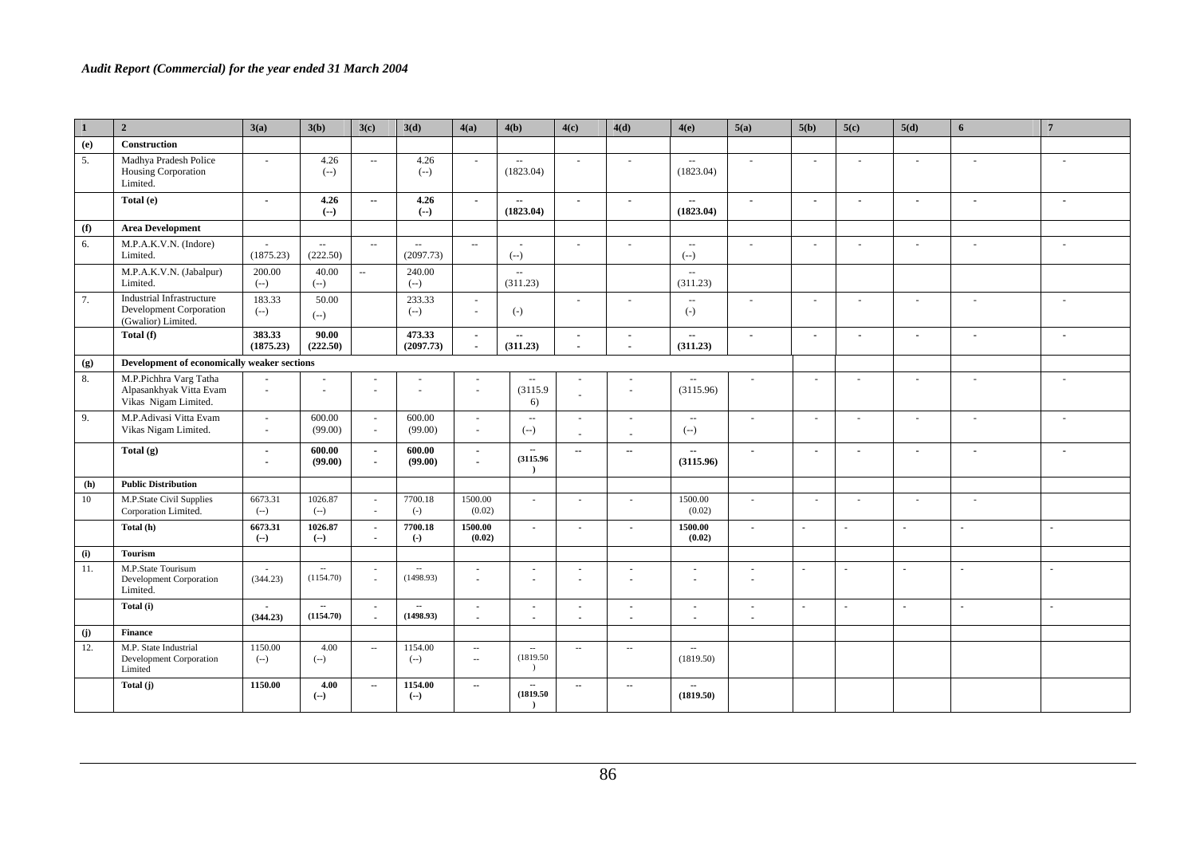| $\vert$ 1 | $\overline{2}$                                                                           | 3(a)                | 3(b)                                  | 3(c)                        | 3(d)                                     | 4(a)                               | 4(b)                                       | 4(c)                                              | 4(d)                                       | 4(e)                                                    | 5(a)                     | 5(b)                     | 5(c)                     | 5(d)                     | 6                        | $\overline{7}$           |
|-----------|------------------------------------------------------------------------------------------|---------------------|---------------------------------------|-----------------------------|------------------------------------------|------------------------------------|--------------------------------------------|---------------------------------------------------|--------------------------------------------|---------------------------------------------------------|--------------------------|--------------------------|--------------------------|--------------------------|--------------------------|--------------------------|
| (e)       | <b>Construction</b>                                                                      |                     |                                       |                             |                                          |                                    |                                            |                                                   |                                            |                                                         |                          |                          |                          |                          |                          |                          |
| 5.        | Madhya Pradesh Police<br>Housing Corporation<br>Limited.                                 | $\sim$              | 4.26<br>$(--)$                        | $\sim$                      | 4.26<br>$(-)$                            | $\sim$                             | $\mathcal{L}_{\mathcal{A}}$<br>(1823.04)   | $\sim$                                            | ×.                                         | $\sim$<br>(1823.04)                                     | $\sim$                   | $\sim$                   | $\sim$                   | $\sim$                   | $\sim$                   | $\sim$                   |
|           | Total (e)                                                                                | $\overline{a}$      | 4.26<br>$(--)$                        | $\overline{\phantom{a}}$    | 4.26<br>$(-)$                            | $\blacksquare$                     | $\overline{\phantom{a}}$<br>(1823.04)      | $\sim$                                            | $\blacksquare$                             | $\overline{\phantom{a}}$<br>(1823.04)                   | $\blacksquare$           | $\overline{\phantom{a}}$ | $\blacksquare$           | $\overline{\phantom{a}}$ | $\overline{\phantom{a}}$ | $\overline{\phantom{a}}$ |
| (f)       | <b>Area Development</b>                                                                  |                     |                                       |                             |                                          |                                    |                                            |                                                   |                                            |                                                         |                          |                          |                          |                          |                          |                          |
| 6.        | M.P.A.K.V.N. (Indore)<br>Limited.                                                        | (1875.23)           | $\sim$<br>(222.50)                    | $\sim$                      | $\mathcal{L}_{\mathcal{A}}$<br>(2097.73) | $\sim$                             | $(--)$                                     |                                                   | ÷.                                         | $\mathord{\hspace{1pt}\text{--}\hspace{1pt}}$<br>$(--)$ |                          | $\sim$                   | ä,                       |                          |                          | ÷.                       |
|           | M.P.A.K.V.N. (Jabalpur)<br>Limited.                                                      | 200.00<br>$(-)$     | 40.00<br>$(--)$                       | $\mathcal{L}_{\mathcal{F}}$ | 240.00<br>$(-)$                          |                                    | $\mathcal{L}_{\mathcal{A}}$<br>(311.23)    |                                                   |                                            | $\sim$<br>(311.23)                                      |                          |                          |                          |                          |                          |                          |
| 7.        | <b>Industrial Infrastructure</b><br><b>Development Corporation</b><br>(Gwalior) Limited. | 183.33<br>$(-)$     | 50.00<br>$(--)$                       |                             | 233.33<br>$(-)$                          | $\sim$<br>$\sim$                   | $(-)$                                      |                                                   | ÷.                                         | $\mathord{\hspace{1pt}\text{--}\hspace{1pt}}$<br>$(-)$  |                          | $\sim$                   | ÷.                       | ÷.                       |                          | $\sim$                   |
|           | Total (f)                                                                                | 383.33<br>(1875.23) | 90.00<br>(222.50)                     |                             | 473.33<br>(2097.73)                      | $\sim$<br>$\blacksquare$           | $\sim$<br>(311.23)                         | $\overline{\phantom{a}}$                          | $\blacksquare$<br>$\overline{\phantom{a}}$ | $\overline{\phantom{a}}$<br>(311.23)                    | $\sim$                   | $\blacksquare$           | $\overline{\phantom{a}}$ | $\blacksquare$           | $\blacksquare$           | $\overline{\phantom{a}}$ |
| (g)       | Development of economically weaker sections                                              |                     |                                       |                             |                                          |                                    |                                            |                                                   |                                            |                                                         |                          |                          |                          |                          |                          |                          |
| 8.        | M.P.Pichhra Varg Tatha<br>Alpasankhyak Vitta Evam<br>Vikas Nigam Limited.                | $\sim$              | ÷.<br>$\bar{a}$                       | $\sim$                      | ÷.<br>$\sim$                             | $\ddot{\phantom{1}}$<br>$\sim$     | $\sim$<br>(3115.9)<br>6)                   |                                                   | $\overline{\phantom{a}}$                   | $\sim$ $\sim$<br>(3115.96)                              | ÷                        | $\overline{\phantom{a}}$ | ÷.                       | $\overline{a}$           |                          | ÷                        |
| 9.        | M.P.Adivasi Vitta Evam<br>Vikas Nigam Limited.                                           | $\sim$<br>$\sim$    | 600.00<br>(99.00)                     | $\sim$<br>$\sim$            | 600.00<br>(99.00)                        | $\sim$<br>$\omega$                 | $\sim$<br>$(--)$                           | $\sim$<br>÷.                                      | $\sim$<br>$\sim$                           | $\sim$ $\sim$<br>$(-)$                                  | ÷                        | $\sim$                   | $\sim$                   | ÷,                       |                          | ÷.                       |
|           | Total $(g)$                                                                              | $\overline{a}$      | 600.00<br>(99.00)                     | $\sim$<br>$\blacksquare$    | 600.00<br>(99.00)                        | $\blacksquare$<br>$\blacksquare$   | $\overline{\phantom{a}}$<br>(3115.96)      | $\overline{\phantom{a}}$                          | $\overline{\phantom{a}}$                   | $\overline{\phantom{a}}$<br>(3115.96)                   | $\blacksquare$           | $\overline{\phantom{a}}$ | $\overline{a}$           | $\overline{a}$           |                          | $\overline{\phantom{a}}$ |
| (h)       | <b>Public Distribution</b>                                                               |                     |                                       |                             |                                          |                                    |                                            |                                                   |                                            |                                                         |                          |                          |                          |                          |                          |                          |
| 10        | M.P.State Civil Supplies<br>Corporation Limited.                                         | 6673.31<br>$(-)$    | 1026.87<br>$(--)$                     | $\sim$                      | 7700.18<br>$(-)$                         | 1500.00<br>(0.02)                  | $\sim$                                     | $\overline{\phantom{a}}$                          | ۰.                                         | 1500.00<br>(0.02)                                       | $\sim$                   | $\sim$                   | $\sim$                   | $\sim$                   |                          |                          |
|           | Total (h)                                                                                | 6673.31<br>$(-)$    | 1026.87<br>$(-)$                      | $\sim$<br>$\blacksquare$    | 7700.18<br>$\left( -\right)$             | 1500.00<br>(0.02)                  | $\mathbf{r}$                               | $\overline{a}$                                    | $\sim$                                     | 1500.00<br>(0.02)                                       | $\overline{a}$           | $\mathbf{r}$             | $\mathbf{r}$             | $\sim$                   | $\sim$                   | $\sim$                   |
| (i)       | <b>Tourism</b>                                                                           |                     |                                       |                             |                                          |                                    |                                            |                                                   |                                            |                                                         |                          |                          |                          |                          |                          |                          |
| 11.       | M.P.State Tourisum<br>Development Corporation<br>Limited.                                | (344.23)            | $\sim$<br>(1154.70)                   | $\sim$<br>$\sim$            | (1498.93)                                | $\sim$<br>$\mathbf{r}$             | $\overline{\phantom{a}}$<br>$\blacksquare$ | $\overline{\phantom{a}}$<br>$\tilde{\phantom{a}}$ | $\overline{\phantom{a}}$                   |                                                         | $\sim$<br>$\blacksquare$ | $\overline{\phantom{a}}$ | $\overline{a}$           | $\sim$                   | $\overline{\phantom{a}}$ | $\overline{\phantom{a}}$ |
|           | Total (i)                                                                                | $\sim$<br>(344.23)  | $\overline{\phantom{a}}$<br>(1154.70) | $\sim$                      | $\overline{\phantom{a}}$<br>(1498.93)    | $\sim$<br>÷,                       | $\blacksquare$<br>$\sim$                   | $\sim$                                            | $\sim$                                     | $\overline{\phantom{a}}$                                | $\blacksquare$<br>$\sim$ | $\sim$                   | $\blacksquare$           | $\sim$                   | $\sim$                   | $\mathbf{r}$             |
| (j)       | <b>Finance</b>                                                                           |                     |                                       |                             |                                          |                                    |                                            |                                                   |                                            |                                                         |                          |                          |                          |                          |                          |                          |
| 12.       | M.P. State Industrial<br>Development Corporation<br>Limited                              | 1150.00<br>$(--)$   | 4.00<br>$(--)$                        | $\overline{\phantom{a}}$    | 1154.00<br>$(--)$                        | $\hspace{0.05cm} \ldots$<br>$\sim$ | $\sim$<br>(1819.50)<br>$\lambda$           | $\overline{\phantom{a}}$                          | $\sim$                                     | $\sim$<br>(1819.50)                                     |                          |                          |                          |                          |                          |                          |
|           | Total (j)                                                                                | 1150.00             | 4.00<br>$(-)$                         | $\sim$                      | 1154.00<br>$(-)$                         | $\sim$                             | $\overline{\phantom{a}}$<br>(1819.50)      | $\sim$                                            | $\overline{\phantom{a}}$                   | $\sim$<br>(1819.50)                                     |                          |                          |                          |                          |                          |                          |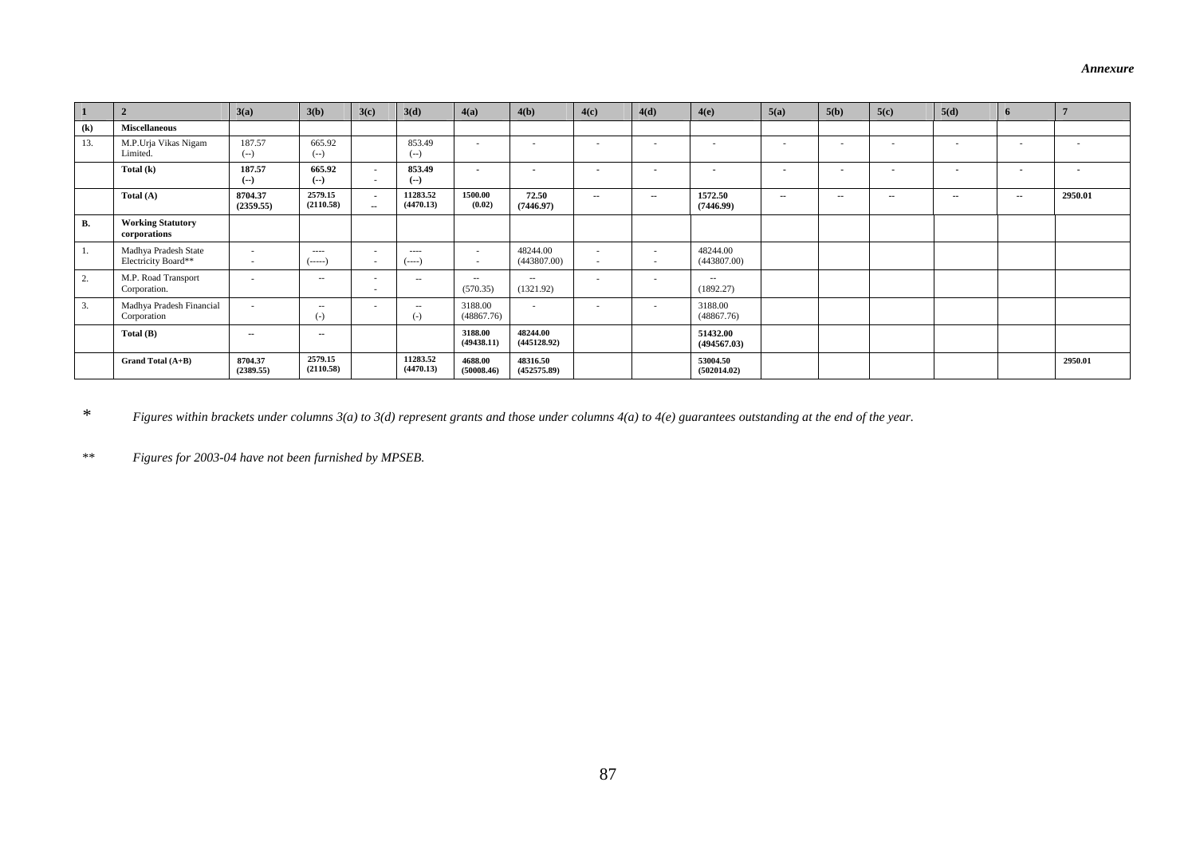| $\overline{1}$             |                                             | 3(a)                 | 3(b)                   | 3(c)                                    | 3(d)                  | 4(a)                  | 4(b)                    | 4(c)           | 4(d)   | 4(e)                     | 5(a)           | 5(b)          | 5(c)   | 5(d)   | 6      |         |
|----------------------------|---------------------------------------------|----------------------|------------------------|-----------------------------------------|-----------------------|-----------------------|-------------------------|----------------|--------|--------------------------|----------------|---------------|--------|--------|--------|---------|
| $\left( \mathbf{k}\right)$ | <b>Miscellaneous</b>                        |                      |                        |                                         |                       |                       |                         |                |        |                          |                |               |        |        |        |         |
| 13.                        | M.P.Urja Vikas Nigam<br>Limited.            | 187.57<br>$(-)$      | 665.92<br>$(-)$        |                                         | 853.49<br>$(--)$      | $\sim$                | $\sim$                  | $\sim$         | $\sim$ | $\sim$                   | $\sim$         | $\sim$        | $\sim$ | $\sim$ | $\sim$ | $\sim$  |
|                            | Total $(k)$                                 | 187.57<br>$(-)$      | 665.92<br>$(-)$        | <b>1979</b><br>$\overline{\phantom{a}}$ | 853.49<br>$(-)$       | $\sim$                | $\sim$                  | $\blacksquare$ |        | $\overline{\phantom{a}}$ | $\blacksquare$ | $\sim$        |        | $\sim$ | $\sim$ | $\sim$  |
|                            | Total $(A)$                                 | 8704.37<br>(2359.55) | 2579.15<br>(2110.58)   | $\sim$<br>$\sim$                        | 11283.52<br>(4470.13) | 1500.00<br>(0.02)     | 72.50<br>(7446.97)      | $\sim$         | $\sim$ | 1572.50<br>(7446.99)     | $\sim$         | $\sim$ $\sim$ | $\sim$ | $\sim$ | $\sim$ | 2950.01 |
| <b>B.</b>                  | <b>Working Statutory</b><br>corporations    |                      |                        |                                         |                       |                       |                         |                |        |                          |                |               |        |        |        |         |
| 1.                         | Madhya Pradesh State<br>Electricity Board** | <b>COL</b><br>. .    | $\cdots$<br>$($ -----) | $\sim$                                  | $\cdots$<br>$(----)$  | $\sim$<br>$\sim$      | 48244.00<br>(443807.00) | ٠<br>۰.        | $\sim$ | 48244.00<br>(443807.00)  |                |               |        |        |        |         |
| 2.                         | M.P. Road Transport<br>Corporation.         | $\sim$               | $- -$                  | $\sim$                                  | $\sim$ $-$            | $\sim$<br>(570.35)    | $\sim$ $-$<br>(1321.92) | ٠              | $\sim$ | $\sim$ $-$<br>(1892.27)  |                |               |        |        |        |         |
| 3.                         | Madhya Pradesh Financial<br>Corporation     |                      | $-  \cdot$<br>$(-)$    |                                         | $\sim$ $-$<br>$(-)$   | 3188.00<br>(48867.76) | $\sim$                  |                | $\sim$ | 3188.00<br>(48867.76)    |                |               |        |        |        |         |
|                            | Total $(B)$                                 | $\sim$               | $\sim$                 |                                         |                       | 3188.00<br>(49438.11) | 48244.00<br>(445128.92) |                |        | 51432.00<br>(494567.03)  |                |               |        |        |        |         |
|                            | Grand Total (A+B)                           | 8704.37<br>(2389.55) | 2579.15<br>(2110.58)   |                                         | 11283.52<br>(4470.13) | 4688.00<br>(50008.46) | 48316.50<br>(452575.89) |                |        | 53004.50<br>(502014.02)  |                |               |        |        |        | 2950.01 |

*\* Figures within brackets under columns 3(a) to 3(d) represent grants and those under columns 4(a) to 4(e) guarantees outstanding at the end of the year.* 

*\*\* Figures for 2003-04 have not been furnished by MPSEB.*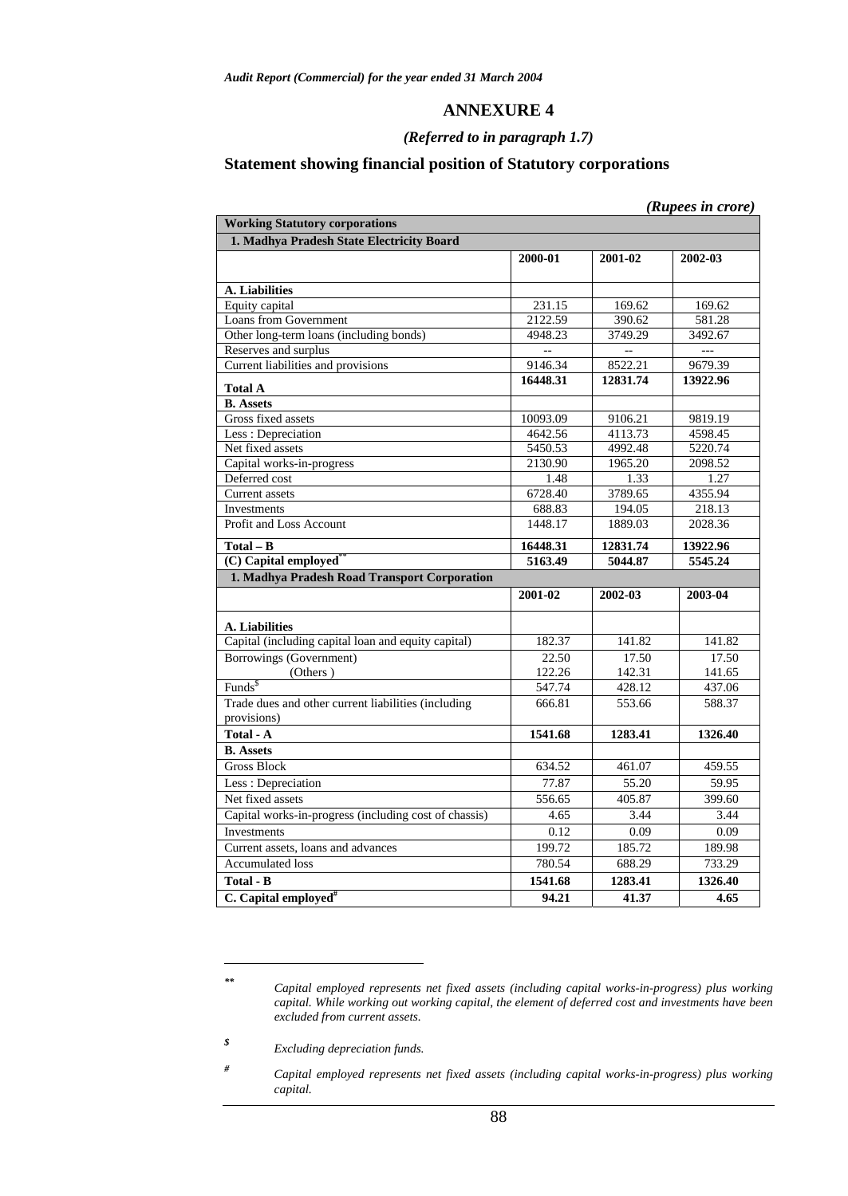## **ANNEXURE 4**

## *(Referred to in paragraph 1.7)*

## **Statement showing financial position of Statutory corporations**

|                                                                    |                |                | (Rupees in crore) |
|--------------------------------------------------------------------|----------------|----------------|-------------------|
| <b>Working Statutory corporations</b>                              |                |                |                   |
| 1. Madhya Pradesh State Electricity Board                          |                |                |                   |
|                                                                    | 2000-01        | 2001-02        | 2002-03           |
|                                                                    |                |                |                   |
| A. Liabilities                                                     |                |                |                   |
| Equity capital                                                     | 231.15         | 169.62         | 169.62            |
| <b>Loans from Government</b>                                       | 2122.59        | 390.62         | 581.28            |
| Other long-term loans (including bonds)                            | 4948.23        | 3749.29        | 3492.67           |
| Reserves and surplus                                               | $\overline{a}$ | $\overline{a}$ | $\overline{a}$    |
| Current liabilities and provisions                                 | 9146.34        | 8522.21        | 9679.39           |
| <b>Total A</b>                                                     | 16448.31       | 12831.74       | 13922.96          |
| <b>B.</b> Assets                                                   |                |                |                   |
| Gross fixed assets                                                 | 10093.09       | 9106.21        | 9819.19           |
| Less: Depreciation                                                 | 4642.56        | 4113.73        | 4598.45           |
| Net fixed assets                                                   | 5450.53        | 4992.48        | 5220.74           |
| Capital works-in-progress                                          | 2130.90        | 1965.20        | 2098.52           |
| Deferred cost                                                      | 1.48           | 1.33           | 1.27              |
| <b>Current</b> assets                                              | 6728.40        | 3789.65        | 4355.94           |
| Investments                                                        | 688.83         | 194.05         | 218.13            |
| Profit and Loss Account                                            | 1448.17        | 1889.03        | 2028.36           |
| $\overline{\text{Total}} - \text{B}$                               | 16448.31       | 12831.74       | 13922.96          |
| (C) Capital employed                                               | 5163.49        | 5044.87        | 5545.24           |
| 1. Madhya Pradesh Road Transport Corporation                       |                |                |                   |
|                                                                    | 2001-02        | 2002-03        | 2003-04           |
| A. Liabilities                                                     |                |                |                   |
| Capital (including capital loan and equity capital)                | 182.37         | 141.82         | 141.82            |
| Borrowings (Government)                                            | 22.50          | 17.50          | 17.50             |
| (Others)                                                           | 122.26         | 142.31         | 141.65            |
| Funds <sup>\$</sup>                                                | 547.74         | 428.12         | 437.06            |
| Trade dues and other current liabilities (including<br>provisions) | 666.81         | 553.66         | 588.37            |
| Total - A                                                          | 1541.68        | 1283.41        | 1326.40           |
| <b>B.</b> Assets                                                   |                |                |                   |
| <b>Gross Block</b>                                                 | 634.52         | 461.07         | 459.55            |
| Less: Depreciation                                                 | 77.87          | 55.20          | 59.95             |
| Net fixed assets                                                   | 556.65         | 405.87         | 399.60            |
| Capital works-in-progress (including cost of chassis)              | 4.65           | 3.44           | 3.44              |
| <b>Investments</b>                                                 | 0.12           | 0.09           | 0.09              |
| Current assets, loans and advances                                 | 199.72         | 185.72         | 189.98            |
| <b>Accumulated loss</b>                                            |                |                | 733.29            |
|                                                                    | 780.54         | 688.29         |                   |
| <b>Total - B</b>                                                   | 1541.68        | 1283.41        | 1326.40           |
| C. Capital employed <sup>#</sup>                                   | 94.21          | 41.37          | 4.65              |

 $\overline{a}$ 

*<sup>\*\*</sup> Capital employed represents net fixed assets (including capital works-in-progress) plus working capital. While working out working capital, the element of deferred cost and investments have been excluded from current assets.* 

*<sup>\$</sup> Excluding depreciation funds.* 

*<sup>#</sup> Capital employed represents net fixed assets (including capital works-in-progress) plus working capital.*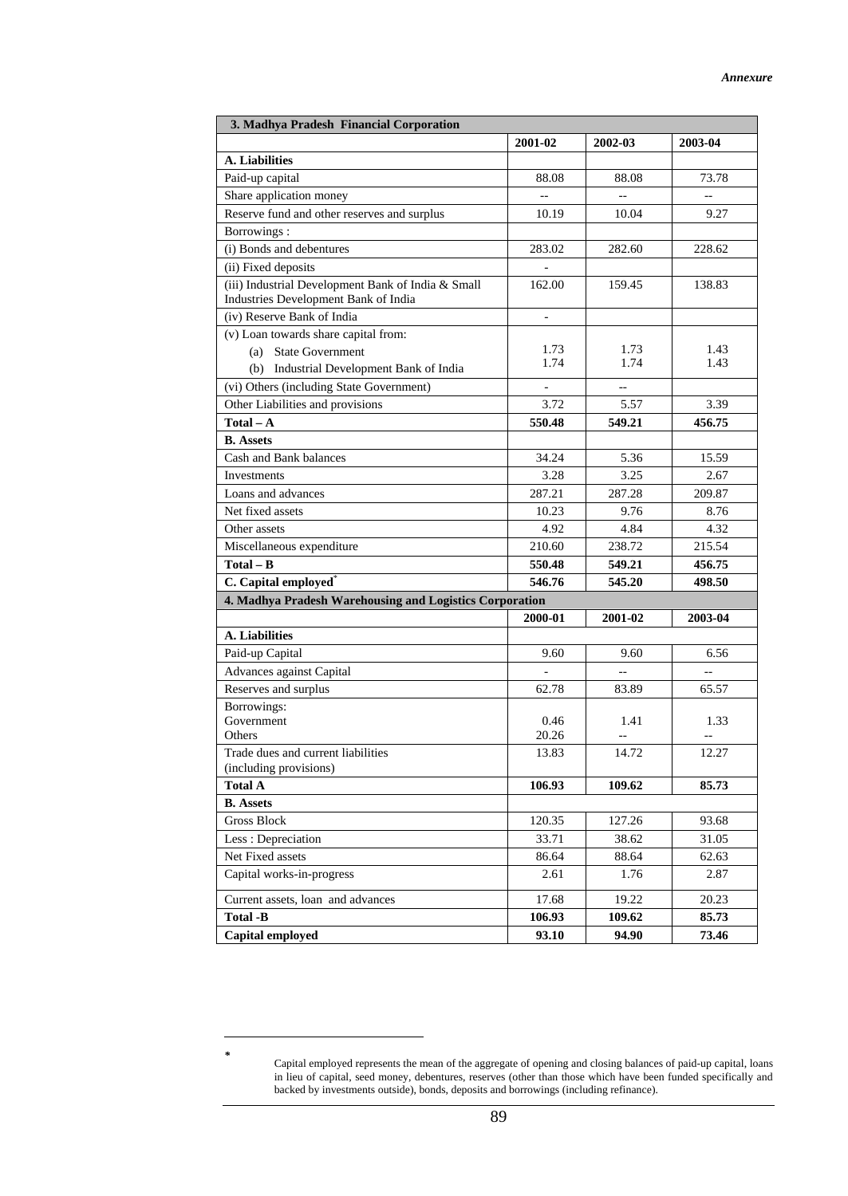| 3. Madhya Pradesh Financial Corporation                                                    |                |                          |         |  |  |  |  |
|--------------------------------------------------------------------------------------------|----------------|--------------------------|---------|--|--|--|--|
|                                                                                            | 2001-02        | 2002-03                  | 2003-04 |  |  |  |  |
| A. Liabilities                                                                             |                |                          |         |  |  |  |  |
| Paid-up capital                                                                            | 88.08          | 88.08                    | 73.78   |  |  |  |  |
| Share application money                                                                    |                | $\overline{\phantom{a}}$ |         |  |  |  |  |
| Reserve fund and other reserves and surplus                                                | 10.19          | 10.04                    | 9.27    |  |  |  |  |
| Borrowings:                                                                                |                |                          |         |  |  |  |  |
| (i) Bonds and debentures                                                                   | 283.02         | 282.60                   | 228.62  |  |  |  |  |
| (ii) Fixed deposits                                                                        |                |                          |         |  |  |  |  |
| (iii) Industrial Development Bank of India & Small<br>Industries Development Bank of India | 162.00         | 159.45                   | 138.83  |  |  |  |  |
| (iv) Reserve Bank of India                                                                 | $\blacksquare$ |                          |         |  |  |  |  |
| (v) Loan towards share capital from:                                                       |                |                          |         |  |  |  |  |
| (a) State Government                                                                       | 1.73           | 1.73                     | 1.43    |  |  |  |  |
| (b) Industrial Development Bank of India                                                   | 1.74           | 1.74                     | 1.43    |  |  |  |  |
| (vi) Others (including State Government)                                                   |                |                          |         |  |  |  |  |
| Other Liabilities and provisions                                                           | 3.72           | 5.57                     | 3.39    |  |  |  |  |
| $Total - A$                                                                                | 550.48         | 549.21                   | 456.75  |  |  |  |  |
| <b>B.</b> Assets                                                                           |                |                          |         |  |  |  |  |
| Cash and Bank balances                                                                     | 34.24          | 5.36                     | 15.59   |  |  |  |  |
| Investments                                                                                | 3.28           | 3.25                     | 2.67    |  |  |  |  |
| Loans and advances                                                                         | 287.21         | 287.28                   | 209.87  |  |  |  |  |
| Net fixed assets                                                                           | 10.23          | 9.76                     | 8.76    |  |  |  |  |
| Other assets                                                                               | 4.92           | 4.84                     | 4.32    |  |  |  |  |
| Miscellaneous expenditure                                                                  | 210.60         | 238.72                   | 215.54  |  |  |  |  |
| $Total - B$                                                                                | 550.48         | 549.21                   | 456.75  |  |  |  |  |
| C. Capital employed <sup>*</sup>                                                           | 546.76         | 545.20                   | 498.50  |  |  |  |  |
| 4. Madhya Pradesh Warehousing and Logistics Corporation                                    |                |                          |         |  |  |  |  |
|                                                                                            | 2000-01        | 2001-02                  | 2003-04 |  |  |  |  |
| A. Liabilities                                                                             |                |                          |         |  |  |  |  |
| Paid-up Capital                                                                            | 9.60           | 9.60                     | 6.56    |  |  |  |  |
| Advances against Capital                                                                   |                | $-$                      | $-$     |  |  |  |  |
| Reserves and surplus                                                                       | 62.78          | 83.89                    | 65.57   |  |  |  |  |
| Borrowings:<br>Government                                                                  | 0.46           | 1.41                     | 1.33    |  |  |  |  |
| Others                                                                                     | 20.26          |                          |         |  |  |  |  |
| Trade dues and current liabilities<br>(including provisions)                               | 13.83          | 14.72                    | 12.27   |  |  |  |  |
| <b>Total A</b>                                                                             | 106.93         | 109.62                   | 85.73   |  |  |  |  |
| <b>B.</b> Assets                                                                           |                |                          |         |  |  |  |  |
| <b>Gross Block</b>                                                                         | 120.35         | 127.26                   | 93.68   |  |  |  |  |
| Less: Depreciation                                                                         | 33.71          | 38.62                    | 31.05   |  |  |  |  |
| Net Fixed assets                                                                           | 86.64          | 88.64                    | 62.63   |  |  |  |  |
| Capital works-in-progress                                                                  | 2.61           | 1.76                     | 2.87    |  |  |  |  |
| Current assets, loan and advances                                                          | 17.68          | 19.22                    | 20.23   |  |  |  |  |
| <b>Total -B</b>                                                                            | 106.93         | 109.62                   | 85.73   |  |  |  |  |
| Capital employed                                                                           | 93.10          | 94.90                    | 73.46   |  |  |  |  |

 $\overline{a}$ 

*<sup>\*</sup>* Capital employed represents the mean of the aggregate of opening and closing balances of paid-up capital, loans in lieu of capital, seed money, debentures, reserves (other than those which have been funded specifically and backed by investments outside), bonds, deposits and borrowings (including refinance).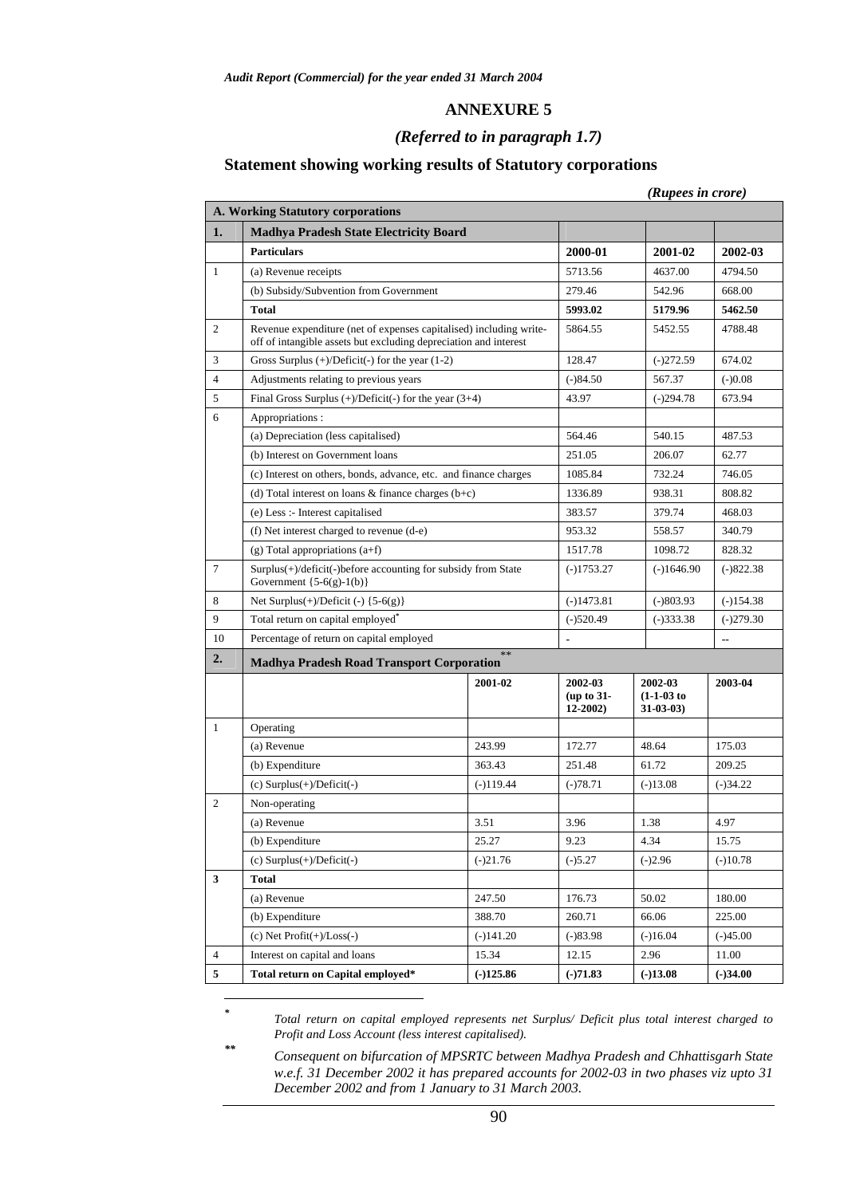## **ANNEXURE 5**

## *(Referred to in paragraph 1.7)*

## **Statement showing working results of Statutory corporations**

| (Rupees in crore) |  |
|-------------------|--|

|                | A. Working Statutory corporations                                                                                                      |             |                                      |                                        |             |
|----------------|----------------------------------------------------------------------------------------------------------------------------------------|-------------|--------------------------------------|----------------------------------------|-------------|
| 1.             | <b>Madhya Pradesh State Electricity Board</b>                                                                                          |             |                                      |                                        |             |
|                | <b>Particulars</b>                                                                                                                     |             | 2000-01                              | 2001-02                                | 2002-03     |
| 1              | (a) Revenue receipts                                                                                                                   |             |                                      |                                        | 4794.50     |
|                | (b) Subsidy/Subvention from Government                                                                                                 |             |                                      |                                        | 668.00      |
|                | <b>Total</b>                                                                                                                           |             | 5993.02                              | 5179.96                                | 5462.50     |
| $\overline{c}$ | Revenue expenditure (net of expenses capitalised) including write-<br>off of intangible assets but excluding depreciation and interest |             | 5864.55                              | 5452.55                                | 4788.48     |
| 3              | Gross Surplus $(+)/$ Deficit $(-)$ for the year $(1-2)$                                                                                |             | 128.47                               | $(-)272.59$                            | 674.02      |
| $\overline{4}$ | Adjustments relating to previous years                                                                                                 |             | $(-)84.50$                           | 567.37                                 | $(-)0.08$   |
| 5              | Final Gross Surplus $(+)/\text{Deficit}(-)$ for the year $(3+4)$                                                                       |             | 43.97                                | $(-)294.78$                            | 673.94      |
| 6              | Appropriations:                                                                                                                        |             |                                      |                                        |             |
|                | (a) Depreciation (less capitalised)                                                                                                    |             | 564.46                               | 540.15                                 | 487.53      |
|                | (b) Interest on Government loans                                                                                                       |             | 251.05                               | 206.07                                 | 62.77       |
|                | (c) Interest on others, bonds, advance, etc. and finance charges                                                                       |             | 1085.84                              | 732.24                                 | 746.05      |
|                | (d) Total interest on loans $\&$ finance charges (b+c)                                                                                 |             | 1336.89                              | 938.31                                 | 808.82      |
|                | (e) Less :- Interest capitalised                                                                                                       |             | 383.57                               | 379.74                                 | 468.03      |
|                | (f) Net interest charged to revenue (d-e)                                                                                              |             | 953.32                               | 558.57                                 | 340.79      |
|                | $(g)$ Total appropriations $(a+f)$                                                                                                     |             | 1517.78                              | 1098.72                                | 828.32      |
| $\tau$         | Surplus(+)/deficit(-)before accounting for subsidy from State<br>Government $\{5-6(g)-1(b)\}$                                          |             | $(-)1753.27$<br>$(-)1646.90$         |                                        | $(-)822.38$ |
| 8              | Net Surplus $(+)/$ Deficit $(-)$ {5-6(g)}                                                                                              |             | $(-)1473.81$<br>$(-)803.93$          |                                        | $(-)154.38$ |
| 9              | Total return on capital employed <sup>*</sup>                                                                                          |             | $(-)520.49$<br>$(-)333.38$           |                                        | $(-)279.30$ |
| 10             | Percentage of return on capital employed                                                                                               |             |                                      |                                        | --          |
| 2.             | <b>Madhya Pradesh Road Transport Corporation</b>                                                                                       | $\ast$      |                                      |                                        |             |
|                |                                                                                                                                        | 2001-02     | 2002-03<br>(up to 31-<br>$12 - 2002$ | 2002-03<br>$(1-1-03)$ to<br>$31-03-03$ | 2003-04     |
| $\mathbf{1}$   | Operating                                                                                                                              |             |                                      |                                        |             |
|                | (a) Revenue                                                                                                                            | 243.99      | 172.77                               | 48.64                                  | 175.03      |
|                | (b) Expenditure                                                                                                                        | 363.43      | 251.48                               | 61.72                                  | 209.25      |
|                | (c) Surplus(+)/Deficit(-)                                                                                                              | $(-)119.44$ | $(-)78.71$                           | $(-)13.08$                             | $(-)34.22$  |
| $\overline{c}$ | Non-operating                                                                                                                          |             |                                      |                                        |             |
|                | (a) Revenue                                                                                                                            | 3.51        | 3.96                                 | 1.38                                   | 4.97        |
|                | (b) Expenditure                                                                                                                        | 25.27       |                                      | 4.34                                   | 15.75       |
|                | $(c)$ Surplus $(+)/$ Deficit $(-)$                                                                                                     | $(-)21.76$  | $(-)5.27$                            | $(-)2.96$                              | $(-)10.78$  |
| 3              | <b>Total</b>                                                                                                                           |             |                                      |                                        |             |
|                | (a) Revenue                                                                                                                            | 247.50      | 176.73                               | 50.02                                  | 180.00      |
|                | (b) Expenditure                                                                                                                        | 388.70      | 260.71                               | 66.06                                  | 225.00      |
|                | (c) Net $Profit(+) / Loss(-)$                                                                                                          | $(-)141.20$ | $(-)83.98$                           | $(-)16.04$                             | $(-)45.00$  |
| $\overline{4}$ | Interest on capital and loans                                                                                                          | 15.34       | 12.15                                | 2.96                                   | 11.00       |
| $\mathbf{5}$   | Total return on Capital employed*                                                                                                      | $(-)125.86$ | $(-)71.83$                           | $(-)13.08$                             | $(-)34.00$  |

*\* Total return on capital employed represents net Surplus/ Deficit plus total interest charged to Profit and Loss Account (less interest capitalised).* 

 $\overline{a}$ 

*\*\* Consequent on bifurcation of MPSRTC between Madhya Pradesh and Chhattisgarh State w.e.f. 31 December 2002 it has prepared accounts for 2002-03 in two phases viz upto 31 December 2002 and from 1 January to 31 March 2003.*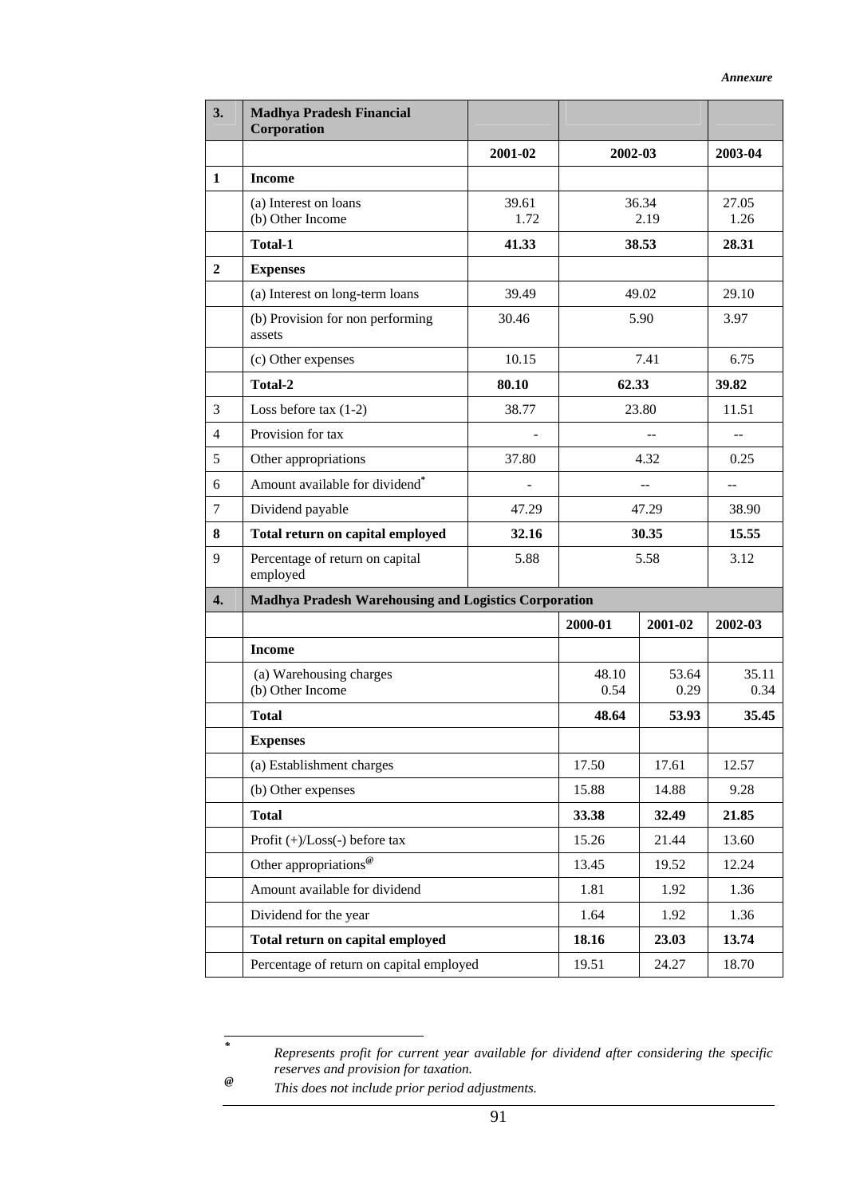| 3.             | <b>Madhya Pradesh Financial</b><br>Corporation       |               |                |                |               |  |
|----------------|------------------------------------------------------|---------------|----------------|----------------|---------------|--|
|                |                                                      | 2001-02       | 2002-03        |                | 2003-04       |  |
| $\mathbf{1}$   | <b>Income</b>                                        |               |                |                |               |  |
|                | (a) Interest on loans<br>(b) Other Income            | 39.61<br>1.72 |                | 36.34<br>2.19  | 27.05<br>1.26 |  |
|                | <b>Total-1</b>                                       | 41.33         |                | 38.53          | 28.31         |  |
| $\overline{2}$ | <b>Expenses</b>                                      |               |                |                |               |  |
|                | (a) Interest on long-term loans                      | 39.49         |                | 49.02          | 29.10         |  |
|                | (b) Provision for non performing<br>assets           | 30.46         |                | 5.90           | 3.97          |  |
|                | (c) Other expenses                                   | 10.15         |                | 7.41           | 6.75          |  |
|                | Total-2                                              | 80.10         | 62.33          |                | 39.82         |  |
| 3              | Loss before tax $(1-2)$                              | 38.77         |                | 23.80          | 11.51         |  |
| $\overline{4}$ | Provision for tax                                    |               |                |                | $\sim$        |  |
| 5              | Other appropriations                                 | 37.80         |                | 4.32           | 0.25          |  |
| 6              | Amount available for dividend <sup>*</sup>           |               |                | $\overline{a}$ |               |  |
| $\overline{7}$ | Dividend payable                                     | 47.29         | 47.29          |                | 38.90         |  |
| 8              | Total return on capital employed                     | 32.16         | 30.35          |                | 15.55         |  |
| 9              | Percentage of return on capital<br>employed          | 5.88          | 5.58           |                | 3.12          |  |
| 4.             | Madhya Pradesh Warehousing and Logistics Corporation |               |                |                |               |  |
|                |                                                      |               | 2000-01        | 2001-02        | 2002-03       |  |
|                | <b>Income</b>                                        |               |                |                |               |  |
|                | (a) Warehousing charges<br>(b) Other Income          |               | 48.10<br>0.54  | 53.64<br>0.29  | 35.11<br>0.34 |  |
|                | <b>Total</b>                                         |               | 48.64          | 53.93          | 35.45         |  |
|                | <b>Expenses</b>                                      |               |                |                |               |  |
|                | (a) Establishment charges                            |               | 17.50          | 17.61          | 12.57         |  |
|                | (b) Other expenses                                   |               | 15.88<br>14.88 |                | 9.28          |  |
|                | <b>Total</b>                                         |               | 33.38<br>32.49 |                | 21.85         |  |
|                | Profit $(+)/$ Loss $(-)$ before tax                  |               | 15.26          | 21.44          | 13.60         |  |
|                | Other appropriations <sup>@</sup>                    |               | 13.45          | 19.52          | 12.24         |  |
|                | Amount available for dividend                        |               | 1.81           | 1.92           | 1.36          |  |
|                | Dividend for the year                                |               | 1.64           | 1.92           | 1.36          |  |
|                | Total return on capital employed                     |               | 18.16          | 23.03          | 13.74         |  |
|                | Percentage of return on capital employed             |               | 19.51          | 24.27          | 18.70         |  |

*\* Represents profit for current year available for dividend after considering the specific reserves and provision for taxation.* 

*<sup>@</sup> This does not include prior period adjustments.*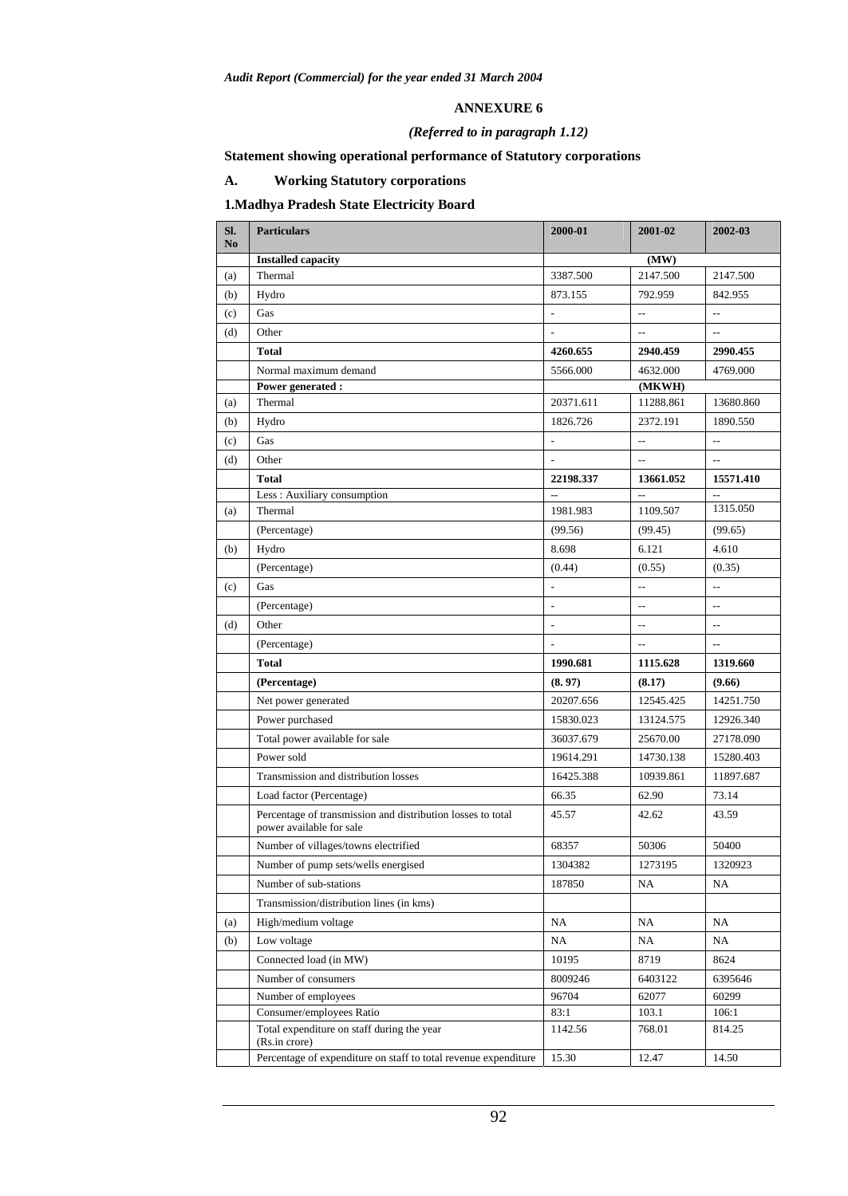#### **ANNEXURE 6**

## *(Referred to in paragraph 1.12)*

## **Statement showing operational performance of Statutory corporations**

## **A. Working Statutory corporations**

## **1.Madhya Pradesh State Electricity Board**

| SI.<br>No | <b>Particulars</b>                                                                      | 2000-01                  | 2001-02                  | 2002-03                  |
|-----------|-----------------------------------------------------------------------------------------|--------------------------|--------------------------|--------------------------|
|           | <b>Installed capacity</b>                                                               |                          | (MW)                     |                          |
| (a)       | Thermal                                                                                 | 3387.500                 | 2147.500                 | 2147.500                 |
| (b)       | Hydro                                                                                   | 873.155                  | 792.959                  | 842.955                  |
| (c)       | Gas                                                                                     | $\overline{a}$           | $\overline{a}$           | $\overline{\phantom{a}}$ |
| (d)       | Other                                                                                   |                          | $\overline{a}$           |                          |
|           | <b>Total</b>                                                                            | 4260.655                 | 2940.459                 | 2990.455                 |
|           | Normal maximum demand                                                                   | 5566.000                 | 4632.000                 | 4769.000                 |
|           | Power generated :                                                                       |                          | (MKWH)                   |                          |
| (a)       | Thermal                                                                                 | 20371.611                | 11288.861                | 13680.860                |
| (b)       | Hydro                                                                                   | 1826.726                 | 2372.191                 | 1890.550                 |
| (c)       | Gas                                                                                     | L                        | $\overline{a}$           | $\overline{a}$           |
| (d)       | Other                                                                                   |                          | $\overline{a}$           | $\overline{a}$           |
|           | <b>Total</b>                                                                            | 22198.337                | 13661.052                | 15571.410                |
|           | Less: Auxiliary consumption                                                             |                          |                          | 1315.050                 |
| (a)       | Thermal                                                                                 | 1981.983                 | 1109.507                 |                          |
|           | (Percentage)                                                                            | (99.56)                  | (99.45)                  | (99.65)                  |
| (b)       | Hydro                                                                                   | 8.698                    | 6.121                    | 4.610                    |
|           | (Percentage)                                                                            | (0.44)                   | (0.55)                   | (0.35)                   |
| (c)       | Gas                                                                                     | $\overline{\phantom{a}}$ | $\overline{a}$           | $\overline{a}$           |
|           | (Percentage)                                                                            | ÷,                       | $\overline{a}$           | $\sim$                   |
| (d)       | Other                                                                                   | $\frac{1}{2}$            | $\overline{\phantom{a}}$ | $\overline{\phantom{a}}$ |
|           | (Percentage)                                                                            |                          |                          | $\sim$                   |
|           | <b>Total</b>                                                                            | 1990.681                 | 1115.628                 | 1319.660                 |
|           | (Percentage)                                                                            | (8.97)                   | (8.17)                   | (9.66)                   |
|           | Net power generated                                                                     | 20207.656                | 12545.425                | 14251.750                |
|           | Power purchased                                                                         | 15830.023                | 13124.575                | 12926.340                |
|           | Total power available for sale                                                          | 36037.679                | 25670.00                 | 27178.090                |
|           | Power sold                                                                              | 19614.291                | 14730.138                | 15280.403                |
|           | Transmission and distribution losses                                                    | 16425.388                | 10939.861                | 11897.687                |
|           | Load factor (Percentage)                                                                | 66.35                    | 62.90                    | 73.14                    |
|           | Percentage of transmission and distribution losses to total<br>power available for sale | 45.57                    | 42.62                    | 43.59                    |
|           | Number of villages/towns electrified                                                    | 68357                    | 50306                    | 50400                    |
|           | Number of pump sets/wells energised                                                     | 1304382                  | 1273195                  | 1320923                  |
|           | Number of sub-stations                                                                  | 187850                   | NA                       | NA                       |
|           | Transmission/distribution lines (in kms)                                                |                          |                          |                          |
| (a)       | High/medium voltage                                                                     | NA                       | NA                       | NA                       |
| (b)       | Low voltage                                                                             | NA                       | NA                       | NA                       |
|           | Connected load (in MW)                                                                  | 10195                    | 8719                     | 8624                     |
|           | Number of consumers                                                                     | 8009246                  | 6403122                  | 6395646                  |
|           | Number of employees                                                                     | 96704                    | 62077                    | 60299                    |
|           | Consumer/employees Ratio                                                                | 83:1                     | 103.1                    | 106:1                    |
|           | Total expenditure on staff during the year<br>(Rs.in crore)                             | 1142.56                  | 768.01                   | 814.25                   |
|           | Percentage of expenditure on staff to total revenue expenditure                         | 15.30                    | 12.47                    | 14.50                    |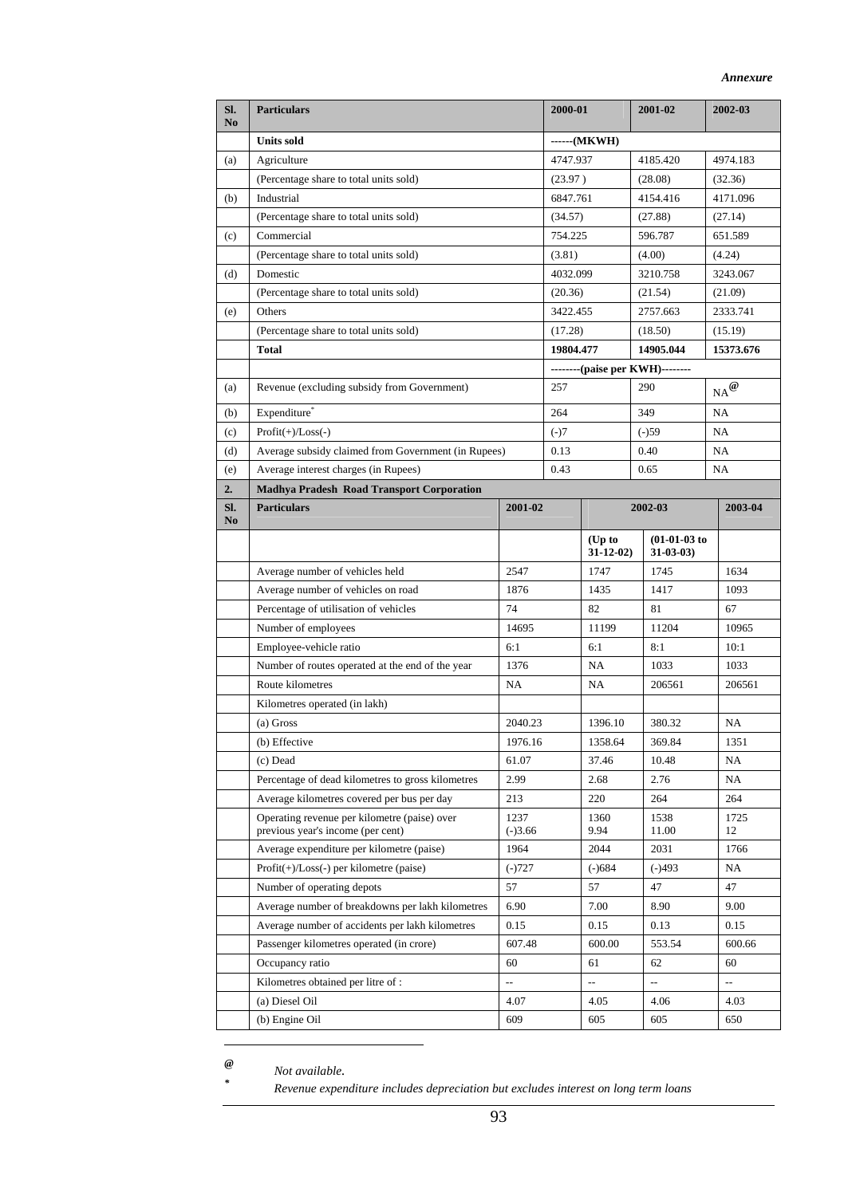| Sl.<br>N <sub>0</sub> | <b>Particulars</b>                                                                |                   | 2000-01     |                        | 2001-02                         | 2002-03                                         |  |
|-----------------------|-----------------------------------------------------------------------------------|-------------------|-------------|------------------------|---------------------------------|-------------------------------------------------|--|
|                       | <b>Units sold</b>                                                                 |                   | $---(MKWH)$ |                        |                                 |                                                 |  |
| (a)                   | Agriculture                                                                       |                   | 4747.937    |                        | 4185.420                        | 4974.183                                        |  |
|                       | (Percentage share to total units sold)                                            |                   | (23.97)     |                        | (28.08)                         | (32.36)                                         |  |
| (b)                   | Industrial                                                                        |                   | 6847.761    |                        | 4154.416                        | 4171.096                                        |  |
|                       | (Percentage share to total units sold)                                            |                   | (34.57)     |                        | (27.88)                         | (27.14)                                         |  |
| (c)                   | Commercial                                                                        |                   | 754.225     |                        | 596.787                         | 651.589                                         |  |
|                       | (Percentage share to total units sold)                                            |                   | (3.81)      |                        | (4.00)                          | (4.24)                                          |  |
| (d)                   | Domestic                                                                          |                   | 4032.099    |                        | 3210.758                        | 3243.067                                        |  |
|                       | (Percentage share to total units sold)                                            |                   | (20.36)     |                        | (21.54)                         | (21.09)                                         |  |
| (e)                   | Others                                                                            |                   | 3422.455    |                        | 2757.663                        | 2333.741                                        |  |
|                       | (Percentage share to total units sold)                                            |                   | (17.28)     |                        | (18.50)                         | (15.19)                                         |  |
|                       | <b>Total</b>                                                                      |                   | 19804.477   |                        | 14905.044                       | 15373.676                                       |  |
|                       |                                                                                   |                   |             |                        | --------(paise per KWH)-------- |                                                 |  |
| (a)                   | Revenue (excluding subsidy from Government)                                       |                   | 257         |                        | 290                             | $_{\text{NA}}{}^{\textcircled{\scriptsize{0}}}$ |  |
| (b)                   | Expenditure <sup>®</sup>                                                          |                   | 264         |                        | 349                             | NA                                              |  |
| (c)                   | $Profit(+)/Loss(-)$                                                               |                   | $(-)7$      |                        | $(-)59$                         | NA                                              |  |
| (d)                   | Average subsidy claimed from Government (in Rupees)                               |                   | 0.13        |                        | 0.40                            | NA                                              |  |
| (e)                   | Average interest charges (in Rupees)                                              |                   | 0.43        |                        | 0.65                            | NA                                              |  |
| 2.                    | <b>Madhya Pradesh Road Transport Corporation</b>                                  |                   |             |                        |                                 |                                                 |  |
| SI.<br>N <sub>0</sub> | <b>Particulars</b>                                                                | 2001-02           |             | 2002-03                |                                 | 2003-04                                         |  |
|                       |                                                                                   |                   |             | $(Up$ to<br>$31-12-02$ | $(01-01-03)$ to<br>$31-03-03$   |                                                 |  |
|                       | Average number of vehicles held                                                   | 2547              |             | 1747                   | 1745                            | 1634                                            |  |
|                       | Average number of vehicles on road                                                | 1876              |             | 1435                   | 1417                            | 1093                                            |  |
|                       | Percentage of utilisation of vehicles                                             | 74                |             | 82                     | 81                              | 67                                              |  |
|                       | Number of employees                                                               | 14695             |             | 11199                  | 11204                           | 10965                                           |  |
|                       | Employee-vehicle ratio                                                            | 6:1               |             | 6:1                    | 8:1                             | 10:1                                            |  |
|                       | Number of routes operated at the end of the year                                  | 1376              |             | NA                     | 1033                            | 1033                                            |  |
|                       | Route kilometres                                                                  | NA                |             | NA                     | 206561                          | 206561                                          |  |
|                       | Kilometres operated (in lakh)                                                     |                   |             |                        |                                 |                                                 |  |
|                       | (a) Gross                                                                         | 2040.23           |             | 1396.10                | 380.32                          | NA                                              |  |
|                       | (b) Effective                                                                     | 1976.16           |             | 1358.64                | 369.84                          | 1351                                            |  |
|                       | (c) Dead                                                                          | 61.07             |             | 37.46                  | 10.48                           | NA                                              |  |
|                       | Percentage of dead kilometres to gross kilometres                                 | 2.99              |             | 2.68                   | 2.76                            | NA                                              |  |
|                       | Average kilometres covered per bus per day                                        | 213               |             | 220                    | 264                             | 264                                             |  |
|                       | Operating revenue per kilometre (paise) over<br>previous year's income (per cent) | 1237<br>$(-)3.66$ |             | 1360<br>9.94           | 1538<br>11.00                   | 1725<br>12                                      |  |
|                       | Average expenditure per kilometre (paise)                                         | 1964              |             | 2044                   | 2031                            | 1766                                            |  |
|                       | $Profit(+) / Loss(-)$ per kilometre (paise)                                       | $(-)727$          |             | $(-)684$               | $(-)493$                        | NA                                              |  |
|                       | Number of operating depots                                                        | 57                |             | 57                     | 47                              | 47                                              |  |
|                       | Average number of breakdowns per lakh kilometres                                  | 6.90              |             | 7.00                   | 8.90                            | 9.00                                            |  |
|                       | Average number of accidents per lakh kilometres                                   | 0.15              |             | 0.15                   | 0.13                            | 0.15                                            |  |
|                       | Passenger kilometres operated (in crore)                                          | 607.48            |             | 600.00                 | 553.54                          | 600.66                                          |  |
|                       | Occupancy ratio                                                                   | 60                |             | 61                     | 62                              | 60                                              |  |
|                       | Kilometres obtained per litre of :                                                | $\overline{a}$    |             | цц.                    | цц.                             | цц.                                             |  |
|                       | (a) Diesel Oil                                                                    | 4.07              |             | 4.05                   | 4.06                            | 4.03                                            |  |
|                       | (b) Engine Oil                                                                    | 609               |             | 605                    | 605                             | 650                                             |  |

 $\overline{a}$ *\**

*@ Not available.* 

 *Revenue expenditure includes depreciation but excludes interest on long term loans*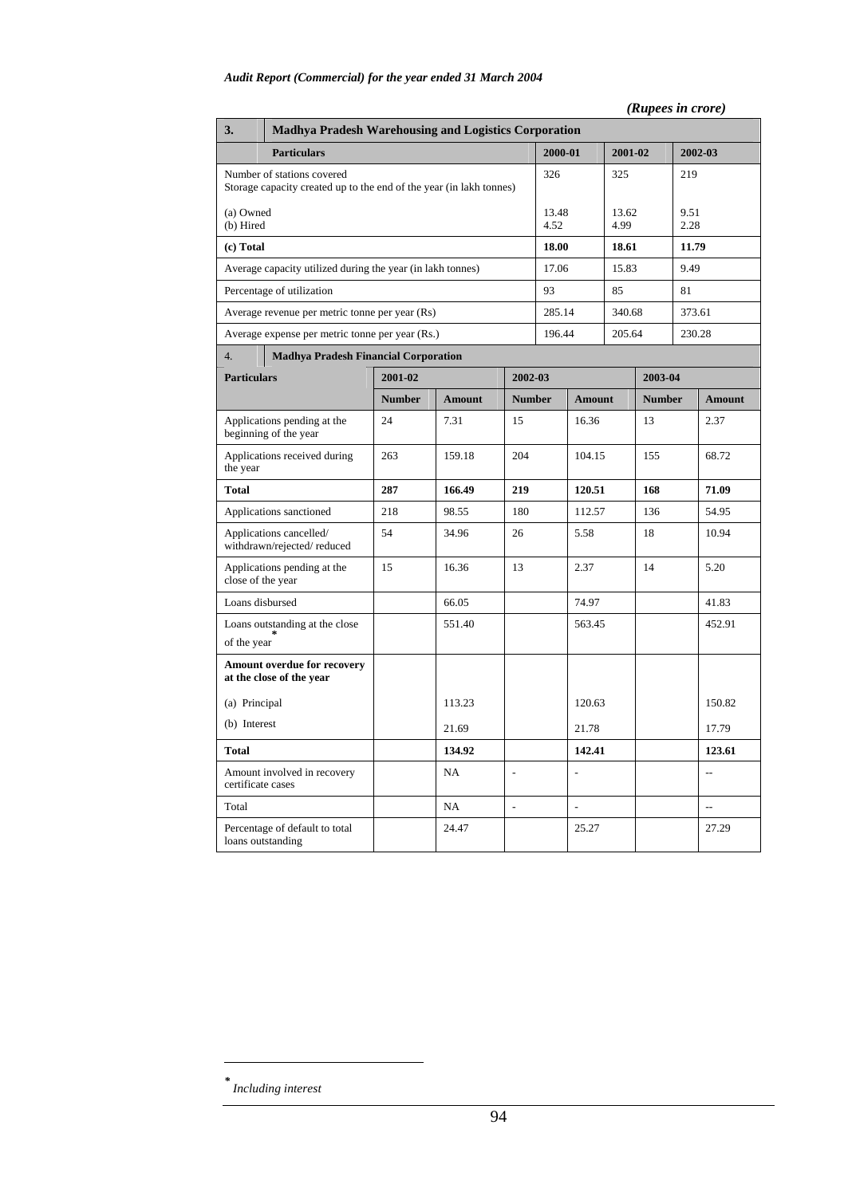## *(Rupees in crore)*

| 3.                                                                                                | <b>Madhya Pradesh Warehousing and Logistics Corporation</b> |               |               |                          |               |                          |               |               |              |                          |
|---------------------------------------------------------------------------------------------------|-------------------------------------------------------------|---------------|---------------|--------------------------|---------------|--------------------------|---------------|---------------|--------------|--------------------------|
| <b>Particulars</b>                                                                                |                                                             |               |               |                          |               | 2000-01                  |               | 2001-02       |              | 2002-03                  |
| Number of stations covered<br>Storage capacity created up to the end of the year (in lakh tonnes) |                                                             |               |               |                          | 326           |                          | 325           |               | 219          |                          |
| (a) Owned<br>(b) Hired                                                                            |                                                             |               |               |                          | 13.48<br>4.52 |                          | 13.62<br>4.99 |               | 9.51<br>2.28 |                          |
| (c) Total                                                                                         |                                                             |               |               |                          | 18.00         |                          | 18.61         |               | 11.79        |                          |
|                                                                                                   | Average capacity utilized during the year (in lakh tonnes)  |               |               |                          | 17.06         |                          | 15.83         |               | 9.49         |                          |
|                                                                                                   | Percentage of utilization                                   |               |               |                          | 93            |                          | 85            |               | 81           |                          |
|                                                                                                   | Average revenue per metric tonne per year (Rs)              |               |               |                          | 285.14        |                          | 340.68        |               | 373.61       |                          |
|                                                                                                   | Average expense per metric tonne per year (Rs.)             |               |               |                          | 196.44        |                          | 205.64        |               | 230.28       |                          |
| 4.                                                                                                | <b>Madhya Pradesh Financial Corporation</b>                 |               |               |                          |               |                          |               |               |              |                          |
| <b>Particulars</b>                                                                                |                                                             | 2001-02       |               | 2002-03                  |               |                          |               | 2003-04       |              |                          |
|                                                                                                   |                                                             | <b>Number</b> | <b>Amount</b> | <b>Number</b>            |               | <b>Amount</b>            |               | <b>Number</b> |              | <b>Amount</b>            |
|                                                                                                   | Applications pending at the<br>beginning of the year        | 24            | 7.31          | 15                       |               | 16.36                    |               | 13            |              | 2.37                     |
| the year                                                                                          | Applications received during                                | 263           | 159.18        | 204                      | 104.15        |                          |               | 155           |              | 68.72                    |
| <b>Total</b>                                                                                      |                                                             | 287           | 166.49        | 219                      | 120.51        |                          | 168           |               |              | 71.09                    |
|                                                                                                   | Applications sanctioned                                     | 218           | 98.55         | 180                      | 112.57        |                          | 136           |               |              | 54.95                    |
|                                                                                                   | Applications cancelled/<br>withdrawn/rejected/reduced       | 54            | 34.96         | 26                       | 5.58          |                          |               | 18            |              | 10.94                    |
| close of the year                                                                                 | Applications pending at the                                 | 15            | 16.36         | 13                       |               | 2.37                     |               | 14            |              | 5.20                     |
| Loans disbursed                                                                                   |                                                             |               | 66.05         |                          |               | 74.97                    |               |               |              | 41.83                    |
| of the year                                                                                       | Loans outstanding at the close                              |               | 551.40        |                          |               | 563.45                   |               |               |              | 452.91                   |
|                                                                                                   | Amount overdue for recovery<br>at the close of the year     |               |               |                          |               |                          |               |               |              |                          |
| (a) Principal                                                                                     |                                                             |               | 113.23        |                          |               | 120.63                   |               |               |              | 150.82                   |
| (b) Interest                                                                                      |                                                             |               | 21.69         |                          |               | 21.78                    |               |               |              | 17.79                    |
| <b>Total</b>                                                                                      |                                                             |               | 134.92        |                          |               | 142.41                   |               |               |              | 123.61                   |
| Amount involved in recovery<br>certificate cases                                                  |                                                             |               | NA            | $\overline{\phantom{a}}$ |               |                          |               |               |              | $\overline{\phantom{a}}$ |
| Total                                                                                             |                                                             |               | NA            | $\overline{\phantom{a}}$ |               | $\overline{\phantom{a}}$ |               |               |              | $\overline{\phantom{a}}$ |
| loans outstanding                                                                                 | Percentage of default to total                              |               | 24.47         |                          |               | 25.27                    |               |               |              | 27.29                    |

*\* Including interest* 

 $\overline{a}$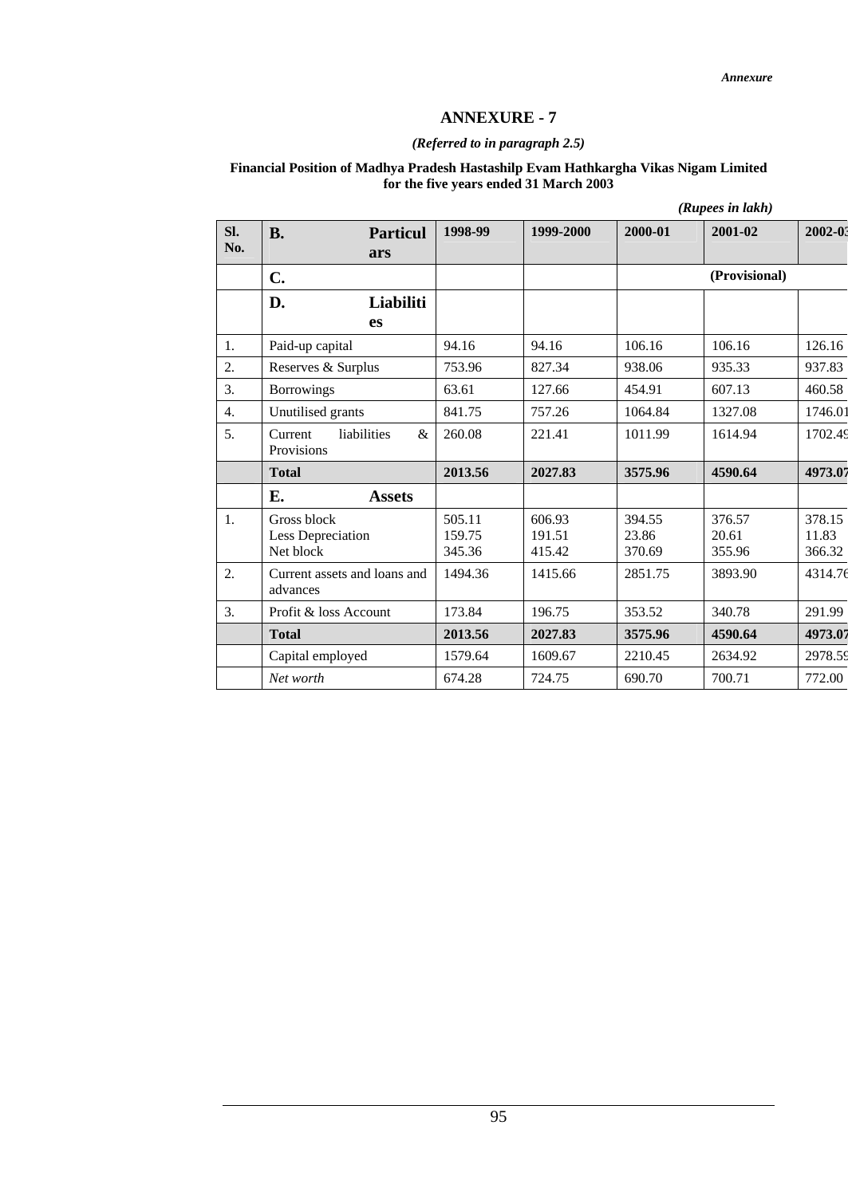## **ANNEXURE - 7**

#### *(Referred to in paragraph 2.5)*

#### **Financial Position of Madhya Pradesh Hastashilp Evam Hathkargha Vikas Nigam Limited for the five years ended 31 March 2003**

|                  |                                               |                            |                            | (Rupees in lakh)          |                           |                           |
|------------------|-----------------------------------------------|----------------------------|----------------------------|---------------------------|---------------------------|---------------------------|
| SI.<br>No.       | <b>B.</b><br><b>Particul</b><br>ars           | 1998-99                    | 1999-2000                  | 2000-01                   | 2001-02                   | 2002-03                   |
|                  | $C_{\bullet}$                                 |                            |                            |                           | (Provisional)             |                           |
|                  | D.<br>Liabiliti<br><b>es</b>                  |                            |                            |                           |                           |                           |
| 1.               | Paid-up capital                               | 94.16                      | 94.16                      | 106.16                    | 106.16                    | 126.16                    |
| 2.               | Reserves & Surplus                            | 753.96                     | 827.34                     | 938.06                    | 935.33                    | 937.83                    |
| 3.               | <b>Borrowings</b>                             | 63.61                      | 127.66                     | 454.91                    | 607.13                    | 460.58                    |
| $\overline{4}$ . | Unutilised grants                             | 841.75                     | 757.26                     | 1064.84                   | 1327.08                   | 1746.01                   |
| 5.               | Current<br>liabilities<br>&<br>Provisions     | 260.08                     | 221.41                     | 1011.99                   | 1614.94                   | 1702.49                   |
|                  | <b>Total</b>                                  | 2013.56                    | 2027.83                    | 3575.96                   | 4590.64                   | 4973.07                   |
|                  | Е.<br><b>Assets</b>                           |                            |                            |                           |                           |                           |
| 1.               | Gross block<br>Less Depreciation<br>Net block | 505.11<br>159.75<br>345.36 | 606.93<br>191.51<br>415.42 | 394.55<br>23.86<br>370.69 | 376.57<br>20.61<br>355.96 | 378.15<br>11.83<br>366.32 |
| 2.               | Current assets and loans and<br>advances      | 1494.36                    | 1415.66                    | 2851.75                   | 3893.90                   | 4314.76                   |
| 3.               | Profit & loss Account                         | 173.84                     | 196.75                     | 353.52                    | 340.78                    | 291.99                    |
|                  | <b>Total</b>                                  | 2013.56                    | 2027.83                    | 3575.96                   | 4590.64                   | 4973.07                   |
|                  | Capital employed                              | 1579.64                    | 1609.67                    | 2210.45                   | 2634.92                   | 2978.59                   |
|                  | Net worth                                     | 674.28                     | 724.75                     | 690.70                    | 700.71                    | 772.00                    |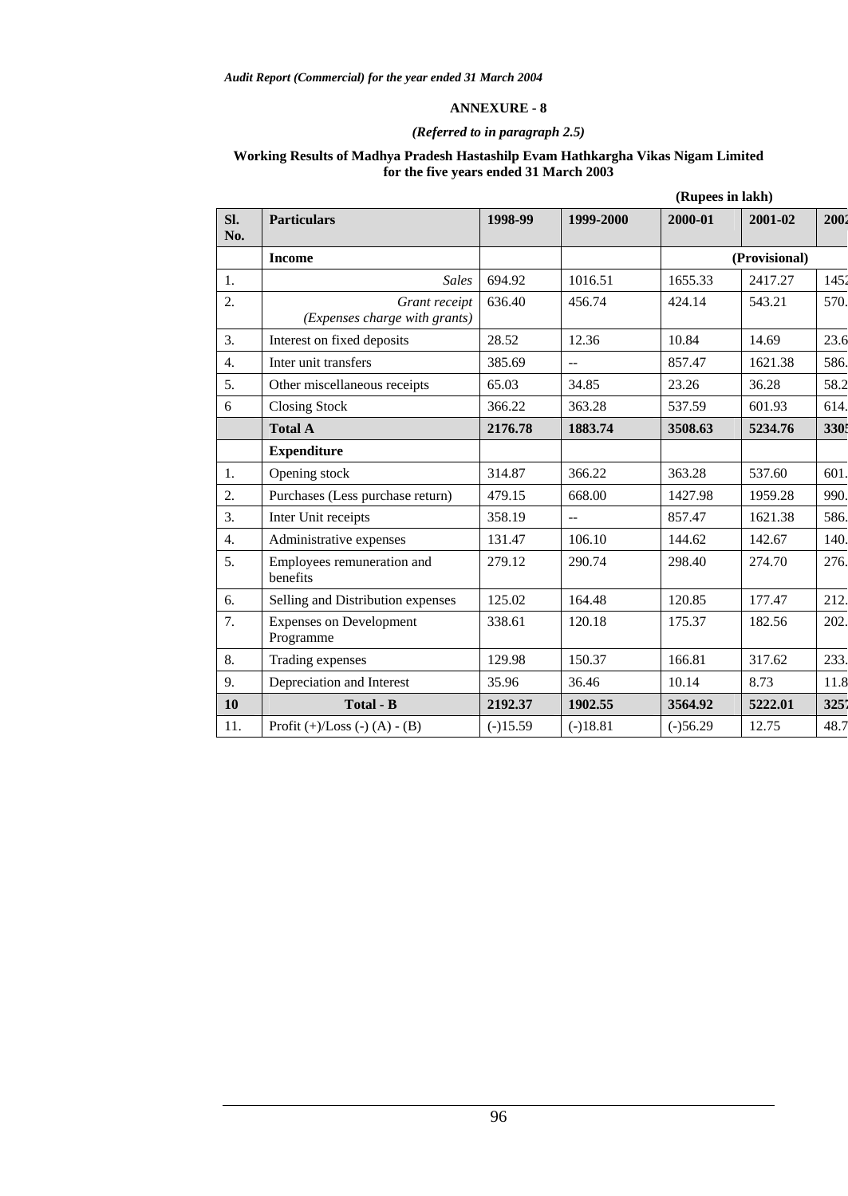## **ANNEXURE - 8**

## *(Referred to in paragraph 2.5)*

#### **Working Results of Madhya Pradesh Hastashilp Evam Hathkargha Vikas Nigam Limited for the five years ended 31 March 2003**

| <b>Particulars</b>                             | 1998-99    | 1999-2000      | 2000-01    | 2001-02       | 2002             |
|------------------------------------------------|------------|----------------|------------|---------------|------------------|
| <b>Income</b>                                  |            |                |            | (Provisional) |                  |
| <b>Sales</b>                                   | 694.92     | 1016.51        | 1655.33    | 2417.27       | 1452             |
| Grant receipt<br>(Expenses charge with grants) | 636.40     | 456.74         | 424.14     | 543.21        | 570.             |
| Interest on fixed deposits                     | 28.52      | 12.36          | 10.84      | 14.69         | 23.6             |
| Inter unit transfers                           | 385.69     | $\sim$         | 857.47     | 1621.38       | 586.             |
| Other miscellaneous receipts                   | 65.03      | 34.85          | 23.26      | 36.28         | 58.2             |
| <b>Closing Stock</b>                           | 366.22     | 363.28         | 537.59     | 601.93        | 614.             |
| <b>Total A</b>                                 | 2176.78    | 1883.74        | 3508.63    | 5234.76       | 3305             |
| <b>Expenditure</b>                             |            |                |            |               |                  |
| Opening stock                                  | 314.87     | 366.22         | 363.28     | 537.60        | 601.             |
| Purchases (Less purchase return)               | 479.15     | 668.00         | 1427.98    | 1959.28       | 990.             |
| Inter Unit receipts                            | 358.19     | $\overline{a}$ | 857.47     | 1621.38       | 586.             |
| Administrative expenses                        | 131.47     | 106.10         | 144.62     | 142.67        | 140.             |
| Employees remuneration and<br>benefits         | 279.12     | 290.74         | 298.40     | 274.70        | 276.             |
| Selling and Distribution expenses              | 125.02     | 164.48         | 120.85     | 177.47        | 212.             |
| <b>Expenses on Development</b><br>Programme    | 338.61     | 120.18         | 175.37     | 182.56        | 202.             |
| Trading expenses                               | 129.98     | 150.37         | 166.81     | 317.62        | 233.             |
| Depreciation and Interest                      | 35.96      | 36.46          | 10.14      | 8.73          | 11.8             |
| <b>Total - B</b>                               | 2192.37    | 1902.55        | 3564.92    | 5222.01       | 3251             |
| Profit $(+)/$ Loss $(-)$ $(A) - (B)$           | $(-)15.59$ | $(-)18.81$     | $(-)56.29$ | 12.75         | 48.7             |
|                                                |            |                |            |               | (Rupees in lakh) |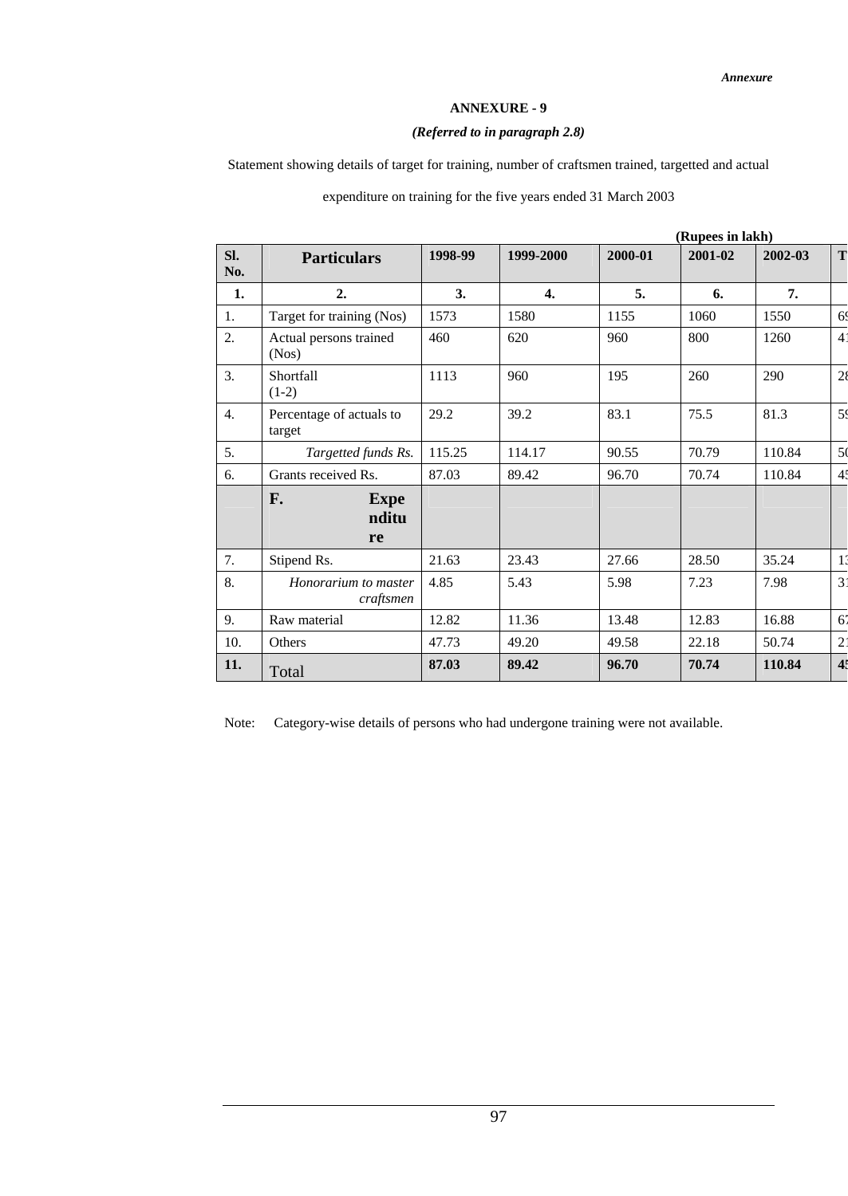## **ANNEXURE - 9**

## *(Referred to in paragraph 2.8)*

Statement showing details of target for training, number of craftsmen trained, targetted and actual

expenditure on training for the five years ended 31 March 2003

|                  |                                    |         | (Rupees in lakh) |         |         |         |                |  |
|------------------|------------------------------------|---------|------------------|---------|---------|---------|----------------|--|
| SI.<br>No.       | <b>Particulars</b>                 | 1998-99 | 1999-2000        | 2000-01 | 2001-02 | 2002-03 | T              |  |
| 1.               | 2.                                 | 3.      | $\overline{4}$ . | 5.      | 6.      | 7.      |                |  |
| 1.               | Target for training (Nos)          | 1573    | 1580             | 1155    | 1060    | 1550    | 6 <sup>0</sup> |  |
| 2.               | Actual persons trained<br>(Nos)    | 460     | 620              | 960     | 800     | 1260    | $\overline{4}$ |  |
| 3.               | Shortfall<br>$(1-2)$               | 1113    | 960              | 195     | 260     | 290     | 28             |  |
| $\overline{4}$ . | Percentage of actuals to<br>target | 29.2    | 39.2             | 83.1    | 75.5    | 81.3    | 59             |  |
| 5.               | Targetted funds Rs.                | 115.25  | 114.17           | 90.55   | 70.79   | 110.84  | 5(             |  |
| 6.               | Grants received Rs.                | 87.03   | 89.42            | 96.70   | 70.74   | 110.84  | 4 <sup>4</sup> |  |
|                  | F.<br><b>Expe</b><br>nditu<br>re   |         |                  |         |         |         |                |  |
| 7.               | Stipend Rs.                        | 21.63   | 23.43            | 27.66   | 28.50   | 35.24   | $1^{\circ}$    |  |
| 8.               | Honorarium to master<br>craftsmen  | 4.85    | 5.43             | 5.98    | 7.23    | 7.98    | 3 <sup>1</sup> |  |
| 9.               | Raw material                       | 12.82   | 11.36            | 13.48   | 12.83   | 16.88   | $6^{\circ}$    |  |
| 10.              | Others                             | 47.73   | 49.20            | 49.58   | 22.18   | 50.74   | $2^{\circ}$    |  |
| 11.              | Total                              | 87.03   | 89.42            | 96.70   | 70.74   | 110.84  | 4 <sup>5</sup> |  |

Note: Category-wise details of persons who had undergone training were not available.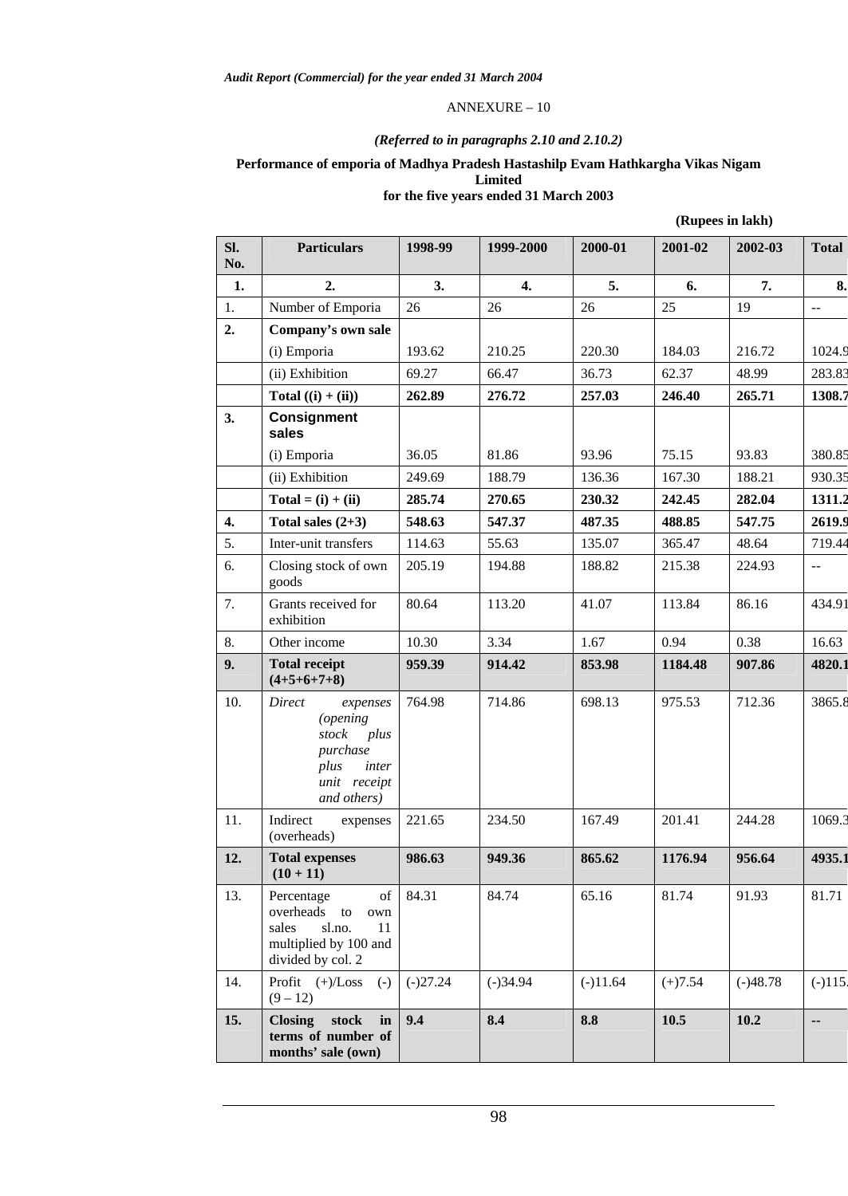#### ANNEXURE – 10

## *(Referred to in paragraphs 2.10 and 2.10.2)*

# **Performance of emporia of Madhya Pradesh Hastashilp Evam Hathkargha Vikas Nigam Limited**

# **for the five years ended 31 March 2003**

| (Rupees in lakh) |  |  |
|------------------|--|--|
|------------------|--|--|

| SI.<br>No.       | <b>Particulars</b>                                                                                              | 1998-99    | 1999-2000        | 2000-01    | 2001-02   | 2002-03    | <b>Total</b>  |
|------------------|-----------------------------------------------------------------------------------------------------------------|------------|------------------|------------|-----------|------------|---------------|
| 1.               | 2.                                                                                                              | 3.         | $\overline{4}$ . | 5.         | 6.        | 7.         | 8.            |
| 1.               | Number of Emporia                                                                                               | 26         | 26               | 26         | 25        | 19         | $\sim$ $\sim$ |
| 2.               | Company's own sale                                                                                              |            |                  |            |           |            |               |
|                  | (i) Emporia                                                                                                     | 193.62     | 210.25           | 220.30     | 184.03    | 216.72     | 1024.9        |
|                  | (ii) Exhibition                                                                                                 | 69.27      | 66.47            | 36.73      | 62.37     | 48.99      | 283.83        |
|                  | Total $((i) + (ii))$                                                                                            | 262.89     | 276.72           | 257.03     | 246.40    | 265.71     | 1308.7        |
| 3.               | <b>Consignment</b><br>sales                                                                                     |            |                  |            |           |            |               |
|                  | (i) Emporia                                                                                                     | 36.05      | 81.86            | 93.96      | 75.15     | 93.83      | 380.85        |
|                  | (ii) Exhibition                                                                                                 | 249.69     | 188.79           | 136.36     | 167.30    | 188.21     | 930.35        |
|                  | $Total = (i) + (ii)$                                                                                            | 285.74     | 270.65           | 230.32     | 242.45    | 282.04     | 1311.2        |
| $\overline{4}$ . | Total sales $(2+3)$                                                                                             | 548.63     | 547.37           | 487.35     | 488.85    | 547.75     | 2619.9        |
| 5.               | Inter-unit transfers                                                                                            | 114.63     | 55.63            | 135.07     | 365.47    | 48.64      | 719.44        |
| 6.               | Closing stock of own<br>goods                                                                                   | 205.19     | 194.88           | 188.82     | 215.38    | 224.93     | 44            |
| 7.               | Grants received for<br>exhibition                                                                               | 80.64      | 113.20           | 41.07      | 113.84    | 86.16      | 434.91        |
| 8.               | Other income                                                                                                    | 10.30      | 3.34             | 1.67       | 0.94      | 0.38       | 16.63         |
| 9.               | <b>Total receipt</b><br>$(4+5+6+7+8)$                                                                           | 959.39     | 914.42           | 853.98     | 1184.48   | 907.86     | 4820.1        |
| 10.              | Direct<br>expenses<br><i>(opening</i><br>stock plus<br>purchase<br>plus<br>inter<br>unit receipt<br>and others) | 764.98     | 714.86           | 698.13     | 975.53    | 712.36     | 3865.8        |
| 11.              | Indirect<br>expenses<br>(overheads)                                                                             | 221.65     | 234.50           | 167.49     | 201.41    | 244.28     | 1069.3        |
| 12.              | <b>Total expenses</b><br>$(10 + 11)$                                                                            | 986.63     | 949.36           | 865.62     | 1176.94   | 956.64     | 4935.1        |
| 13.              | Percentage<br>of<br>overheads to<br>own<br>sl.no.<br>sales<br>11<br>multiplied by 100 and<br>divided by col. 2  | 84.31      | 84.74            | 65.16      | 81.74     | 91.93      | 81.71         |
| 14.              | Profit (+)/Loss<br>$(-)$<br>$(9 - 12)$                                                                          | $(-)27.24$ | $(-)34.94$       | $(-)11.64$ | $(+)7.54$ | $(-)48.78$ | $(-)115.$     |
| 15.              | stock<br><b>Closing</b><br>in<br>terms of number of<br>months' sale (own)                                       | 9.4        | 8.4              | 8.8        | 10.5      | 10.2       | --            |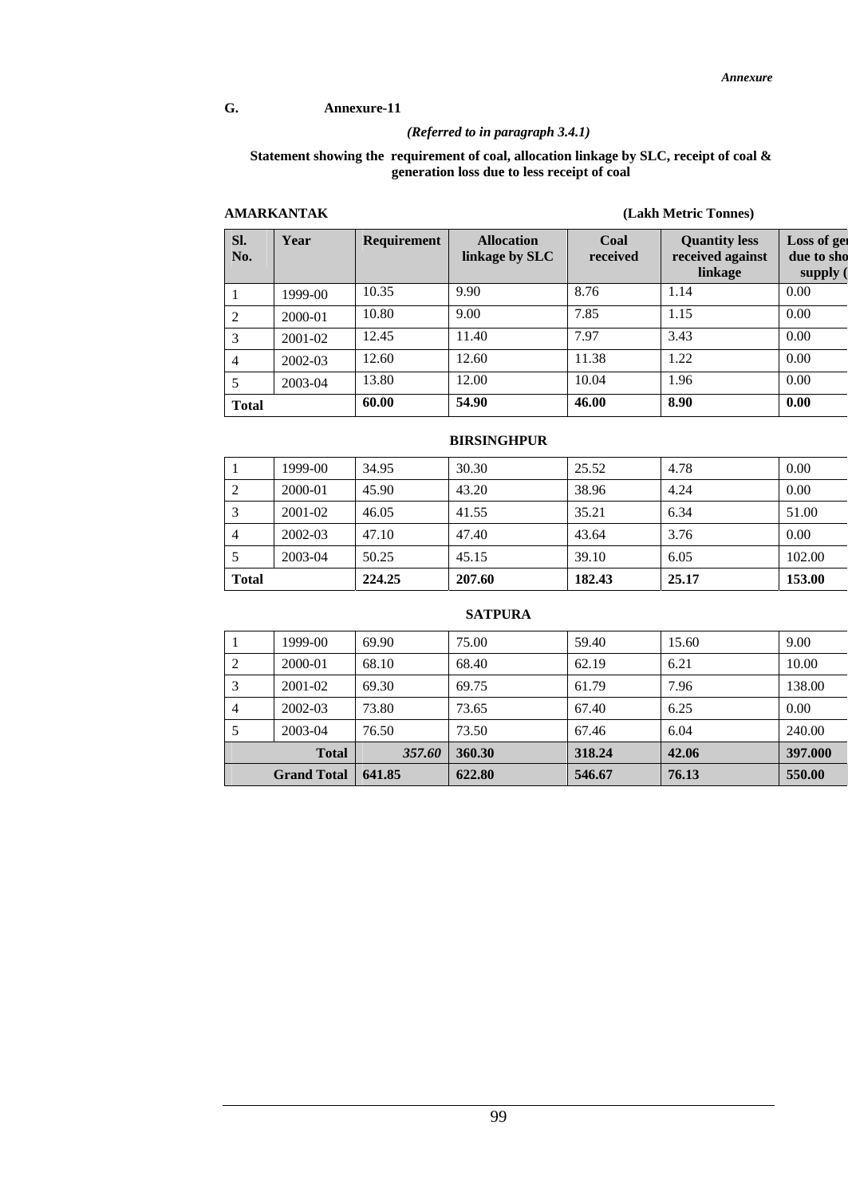### **G. Annexure-11**

## *(Referred to in paragraph 3.4.1)*

#### **Statement showing the requirement of coal, allocation linkage by SLC, receipt of coal & generation loss due to less receipt of coal**

## **AMARKANTAK (Lakh Metric Tonnes)**

| SI.<br>No.   | Year    | <b>Requirement</b> | <b>Allocation</b><br>linkage by SLC | Coal<br>received | <b>Quantity less</b><br>received against<br>linkage | Loss of get<br>due to sho<br>supply ( |
|--------------|---------|--------------------|-------------------------------------|------------------|-----------------------------------------------------|---------------------------------------|
|              | 1999-00 | 10.35              | 9.90                                | 8.76             | 1.14                                                | 0.00                                  |
| 2            | 2000-01 | 10.80              | 9.00                                | 7.85             | 1.15                                                | 0.00                                  |
| 3            | 2001-02 | 12.45              | 11.40                               | 7.97             | 3.43                                                | 0.00                                  |
| 4            | 2002-03 | 12.60              | 12.60                               | 11.38            | 1.22                                                | 0.00                                  |
|              | 2003-04 | 13.80              | 12.00                               | 10.04            | 1.96                                                | 0.00                                  |
| <b>Total</b> |         | 60.00              | 54.90                               | 46.00            | 8.90                                                | 0.00                                  |

## **BIRSINGHPUR**

| <b>Total</b>   |         | 224.25 | 207.60 | 182.43 | 25.17 | 153.00 |
|----------------|---------|--------|--------|--------|-------|--------|
| 5              | 2003-04 | 50.25  | 45.15  | 39.10  | 6.05  | 102.00 |
| $\overline{4}$ | 2002-03 | 47.10  | 47.40  | 43.64  | 3.76  | 0.00   |
| 3              | 2001-02 | 46.05  | 41.55  | 35.21  | 6.34  | 51.00  |
| 2              | 2000-01 | 45.90  | 43.20  | 38.96  | 4.24  | 0.00   |
| 1              | 1999-00 | 34.95  | 30.30  | 25.52  | 4.78  | 0.00   |

## **SATPURA**

|   | <b>Grand Total</b> | 641.85 | 622.80 | 546.67 | 76.13 | 550.00  |
|---|--------------------|--------|--------|--------|-------|---------|
|   | <b>Total</b>       | 357.60 | 360.30 | 318.24 | 42.06 | 397.000 |
|   | 2003-04            | 76.50  | 73.50  | 67.46  | 6.04  | 240.00  |
| 4 | 2002-03            | 73.80  | 73.65  | 67.40  | 6.25  | 0.00    |
| 3 | $2001 - 02$        | 69.30  | 69.75  | 61.79  | 7.96  | 138.00  |
| 2 | 2000-01            | 68.10  | 68.40  | 62.19  | 6.21  | 10.00   |
|   | 1999-00            | 69.90  | 75.00  | 59.40  | 15.60 | 9.00    |

99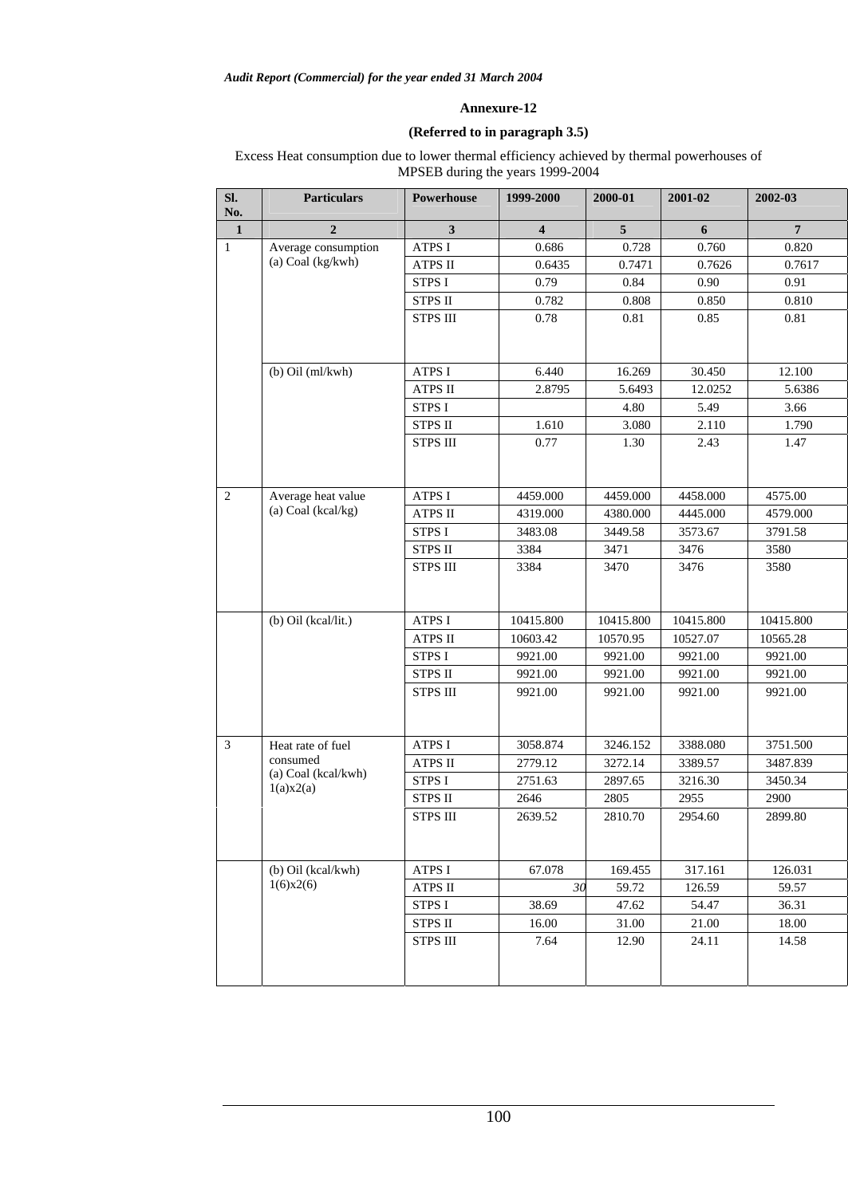## **(Referred to in paragraph 3.5)**

Excess Heat consumption due to lower thermal efficiency achieved by thermal powerhouses of MPSEB during the years 1999-2004

| SI.<br>No.     | <b>Particulars</b>               | Powerhouse      | 1999-2000               | 2000-01   | 2001-02   | 2002-03        |
|----------------|----------------------------------|-----------------|-------------------------|-----------|-----------|----------------|
| $\mathbf{1}$   | $\overline{2}$                   | $\mathbf{3}$    | $\overline{\mathbf{4}}$ | 5         | 6         | $\overline{7}$ |
| $\mathbf{1}$   | Average consumption              | <b>ATPS I</b>   | 0.686                   | 0.728     | 0.760     | 0.820          |
|                | (a) Coal (kg/kwh)                | <b>ATPS II</b>  | 0.6435                  | 0.7471    | 0.7626    | 0.7617         |
|                |                                  | <b>STPS I</b>   | 0.79                    | 0.84      | 0.90      | 0.91           |
|                |                                  | <b>STPS II</b>  | 0.782                   | 0.808     | 0.850     | 0.810          |
|                |                                  | <b>STPS III</b> | 0.78                    | 0.81      | 0.85      | 0.81           |
|                |                                  |                 |                         |           |           |                |
|                | $(b)$ Oil $(ml/kwh)$             | <b>ATPS I</b>   | 6.440                   | 16.269    | 30.450    | 12.100         |
|                |                                  | <b>ATPS II</b>  | 2.8795                  | 5.6493    | 12.0252   | 5.6386         |
|                |                                  | <b>STPS I</b>   |                         | 4.80      | 5.49      | 3.66           |
|                |                                  | <b>STPS II</b>  | 1.610                   | 3.080     | 2.110     | 1.790          |
|                |                                  | <b>STPS III</b> | 0.77                    | 1.30      | 2.43      | 1.47           |
| $\overline{2}$ | Average heat value               | <b>ATPS I</b>   | 4459.000                | 4459.000  | 4458.000  | 4575.00        |
|                | (a) Coal (kcal/kg)               | <b>ATPS II</b>  | 4319.000                | 4380.000  | 4445.000  | 4579.000       |
|                |                                  | STPS I          | 3483.08                 | 3449.58   | 3573.67   | 3791.58        |
|                |                                  | <b>STPS II</b>  | 3384                    | 3471      | 3476      | 3580           |
|                |                                  | <b>STPS III</b> | 3384                    | 3470      | 3476      | 3580           |
|                | (b) Oil (kcal/lit.)              | <b>ATPS I</b>   | 10415.800               | 10415.800 | 10415.800 | 10415.800      |
|                |                                  | <b>ATPS II</b>  | 10603.42                | 10570.95  | 10527.07  | 10565.28       |
|                |                                  | STPS I          | 9921.00                 | 9921.00   | 9921.00   | 9921.00        |
|                |                                  | <b>STPS II</b>  | 9921.00                 | 9921.00   | 9921.00   | 9921.00        |
|                |                                  | <b>STPS III</b> | 9921.00                 | 9921.00   | 9921.00   | 9921.00        |
|                |                                  |                 |                         |           |           |                |
| $\overline{3}$ | Heat rate of fuel                | <b>ATPS I</b>   | 3058.874                | 3246.152  | 3388.080  | 3751.500       |
|                | consumed                         | <b>ATPS II</b>  | 2779.12                 | 3272.14   | 3389.57   | 3487.839       |
|                | (a) Coal (kcal/kwh)<br>1(a)x2(a) | STPS I          | 2751.63                 | 2897.65   | 3216.30   | 3450.34        |
|                |                                  | <b>STPS II</b>  | 2646                    | 2805      | 2955      | 2900           |
|                |                                  | <b>STPS III</b> | 2639.52                 | 2810.70   | 2954.60   | 2899.80        |
|                | (b) Oil (kcal/kwh)               | <b>ATPS I</b>   | 67.078                  | 169.455   | 317.161   | 126.031        |
|                | 1(6)x2(6)                        | <b>ATPS II</b>  | 30                      | 59.72     | 126.59    | 59.57          |
|                |                                  | STPS I          | 38.69                   | 47.62     | 54.47     | 36.31          |
|                |                                  | STPS II         | 16.00                   | 31.00     | 21.00     | 18.00          |
|                |                                  | <b>STPS III</b> | 7.64                    | 12.90     | 24.11     | 14.58          |
|                |                                  |                 |                         |           |           |                |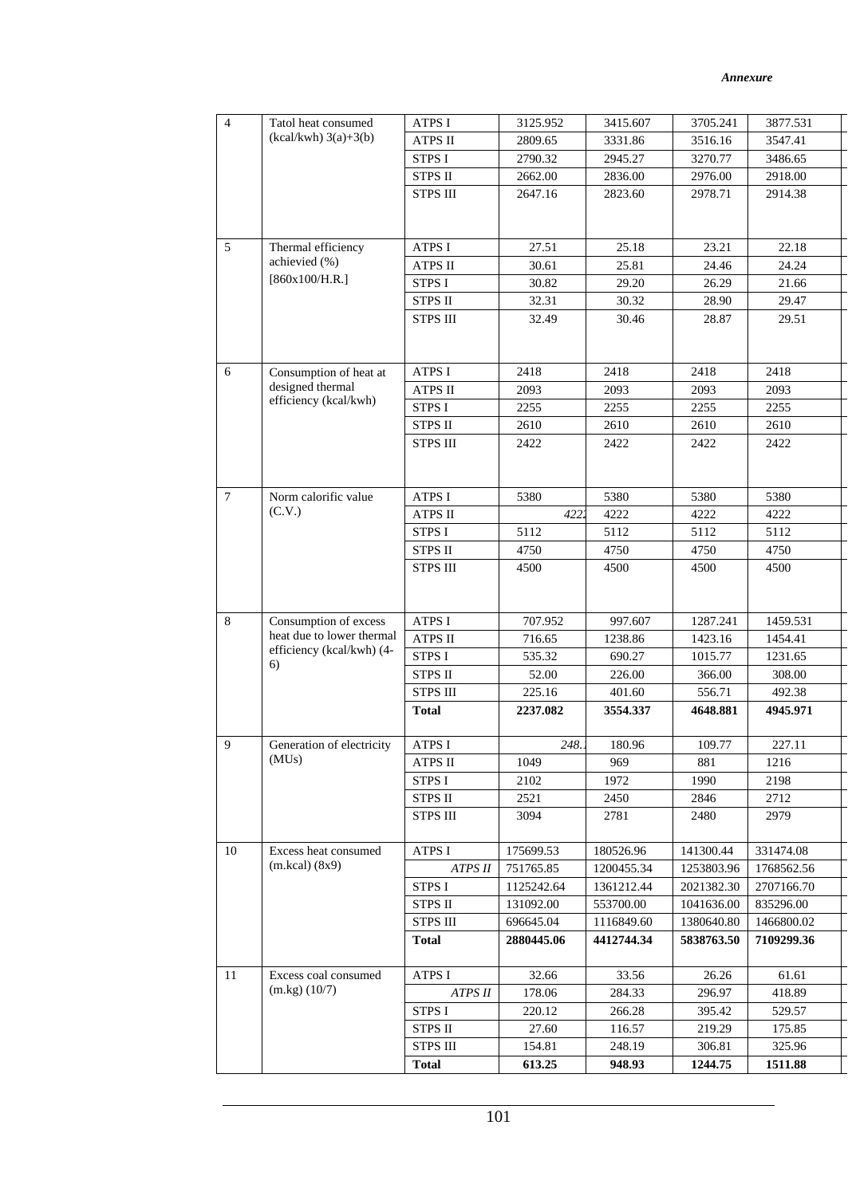| $\overline{4}$ | Tatol heat consumed                                | <b>ATPS I</b>                   | 3125.952           | 3415.607           | 3705.241           | 3877.531           |
|----------------|----------------------------------------------------|---------------------------------|--------------------|--------------------|--------------------|--------------------|
|                | $(kcal/kwh)$ 3(a)+3(b)                             | <b>ATPS II</b>                  | 2809.65            | 3331.86            | 3516.16            | 3547.41            |
|                |                                                    | <b>STPS I</b>                   | 2790.32            | 2945.27            | 3270.77            | 3486.65            |
|                |                                                    | <b>STPS II</b>                  | 2662.00            | 2836.00            | 2976.00            | 2918.00            |
|                |                                                    | <b>STPS III</b>                 | 2647.16            | 2823.60            | 2978.71            | 2914.38            |
|                |                                                    |                                 |                    |                    |                    |                    |
|                |                                                    |                                 |                    |                    |                    |                    |
| 5              | Thermal efficiency                                 | <b>ATPS I</b>                   | 27.51              | 25.18              | 23.21              | 22.18              |
|                | achievied (%)                                      | ATPS II                         | 30.61              | 25.81              | 24.46              | 24.24              |
|                | [860x100/H.R.]                                     | STPS I                          | 30.82              | 29.20              | 26.29              | 21.66              |
|                |                                                    | <b>STPS II</b>                  | 32.31              | 30.32              | 28.90              | 29.47              |
|                |                                                    | <b>STPS III</b>                 | 32.49              | 30.46              | 28.87              | 29.51              |
|                |                                                    |                                 |                    |                    |                    |                    |
|                |                                                    |                                 |                    |                    |                    |                    |
| 6              | Consumption of heat at                             | ATPS I                          | 2418               | 2418               | 2418               | 2418               |
|                | designed thermal<br>efficiency (kcal/kwh)          | ATPS II                         | 2093               | 2093               | 2093               | 2093               |
|                |                                                    | <b>STPS I</b>                   | 2255               | 2255               | 2255               | 2255               |
|                |                                                    | <b>STPS II</b>                  | 2610               | 2610               | 2610               | 2610               |
|                |                                                    | <b>STPS III</b>                 | 2422               | 2422               | 2422               | 2422               |
|                |                                                    |                                 |                    |                    |                    |                    |
|                |                                                    |                                 |                    |                    |                    |                    |
| $\tau$         | Norm calorific value                               | <b>ATPS I</b>                   | 5380               | 5380               | 5380               | 5380               |
|                | (C.V.)                                             | <b>ATPS II</b>                  | 4222               | 4222               | 4222               | 4222               |
|                |                                                    | <b>STPS I</b>                   | 5112               | 5112               | 5112               | 5112               |
|                |                                                    | <b>STPS II</b>                  | 4750               | 4750               | 4750               | 4750               |
|                |                                                    | <b>STPS III</b>                 | 4500               | 4500               | 4500               | 4500               |
|                |                                                    |                                 |                    |                    |                    |                    |
|                |                                                    |                                 |                    |                    |                    |                    |
| 8              | Consumption of excess<br>heat due to lower thermal | ATPS I                          | 707.952            | 997.607            | 1287.241           | 1459.531           |
|                | efficiency (kcal/kwh) (4-                          | ATPS II                         | 716.65             | 1238.86            | 1423.16            | 1454.41            |
|                | 6)                                                 | STPS I<br><b>STPS II</b>        | 535.32             | 690.27             | 1015.77            | 1231.65            |
|                |                                                    |                                 | 52.00              | 226.00             | 366.00             | 308.00             |
|                |                                                    | <b>STPS III</b><br><b>Total</b> | 225.16<br>2237.082 | 401.60<br>3554.337 | 556.71<br>4648.881 | 492.38<br>4945.971 |
|                |                                                    |                                 |                    |                    |                    |                    |
| 9              | Generation of electricity                          | <b>ATPS I</b>                   | 248.               | 180.96             | 109.77             | 227.11             |
|                | (MUs)                                              | <b>ATPS II</b>                  | 1049               | 969                | 881                | 1216               |
|                |                                                    | <b>STPS I</b>                   | 2102               | 1972               | 1990               | 2198               |
|                |                                                    | STPS II                         | 2521               | 2450               | 2846               | 2712               |
|                |                                                    | <b>STPS III</b>                 | 3094               | 2781               | 2480               | 2979               |
|                |                                                    |                                 |                    |                    |                    |                    |
| 10             | Excess heat consumed                               | <b>ATPS I</b>                   | 175699.53          | 180526.96          | 141300.44          | 331474.08          |
|                | $(m.kcal)$ (8x9)                                   | ATPS II                         | 751765.85          | 1200455.34         | 1253803.96         | 1768562.56         |
|                |                                                    | <b>STPS I</b>                   | 1125242.64         | 1361212.44         | 2021382.30         | 2707166.70         |
|                |                                                    | <b>STPS II</b>                  | 131092.00          | 553700.00          | 1041636.00         | 835296.00          |
|                |                                                    | <b>STPS III</b>                 | 696645.04          | 1116849.60         | 1380640.80         | 1466800.02         |
|                |                                                    | <b>Total</b>                    | 2880445.06         | 4412744.34         | 5838763.50         | 7109299.36         |
|                |                                                    |                                 |                    |                    |                    |                    |
| 11             | Excess coal consumed                               | <b>ATPS I</b>                   | 32.66              | 33.56              | 26.26              | 61.61              |
|                | $(m.kg)$ $(10/7)$                                  | ATPS II                         | 178.06             | 284.33             | 296.97             | 418.89             |
|                |                                                    | <b>STPS I</b>                   | 220.12             | 266.28             | 395.42             | 529.57             |
|                |                                                    | <b>STPS II</b>                  | 27.60              | 116.57             | 219.29             | 175.85             |
|                |                                                    | <b>STPS III</b>                 | 154.81             | 248.19             | 306.81             | 325.96             |
|                |                                                    | <b>Total</b>                    | 613.25             | 948.93             | 1244.75            | 1511.88            |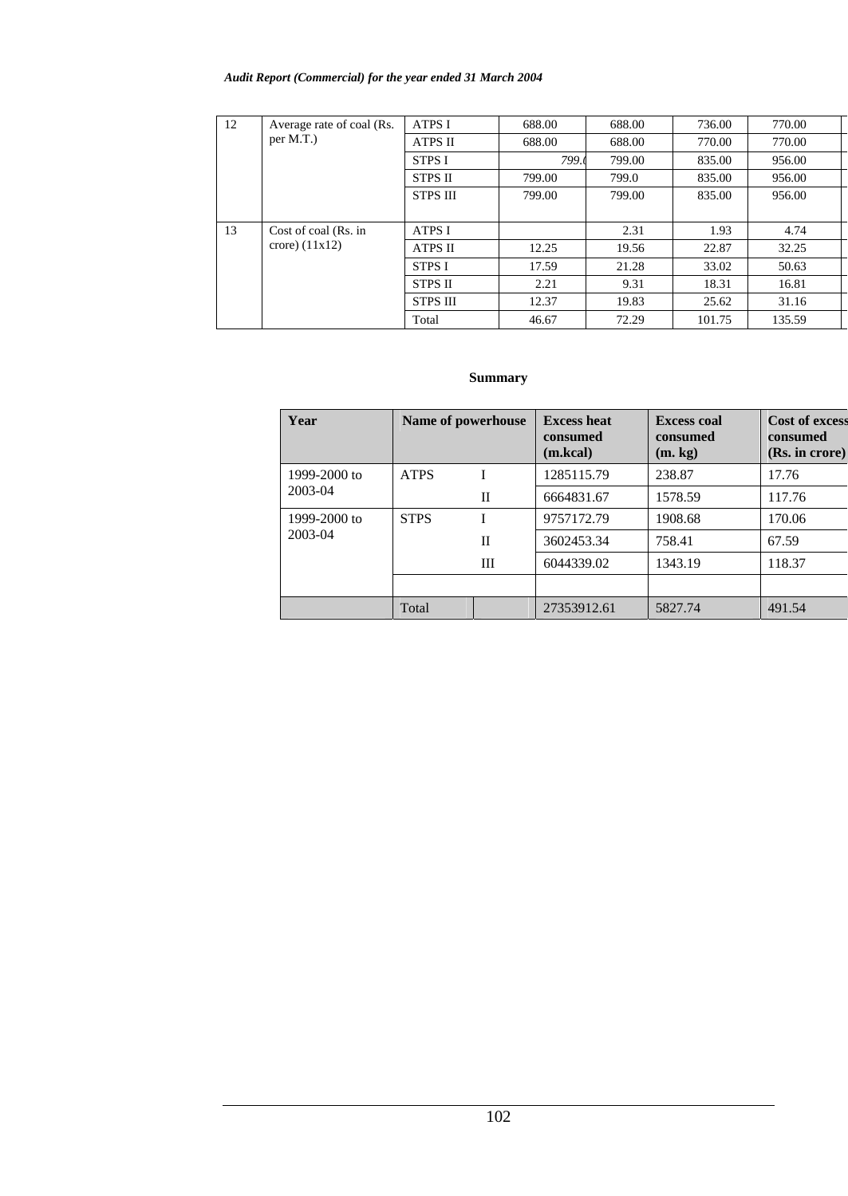## *Audit Report (Commercial) for the year ended 31 March 2004*

| 12 | Average rate of coal (Rs. | <b>ATPS I</b>   | 688.00 | 688.00 | 736.00 | 770.00 |
|----|---------------------------|-----------------|--------|--------|--------|--------|
|    | per M.T.)                 | ATPS II         | 688.00 | 688.00 | 770.00 | 770.00 |
|    |                           | <b>STPS I</b>   | 799.0  | 799.00 | 835.00 | 956.00 |
|    |                           | <b>STPS II</b>  | 799.00 | 799.0  | 835.00 | 956.00 |
|    |                           | <b>STPS III</b> | 799.00 | 799.00 | 835.00 | 956.00 |
|    |                           |                 |        |        |        |        |
| 13 | Cost of coal (Rs. in      | <b>ATPS I</b>   |        | 2.31   | 1.93   | 4.74   |
|    | crore) $(11x12)$          | <b>ATPS II</b>  | 12.25  | 19.56  | 22.87  | 32.25  |
|    |                           | <b>STPS I</b>   | 17.59  | 21.28  | 33.02  | 50.63  |
|    |                           | <b>STPS II</b>  | 2.21   | 9.31   | 18.31  | 16.81  |
|    |                           | <b>STPS III</b> | 12.37  | 19.83  | 25.62  | 31.16  |
|    |                           | Total           | 46.67  | 72.29  | 101.75 | 135.59 |

## **Summary**

| Year         | Name of powerhouse |   | <b>Excess heat</b><br>consumed<br>(m.kcal) | <b>Excess coal</b><br>consumed<br>(m, kg) | <b>Cost of excess</b><br>consumed<br>(Rs. in correct) |
|--------------|--------------------|---|--------------------------------------------|-------------------------------------------|-------------------------------------------------------|
| 1999-2000 to | <b>ATPS</b>        |   | 1285115.79                                 | 238.87                                    | 17.76                                                 |
| 2003-04      |                    | H | 6664831.67                                 | 1578.59                                   | 117.76                                                |
| 1999-2000 to | <b>STPS</b>        |   | 9757172.79                                 | 1908.68                                   | 170.06                                                |
| 2003-04      |                    | H | 3602453.34                                 | 758.41                                    | 67.59                                                 |
|              |                    | Ш | 6044339.02                                 | 1343.19                                   | 118.37                                                |
|              |                    |   |                                            |                                           |                                                       |
|              | Total              |   | 27353912.61                                | 5827.74                                   | 491.54                                                |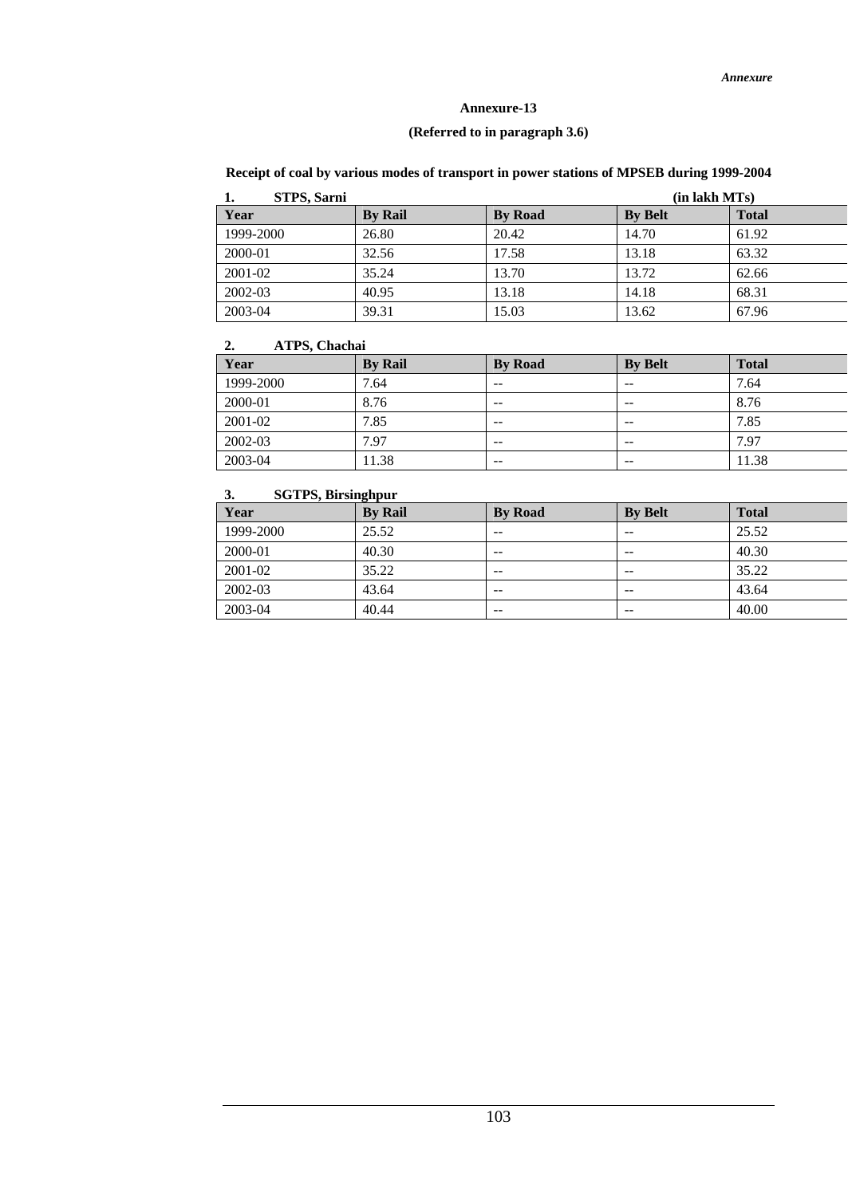## **(Referred to in paragraph 3.6)**

| STPS, Sarni | (in lakh MTs)  |                |                |              |  |  |  |
|-------------|----------------|----------------|----------------|--------------|--|--|--|
| Year        | <b>By Rail</b> | <b>By Road</b> | <b>By Belt</b> | <b>Total</b> |  |  |  |
| 1999-2000   | 26.80          | 20.42          | 14.70          | 61.92        |  |  |  |
| 2000-01     | 32.56          | 17.58          | 13.18          | 63.32        |  |  |  |
| 2001-02     | 35.24          | 13.70          | 13.72          | 62.66        |  |  |  |
| 2002-03     | 40.95          | 13.18          | 14.18          | 68.31        |  |  |  |
| 2003-04     | 39.31          | 15.03          | 13.62          | 67.96        |  |  |  |

# **Receipt of coal by various modes of transport in power stations of MPSEB during 1999-2004**

## **2. ATPS, Chachai**

| --<br>11111 |                |                |                |              |
|-------------|----------------|----------------|----------------|--------------|
| Year        | <b>By Rail</b> | <b>By Road</b> | <b>By Belt</b> | <b>Total</b> |
| 1999-2000   | 7.64           | $- -$          | $- -$          | 7.64         |
| 2000-01     | 8.76           | $- -$          | $- -$          | 8.76         |
| 2001-02     | 7.85           | $- -$          | $- -$          | 7.85         |
| 2002-03     | 7.97           | $- -$          | $- -$          | 7.97         |
| 2003-04     | 11.38          | $- -$          | $- -$          | 11.38        |

## **3. SGTPS, Birsinghpur**

| Year      | <b>By Rail</b> | <b>By Road</b> | <b>By Belt</b> | <b>Total</b> |
|-----------|----------------|----------------|----------------|--------------|
| 1999-2000 | 25.52          | $- -$          | --             | 25.52        |
| 2000-01   | 40.30          | $- -$          | $- -$          | 40.30        |
| 2001-02   | 35.22          | $- -$          | $- -$          | 35.22        |
| 2002-03   | 43.64          | $- -$          | $- -$          | 43.64        |
| 2003-04   | 40.44          | $- -$          | $- -$          | 40.00        |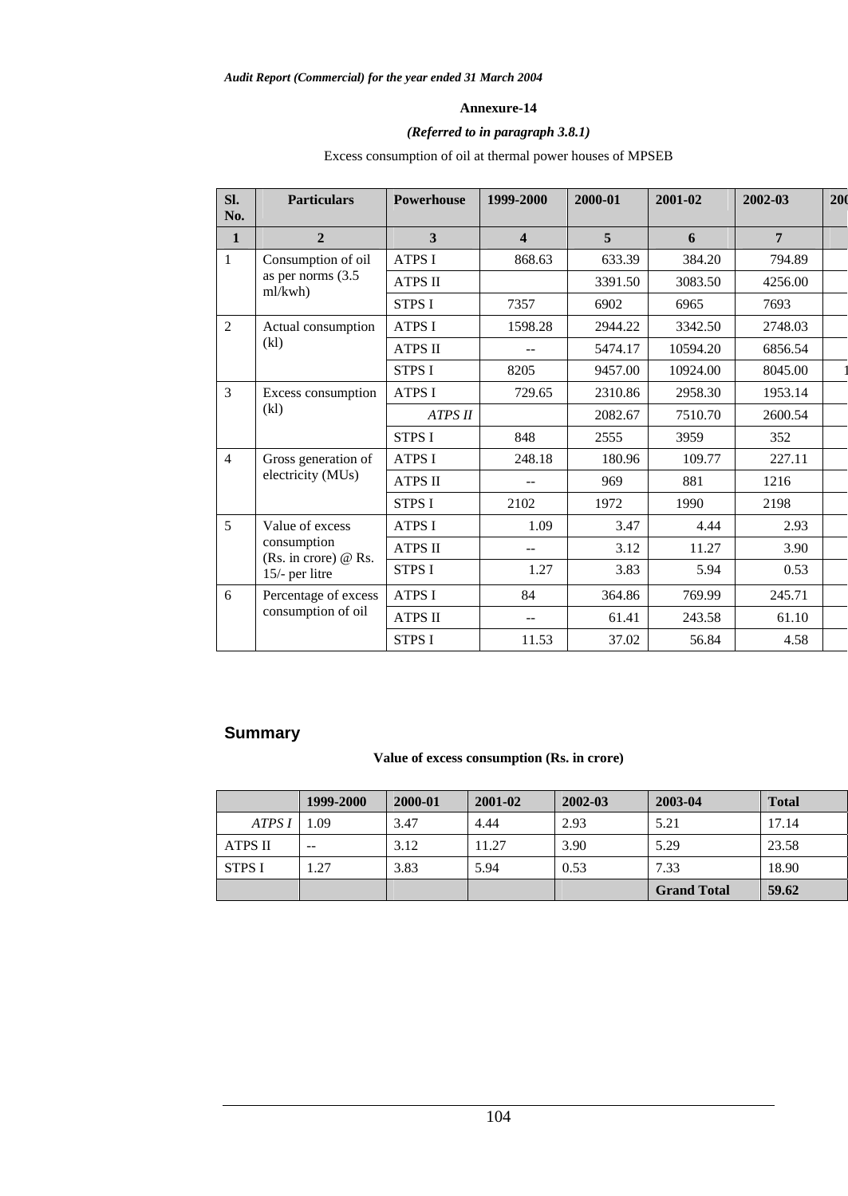## *(Referred to in paragraph 3.8.1)*

Excess consumption of oil at thermal power houses of MPSEB

| SI.<br>No.     | <b>Particulars</b>                    | <b>Powerhouse</b> | 1999-2000 | 2000-01 | 2001-02  | 2002-03        | 200 |
|----------------|---------------------------------------|-------------------|-----------|---------|----------|----------------|-----|
| $\mathbf{1}$   | $\overline{2}$                        | 3                 | 4         | 5       | 6        | $\overline{7}$ |     |
| 1              | Consumption of oil                    | <b>ATPS I</b>     | 868.63    | 633.39  | 384.20   | 794.89         |     |
|                | as per norms (3.5)<br>ml/kwh)         | <b>ATPS II</b>    |           | 3391.50 | 3083.50  | 4256.00        |     |
|                |                                       | <b>STPS I</b>     | 7357      | 6902    | 6965     | 7693           |     |
| 2              | Actual consumption                    | <b>ATPS I</b>     | 1598.28   | 2944.22 | 3342.50  | 2748.03        |     |
|                | (k)                                   | <b>ATPS II</b>    | $-1$      | 5474.17 | 10594.20 | 6856.54        |     |
|                |                                       | <b>STPS I</b>     | 8205      | 9457.00 | 10924.00 | 8045.00        |     |
| $\overline{3}$ | Excess consumption                    | <b>ATPS I</b>     | 729.65    | 2310.86 | 2958.30  | 1953.14        |     |
|                | (k)                                   | <b>ATPS II</b>    |           | 2082.67 | 7510.70  | 2600.54        |     |
|                |                                       | <b>STPS I</b>     | 848       | 2555    | 3959     | 352            |     |
| $\overline{4}$ | Gross generation of                   | <b>ATPS I</b>     | 248.18    | 180.96  | 109.77   | 227.11         |     |
|                | electricity (MUs)                     | <b>ATPS II</b>    |           | 969     | 881      | 1216           |     |
|                |                                       | <b>STPS I</b>     | 2102      | 1972    | 1990     | 2198           |     |
| $\overline{5}$ | Value of excess                       | <b>ATPS I</b>     | 1.09      | 3.47    | 4.44     | 2.93           |     |
|                | consumption<br>(Rs. in crore) $@$ Rs. | <b>ATPS II</b>    | --        | 3.12    | 11.27    | 3.90           |     |
|                | 15/- per litre                        | <b>STPS I</b>     | 1.27      | 3.83    | 5.94     | 0.53           |     |
| 6              | Percentage of excess                  | <b>ATPS I</b>     | 84        | 364.86  | 769.99   | 245.71         |     |
|                | consumption of oil                    | <b>ATPS II</b>    | $- -$     | 61.41   | 243.58   | 61.10          |     |
|                |                                       | <b>STPS I</b>     | 11.53     | 37.02   | 56.84    | 4.58           |     |

# **Summary**

## **Value of excess consumption (Rs. in crore)**

|                | 1999-2000 | 2000-01 | 2001-02 | 2002-03 | 2003-04            | <b>Total</b> |
|----------------|-----------|---------|---------|---------|--------------------|--------------|
| ATPS I         | .09       | 3.47    | 4.44    | 2.93    | 5.21               | 17.14        |
| <b>ATPS II</b> | $- -$     | 3.12    | 11.27   | 3.90    | 5.29               | 23.58        |
| <b>STPS I</b>  | .27       | 3.83    | 5.94    | 0.53    | 7.33               | 18.90        |
|                |           |         |         |         | <b>Grand Total</b> | 59.62        |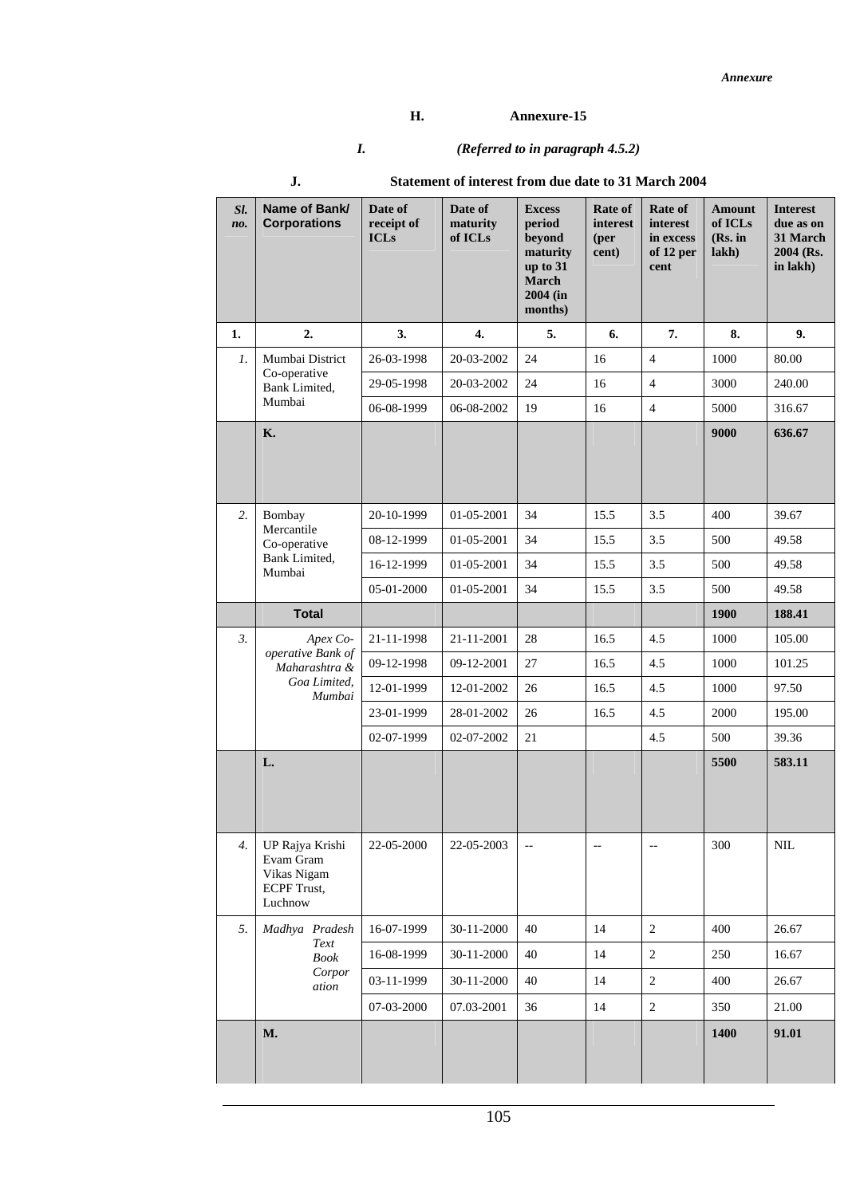## **H. Annexure-15**

# *I. (Referred to in paragraph 4.5.2)*

| Sl.<br>no.       | Name of Bank/<br><b>Corporations</b>                                         | Date of<br>receipt of<br><b>ICLs</b> | Date of<br>maturity<br>of ICLs | <b>Excess</b><br>period<br>beyond<br>maturity<br>up to 31<br>March<br>$2004$ (in<br>months) | Rate of<br>interest<br>(per<br>cent) | Rate of<br>interest<br>in excess<br>of 12 per<br>cent | <b>Amount</b><br>of ICLs<br>(Rs. in<br>lakh) | <b>Interest</b><br>due as on<br>31 March<br>2004 (Rs.<br>in lakh) |
|------------------|------------------------------------------------------------------------------|--------------------------------------|--------------------------------|---------------------------------------------------------------------------------------------|--------------------------------------|-------------------------------------------------------|----------------------------------------------|-------------------------------------------------------------------|
| 1.               | 2.                                                                           | 3.                                   | $\boldsymbol{4}$ .             | 5.                                                                                          | 6.                                   | 7.                                                    | 8.                                           | 9.                                                                |
| 1.               | Mumbai District<br>Co-operative                                              | 26-03-1998                           | 20-03-2002                     | 24                                                                                          | 16                                   | $\overline{4}$                                        | 1000                                         | 80.00                                                             |
|                  | Bank Limited,                                                                | 29-05-1998                           | 20-03-2002                     | 24                                                                                          | 16                                   | $\overline{4}$                                        | 3000                                         | 240.00                                                            |
|                  | Mumbai                                                                       | 06-08-1999                           | 06-08-2002                     | 19                                                                                          | 16                                   | $\overline{4}$                                        | 5000                                         | 316.67                                                            |
|                  | <b>K.</b>                                                                    |                                      |                                |                                                                                             |                                      |                                                       | 9000                                         | 636.67                                                            |
| 2.               | Bombay<br>Mercantile                                                         | 20-10-1999                           | 01-05-2001                     | 34                                                                                          | 15.5                                 | 3.5                                                   | 400                                          | 39.67                                                             |
|                  | Co-operative                                                                 | 08-12-1999                           | 01-05-2001                     | 34                                                                                          | 15.5                                 | 3.5                                                   | 500                                          | 49.58                                                             |
|                  | Bank Limited,<br>Mumbai                                                      | 16-12-1999                           | 01-05-2001                     | 34                                                                                          | 15.5                                 | 3.5                                                   | 500                                          | 49.58                                                             |
|                  |                                                                              | 05-01-2000                           | 01-05-2001                     | 34                                                                                          | 15.5                                 | 3.5                                                   | 500                                          | 49.58                                                             |
|                  | <b>Total</b>                                                                 |                                      |                                |                                                                                             |                                      |                                                       | <b>1900</b>                                  | 188.41                                                            |
| $\mathfrak{Z}$ . | Apex Co-                                                                     | 21-11-1998                           | 21-11-2001                     | 28                                                                                          | 16.5                                 | 4.5                                                   | 1000                                         | 105.00                                                            |
|                  | operative Bank of<br>Maharashtra &<br>Goa Limited,<br>Mumbai                 | 09-12-1998                           | 09-12-2001                     | 27                                                                                          | 16.5                                 | 4.5                                                   | 1000                                         | 101.25                                                            |
|                  |                                                                              | 12-01-1999                           | 12-01-2002                     | 26                                                                                          | 16.5                                 | 4.5                                                   | 1000                                         | 97.50                                                             |
|                  |                                                                              | 23-01-1999                           | 28-01-2002                     | 26                                                                                          | 16.5                                 | 4.5                                                   | 2000                                         | 195.00                                                            |
|                  |                                                                              | 02-07-1999                           | 02-07-2002                     | 21                                                                                          |                                      | 4.5                                                   | 500                                          | 39.36                                                             |
|                  | L.                                                                           |                                      |                                |                                                                                             |                                      |                                                       | 5500                                         | 583.11                                                            |
| 4.               | UP Rajya Krishi<br>Evam Gram<br>Vikas Nigam<br><b>ECPF</b> Trust,<br>Luchnow | 22-05-2000                           | 22-05-2003                     | $\overline{\phantom{a}}$                                                                    | $\overline{\phantom{a}}$             | $\overline{\phantom{a}}$                              | 300                                          | $\rm NIL$                                                         |
| 5.               | Madhya Pradesh                                                               | 16-07-1999                           | 30-11-2000                     | 40                                                                                          | 14                                   | $\overline{c}$                                        | 400                                          | 26.67                                                             |
|                  | Text<br><b>Book</b>                                                          | 16-08-1999                           | 30-11-2000                     | 40                                                                                          | 14                                   | $\overline{c}$                                        | 250                                          | 16.67                                                             |
|                  | Corpor<br>ation                                                              | 03-11-1999                           | 30-11-2000                     | 40                                                                                          | 14                                   | 2                                                     | 400                                          | 26.67                                                             |
|                  |                                                                              | 07-03-2000                           | 07.03-2001                     | 36                                                                                          | 14                                   | $\overline{c}$                                        | 350                                          | 21.00                                                             |
|                  | M.                                                                           |                                      |                                |                                                                                             |                                      |                                                       | 1400                                         | 91.01                                                             |
|                  |                                                                              |                                      |                                |                                                                                             |                                      |                                                       |                                              |                                                                   |

# **J. Statement of interest from due date to 31 March 2004**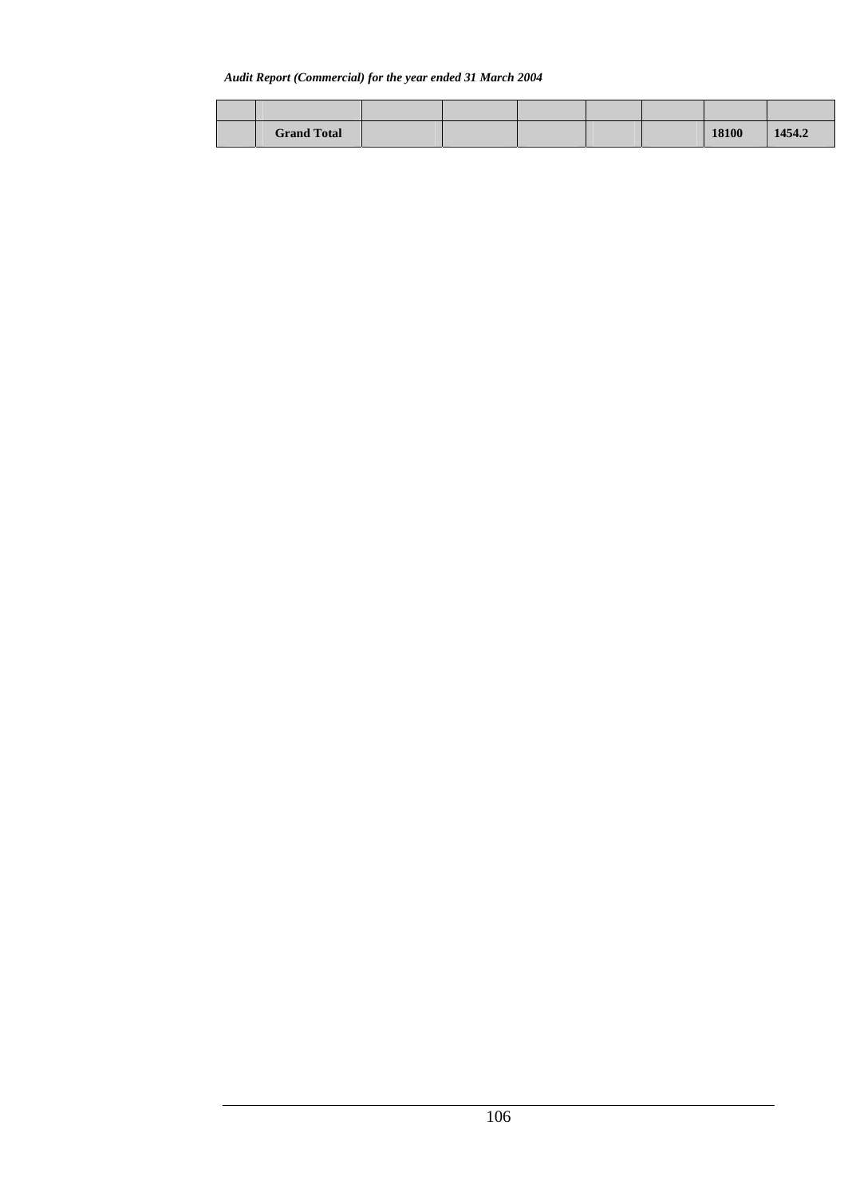#### *Audit Report (Commercial) for the year ended 31 March 2004*

| <b>Grand Total</b> |  |  | 18100 | 1454.2 |
|--------------------|--|--|-------|--------|
|                    |  |  |       |        |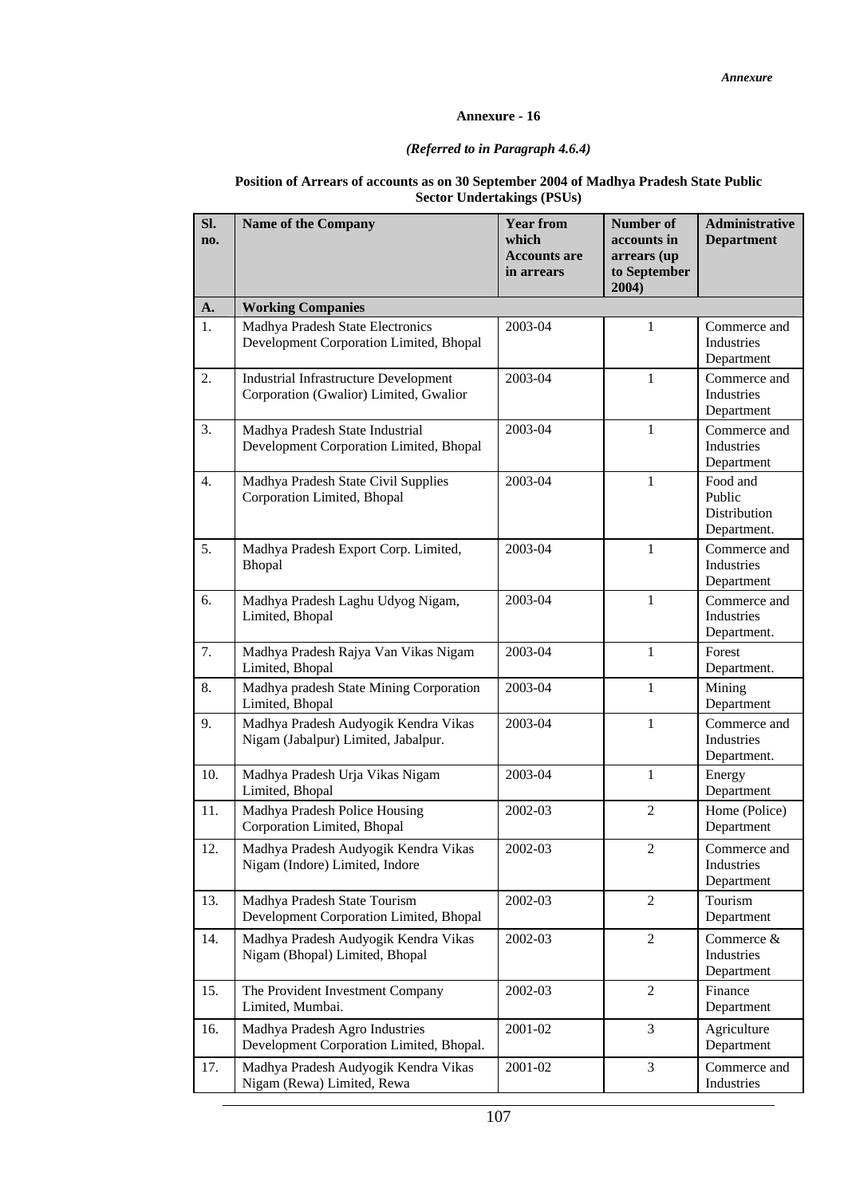## *(Referred to in Paragraph 4.6.4)*

#### **Position of Arrears of accounts as on 30 September 2004 of Madhya Pradesh State Public Sector Undertakings (PSUs)**

| SI.<br>no.       | <b>Name of the Company</b>                                                             | <b>Year from</b><br>which<br><b>Accounts are</b><br>in arrears | Number of<br>accounts in<br>arrears (up<br>to September<br>2004) | <b>Administrative</b><br><b>Department</b>               |
|------------------|----------------------------------------------------------------------------------------|----------------------------------------------------------------|------------------------------------------------------------------|----------------------------------------------------------|
| A.               | <b>Working Companies</b>                                                               |                                                                |                                                                  |                                                          |
| 1.               | Madhya Pradesh State Electronics<br>Development Corporation Limited, Bhopal            | 2003-04                                                        | $\mathbf{1}$                                                     | Commerce and<br>Industries<br>Department                 |
| 2.               | <b>Industrial Infrastructure Development</b><br>Corporation (Gwalior) Limited, Gwalior | 2003-04                                                        | $\mathbf{1}$                                                     | Commerce and<br>Industries<br>Department                 |
| 3.               | Madhya Pradesh State Industrial<br>Development Corporation Limited, Bhopal             | 2003-04                                                        | $\mathbf{1}$                                                     | Commerce and<br>Industries<br>Department                 |
| $\overline{4}$ . | Madhya Pradesh State Civil Supplies<br>Corporation Limited, Bhopal                     | 2003-04                                                        | $\mathbf{1}$                                                     | Food and<br>Public<br><b>Distribution</b><br>Department. |
| 5.               | Madhya Pradesh Export Corp. Limited,<br>Bhopal                                         | 2003-04                                                        | $\mathbf{1}$                                                     | Commerce and<br>Industries<br>Department                 |
| 6.               | Madhya Pradesh Laghu Udyog Nigam,<br>Limited, Bhopal                                   | 2003-04                                                        | $\mathbf{1}$                                                     | Commerce and<br>Industries<br>Department.                |
| 7.               | Madhya Pradesh Rajya Van Vikas Nigam<br>Limited, Bhopal                                | 2003-04                                                        | $\mathbf{1}$                                                     | Forest<br>Department.                                    |
| 8.               | Madhya pradesh State Mining Corporation<br>Limited, Bhopal                             | 2003-04                                                        | $\mathbf{1}$                                                     | Mining<br>Department                                     |
| 9.               | Madhya Pradesh Audyogik Kendra Vikas<br>Nigam (Jabalpur) Limited, Jabalpur.            | 2003-04                                                        | $\mathbf{1}$                                                     | Commerce and<br>Industries<br>Department.                |
| 10.              | Madhya Pradesh Urja Vikas Nigam<br>Limited, Bhopal                                     | 2003-04                                                        | $\mathbf{1}$                                                     | Energy<br>Department                                     |
| 11.              | Madhya Pradesh Police Housing<br>Corporation Limited, Bhopal                           | 2002-03                                                        | $\mathfrak{2}$                                                   | Home (Police)<br>Department                              |
| 12.              | Madhya Pradesh Audyogik Kendra Vikas<br>Nigam (Indore) Limited, Indore                 | 2002-03                                                        | 2                                                                | Commerce and<br>Industries<br>Department                 |
| 13.              | Madhya Pradesh State Tourism<br>Development Corporation Limited, Bhopal                | 2002-03                                                        | 2                                                                | Tourism<br>Department                                    |
| 14.              | Madhya Pradesh Audyogik Kendra Vikas<br>Nigam (Bhopal) Limited, Bhopal                 | 2002-03                                                        | $\overline{2}$                                                   | Commerce &<br>Industries<br>Department                   |
| 15.              | The Provident Investment Company<br>Limited, Mumbai.                                   | 2002-03                                                        | $\overline{2}$                                                   | Finance<br>Department                                    |
| 16.              | Madhya Pradesh Agro Industries<br>Development Corporation Limited, Bhopal.             | 2001-02                                                        | 3                                                                | Agriculture<br>Department                                |
| 17.              | Madhya Pradesh Audyogik Kendra Vikas<br>Nigam (Rewa) Limited, Rewa                     | 2001-02                                                        | 3                                                                | Commerce and<br>Industries                               |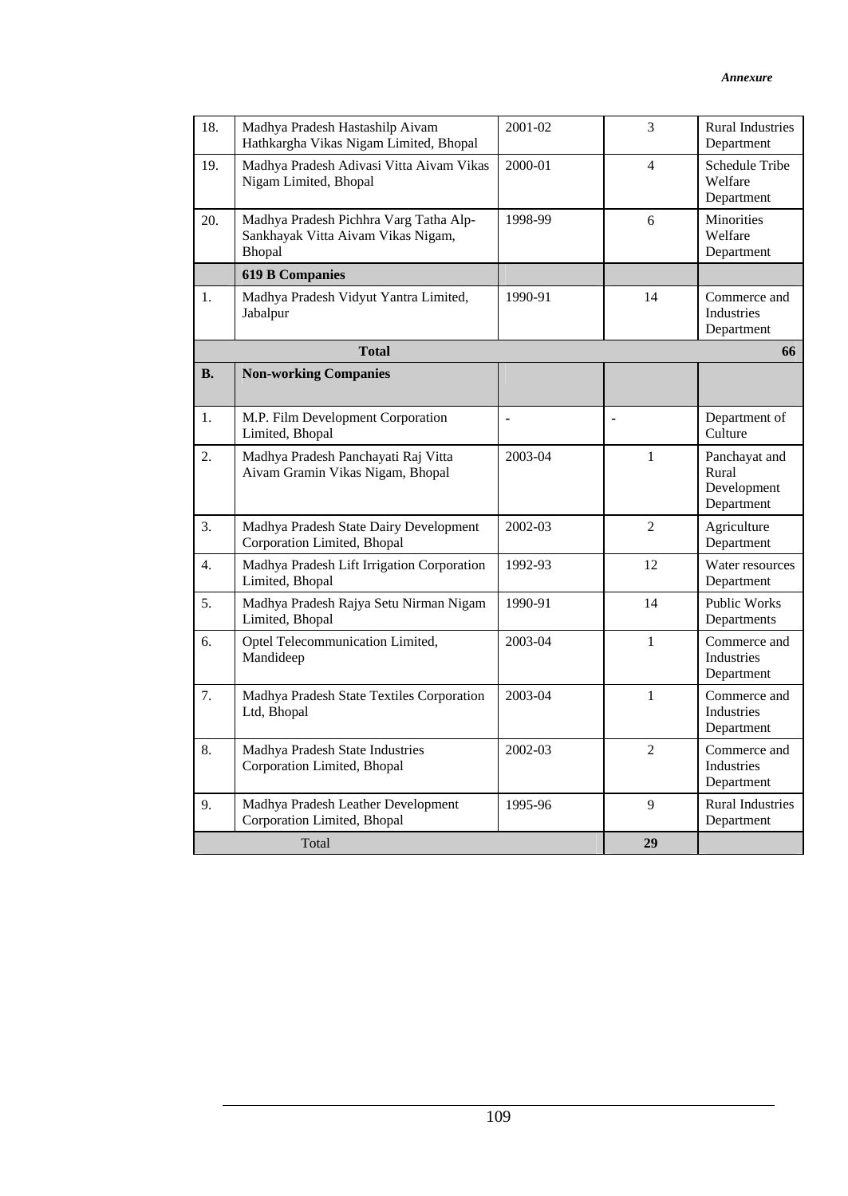| 18.       | Madhya Pradesh Hastashilp Aivam<br>Hathkargha Vikas Nigam Limited, Bhopal              | 2001-02 | 3              | <b>Rural Industries</b><br>Department               |
|-----------|----------------------------------------------------------------------------------------|---------|----------------|-----------------------------------------------------|
| 19.       | Madhya Pradesh Adivasi Vitta Aivam Vikas<br>Nigam Limited, Bhopal                      | 2000-01 | $\overline{4}$ | Schedule Tribe<br>Welfare<br>Department             |
| 20.       | Madhya Pradesh Pichhra Varg Tatha Alp-<br>Sankhayak Vitta Aivam Vikas Nigam,<br>Bhopal | 1998-99 | 6              | Minorities<br>Welfare<br>Department                 |
|           | <b>619 B Companies</b>                                                                 |         |                |                                                     |
| 1.        | Madhya Pradesh Vidyut Yantra Limited,<br>Jabalpur                                      | 1990-91 | 14             | Commerce and<br>Industries<br>Department            |
|           | <b>Total</b>                                                                           |         |                | 66                                                  |
| <b>B.</b> | <b>Non-working Companies</b>                                                           |         |                |                                                     |
| 1.        | M.P. Film Development Corporation<br>Limited, Bhopal                                   | ٠       | $\blacksquare$ | Department of<br>Culture                            |
| 2.        | Madhya Pradesh Panchayati Raj Vitta<br>Aivam Gramin Vikas Nigam, Bhopal                | 2003-04 | $\mathbf{1}$   | Panchayat and<br>Rural<br>Development<br>Department |
| 3.        | Madhya Pradesh State Dairy Development<br>Corporation Limited, Bhopal                  | 2002-03 | $\overline{2}$ | Agriculture<br>Department                           |
| 4.        | Madhya Pradesh Lift Irrigation Corporation<br>Limited, Bhopal                          | 1992-93 | 12             | Water resources<br>Department                       |
| 5.        | Madhya Pradesh Rajya Setu Nirman Nigam<br>Limited, Bhopal                              | 1990-91 | 14             | <b>Public Works</b><br>Departments                  |
| 6.        | Optel Telecommunication Limited,<br>Mandideep                                          | 2003-04 | $\mathbf{1}$   | Commerce and<br>Industries<br>Department            |
| 7.        | Madhya Pradesh State Textiles Corporation<br>Ltd, Bhopal                               | 2003-04 | $\mathbf{1}$   | Commerce and<br>Industries<br>Department            |
| 8.        | Madhya Pradesh State Industries<br>Corporation Limited, Bhopal                         | 2002-03 | $\overline{2}$ | Commerce and<br>Industries<br>Department            |
| 9.        | Madhya Pradesh Leather Development<br>Corporation Limited, Bhopal                      | 1995-96 | 9              | <b>Rural Industries</b><br>Department               |
|           | Total                                                                                  |         | 29             |                                                     |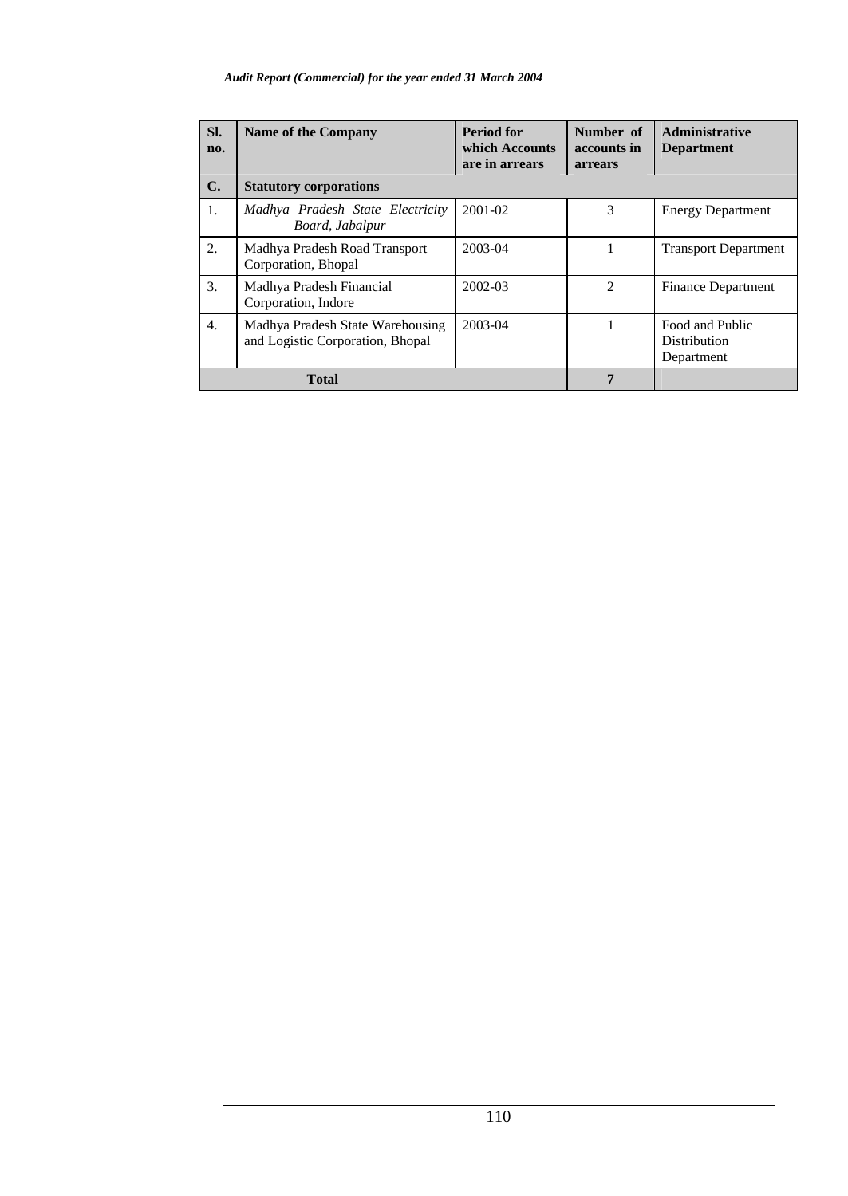## *Audit Report (Commercial) for the year ended 31 March 2004*

| SI.<br>no.       | <b>Name of the Company</b>                                           | <b>Period for</b><br>which Accounts<br>are in arrears | Number of<br>accounts in<br>arrears | Administrative<br><b>Department</b>                  |
|------------------|----------------------------------------------------------------------|-------------------------------------------------------|-------------------------------------|------------------------------------------------------|
| $\mathbf{C}$ .   | <b>Statutory corporations</b>                                        |                                                       |                                     |                                                      |
| 1.               | Madhya Pradesh State Electricity<br>Board, Jabalpur                  | $2001 - 02$                                           | 3                                   | <b>Energy Department</b>                             |
| 2.               | Madhya Pradesh Road Transport<br>Corporation, Bhopal                 | 2003-04                                               | J.                                  | <b>Transport Department</b>                          |
| 3.               | Madhya Pradesh Financial<br>Corporation, Indore                      | 2002-03                                               | $\mathcal{D}_{\mathcal{L}}$         | <b>Finance Department</b>                            |
| $\overline{4}$ . | Madhya Pradesh State Warehousing<br>and Logistic Corporation, Bhopal | 2003-04                                               |                                     | Food and Public<br><b>Distribution</b><br>Department |
| <b>Total</b>     |                                                                      |                                                       | 7                                   |                                                      |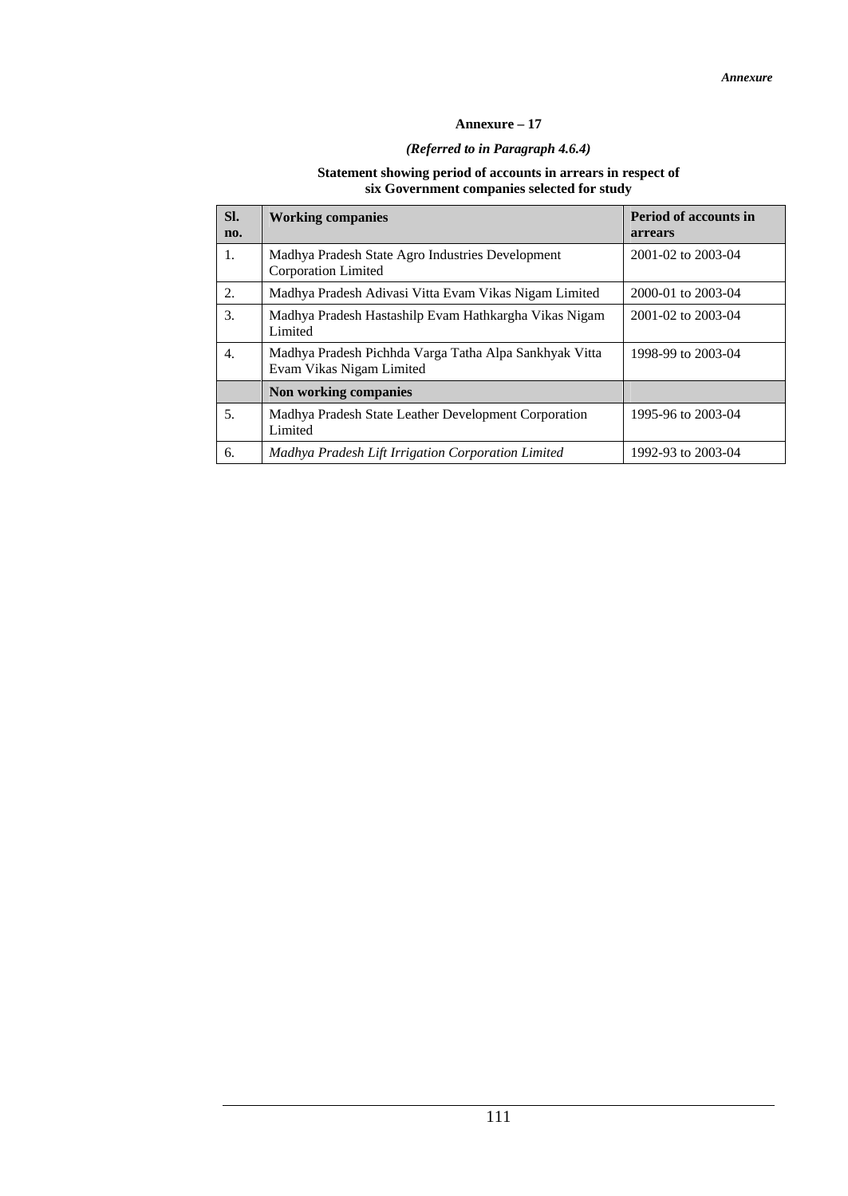## **Annexure – 17**

## *(Referred to in Paragraph 4.6.4)*

#### **Statement showing period of accounts in arrears in respect of six Government companies selected for study**

| SI.<br>no. | <b>Working companies</b>                                                           | <b>Period of accounts in</b><br>arrears |
|------------|------------------------------------------------------------------------------------|-----------------------------------------|
| 1.         | Madhya Pradesh State Agro Industries Development<br>Corporation Limited            | 2001-02 to 2003-04                      |
| 2.         | Madhya Pradesh Adivasi Vitta Evam Vikas Nigam Limited                              | 2000-01 to 2003-04                      |
| 3.         | Madhya Pradesh Hastashilp Evam Hathkargha Vikas Nigam<br>Limited                   | 2001-02 to 2003-04                      |
| 4.         | Madhya Pradesh Pichhda Varga Tatha Alpa Sankhyak Vitta<br>Evam Vikas Nigam Limited | 1998-99 to 2003-04                      |
|            | Non working companies                                                              |                                         |
| 5.         | Madhya Pradesh State Leather Development Corporation<br>Limited                    | 1995-96 to 2003-04                      |
| 6.         | Madhya Pradesh Lift Irrigation Corporation Limited                                 | 1992-93 to 2003-04                      |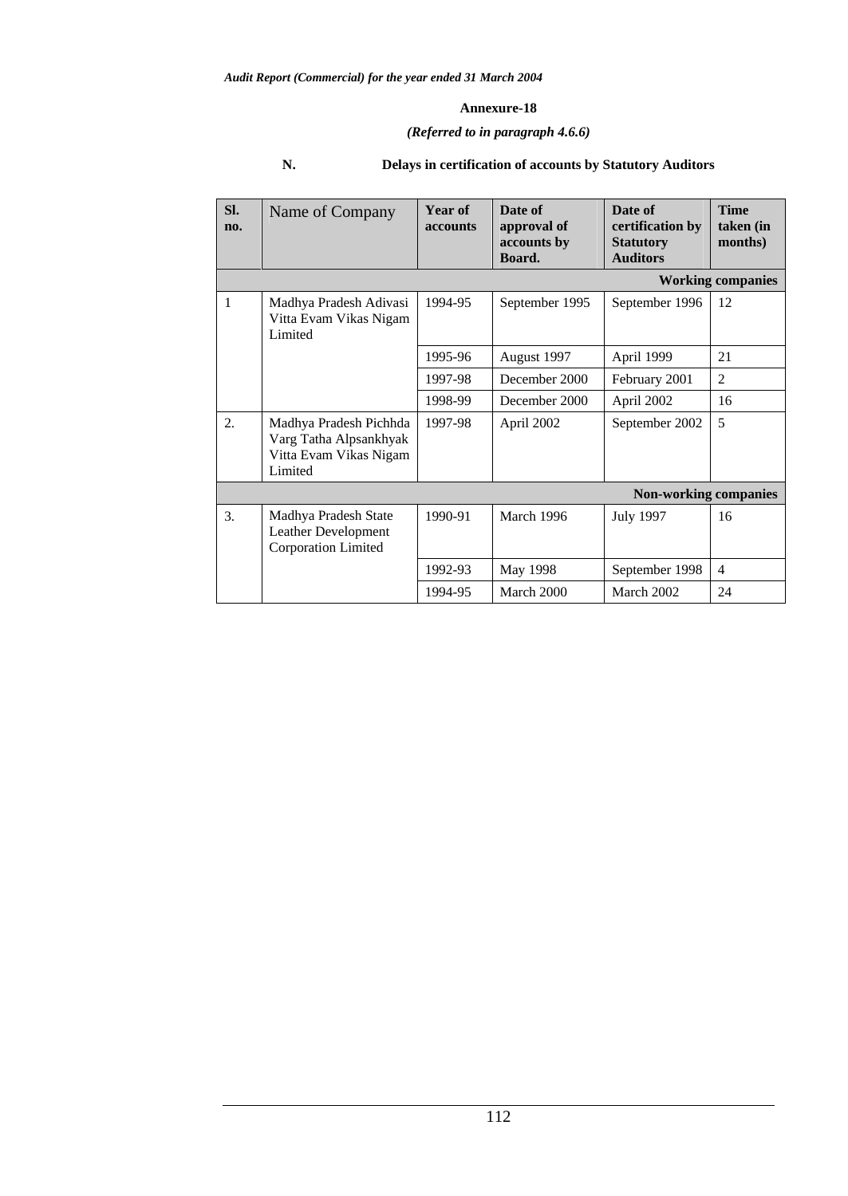## *(Referred to in paragraph 4.6.6)*

| Sl.<br>no. | Name of Company                                                                       | Year of<br><b>accounts</b> | Date of<br>approval of<br>accounts by<br>Board. | Date of<br>certification by<br><b>Statutory</b><br><b>Auditors</b> | <b>Time</b><br>taken (in<br>months) |
|------------|---------------------------------------------------------------------------------------|----------------------------|-------------------------------------------------|--------------------------------------------------------------------|-------------------------------------|
|            |                                                                                       |                            |                                                 |                                                                    | <b>Working companies</b>            |
| 1          | Madhya Pradesh Adivasi<br>Vitta Evam Vikas Nigam<br>Limited                           | 1994-95                    | September 1995                                  | September 1996                                                     | 12                                  |
|            |                                                                                       | 1995-96                    | August 1997                                     | April 1999                                                         | 21                                  |
|            |                                                                                       | 1997-98                    | December 2000                                   | February 2001                                                      | $\overline{2}$                      |
|            |                                                                                       | 1998-99                    | December 2000                                   | April 2002                                                         | 16                                  |
| 2.         | Madhya Pradesh Pichhda<br>Varg Tatha Alpsankhyak<br>Vitta Evam Vikas Nigam<br>Limited | 1997-98                    | April 2002                                      | September 2002                                                     | 5                                   |
|            |                                                                                       |                            |                                                 | <b>Non-working companies</b>                                       |                                     |
| 3.         | Madhya Pradesh State<br>Leather Development<br><b>Corporation Limited</b>             | 1990-91                    | March 1996                                      | <b>July 1997</b>                                                   | 16                                  |
|            |                                                                                       | 1992-93                    | May 1998                                        | September 1998                                                     | $\overline{4}$                      |
|            |                                                                                       | 1994-95                    | March 2000                                      | March 2002                                                         | 24                                  |

## **N. Delays in certification of accounts by Statutory Auditors**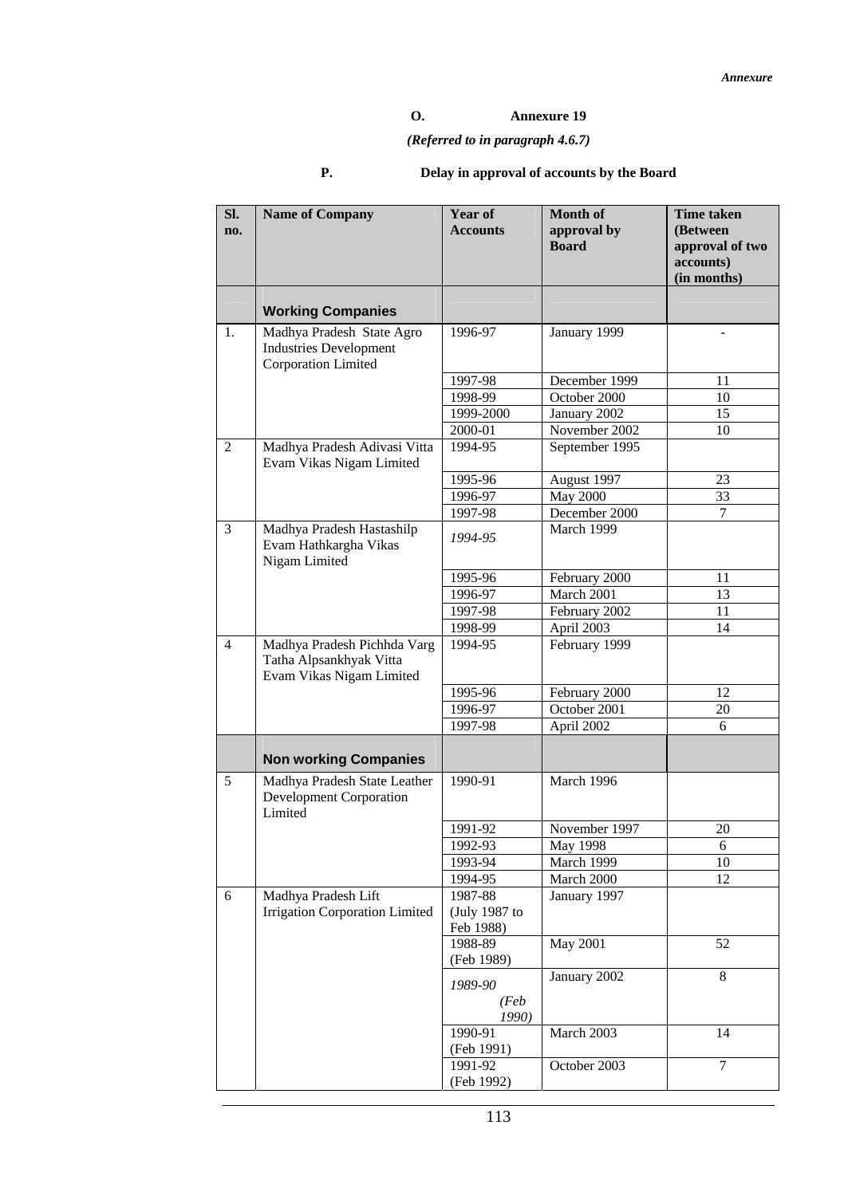## **O. Annexure 19**

# *(Referred to in paragraph 4.6.7)*

# **P. Delay in approval of accounts by the Board**

| SI.<br>no.     | <b>Name of Company</b>                                                             | <b>Year of</b><br><b>Accounts</b> | <b>Month of</b><br>approval by<br><b>Board</b> | <b>Time taken</b><br>(Between<br>approval of two<br>accounts)<br>(in months) |
|----------------|------------------------------------------------------------------------------------|-----------------------------------|------------------------------------------------|------------------------------------------------------------------------------|
|                | <b>Working Companies</b>                                                           |                                   |                                                |                                                                              |
| 1.             | Madhya Pradesh State Agro<br><b>Industries Development</b><br>Corporation Limited  | 1996-97                           | January 1999                                   | $\sim$                                                                       |
|                |                                                                                    | 1997-98                           | December 1999                                  | 11                                                                           |
|                |                                                                                    | 1998-99                           | October 2000                                   | 10                                                                           |
|                |                                                                                    | 1999-2000                         | January 2002                                   | 15                                                                           |
|                |                                                                                    | 2000-01                           | November 2002                                  | 10                                                                           |
| 2              | Madhya Pradesh Adivasi Vitta<br>Evam Vikas Nigam Limited                           | 1994-95                           | September 1995                                 |                                                                              |
|                |                                                                                    | 1995-96                           | August 1997                                    | 23                                                                           |
|                |                                                                                    | 1996-97                           | May 2000                                       | 33                                                                           |
|                |                                                                                    | 1997-98                           | December 2000                                  | 7                                                                            |
| $\overline{3}$ | Madhya Pradesh Hastashilp<br>Evam Hathkargha Vikas<br>Nigam Limited                | 1994-95                           | March 1999                                     |                                                                              |
|                |                                                                                    | 1995-96                           | February 2000                                  | 11                                                                           |
|                |                                                                                    | 1996-97                           | March 2001                                     | 13                                                                           |
|                |                                                                                    | 1997-98                           | February 2002                                  | 11                                                                           |
|                |                                                                                    | 1998-99                           | April 2003                                     | 14                                                                           |
| $\overline{4}$ | Madhya Pradesh Pichhda Varg<br>Tatha Alpsankhyak Vitta<br>Evam Vikas Nigam Limited | 1994-95                           | February 1999                                  |                                                                              |
|                |                                                                                    | 1995-96                           | February 2000                                  | 12                                                                           |
|                |                                                                                    | 1996-97                           | October 2001                                   | 20                                                                           |
|                |                                                                                    | 1997-98                           | April 2002                                     | 6                                                                            |
|                | <b>Non working Companies</b>                                                       |                                   |                                                |                                                                              |
| 5              | Madhya Pradesh State Leather<br><b>Development Corporation</b><br>Limited          | 1990-91                           | March 1996                                     |                                                                              |
|                |                                                                                    | 1991-92                           | November 1997                                  | 20                                                                           |
|                |                                                                                    | 1992-93                           | May 1998                                       | 6                                                                            |
|                |                                                                                    | 1993-94                           | March 1999                                     | 10                                                                           |
|                |                                                                                    | 1994-95                           | March 2000                                     | 12                                                                           |
| 6              | Madhya Pradesh Lift<br>Irrigation Corporation Limited                              | 1987-88<br>(July 1987 to          | January 1997                                   |                                                                              |
|                |                                                                                    | Feb 1988)                         |                                                |                                                                              |
|                |                                                                                    | 1988-89                           | <b>May 2001</b>                                | 52                                                                           |
|                |                                                                                    | (Feb 1989)<br>1989-90             | January 2002                                   | $\,8\,$                                                                      |
|                |                                                                                    | (Feb)<br>1990)                    |                                                |                                                                              |
|                |                                                                                    | 1990-91<br>(Feb 1991)             | March 2003                                     | 14                                                                           |
|                |                                                                                    | 1991-92<br>(Feb 1992)             | October 2003                                   | $\overline{7}$                                                               |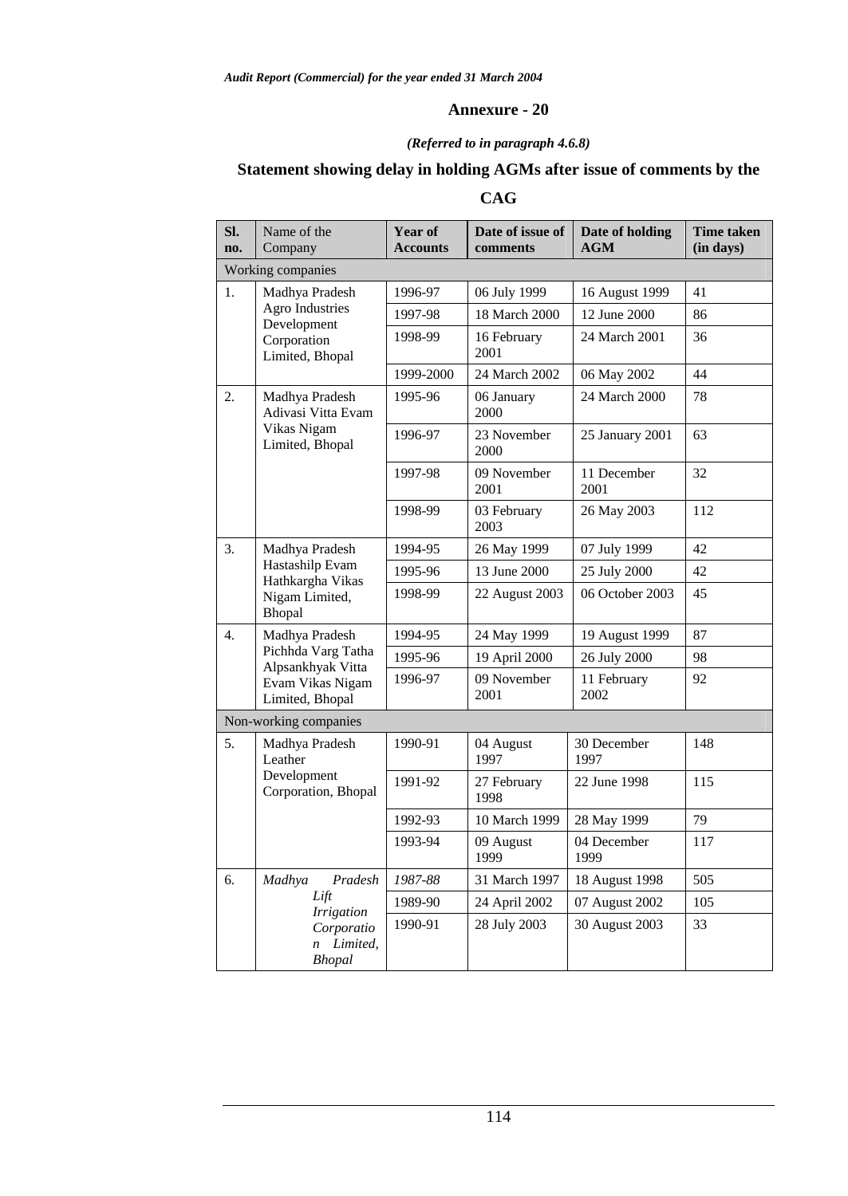## *(Referred to in paragraph 4.6.8)*

# **Statement showing delay in holding AGMs after issue of comments by the**

# **CAG**

| Sl.<br>no.       | Name of the<br>Company                       | Year of<br><b>Accounts</b> | Date of issue of<br>comments  | Date of holding<br><b>AGM</b> | <b>Time taken</b><br>(in days) |
|------------------|----------------------------------------------|----------------------------|-------------------------------|-------------------------------|--------------------------------|
|                  | Working companies                            |                            |                               |                               |                                |
| 1.               | Madhya Pradesh                               | 1996-97                    | 06 July 1999                  | 16 August 1999                | 41                             |
|                  | <b>Agro Industries</b><br>Development        | 1997-98                    | 18 March 2000<br>12 June 2000 |                               | 86                             |
|                  | Corporation<br>Limited, Bhopal               | 1998-99                    | 16 February<br>2001           | 24 March 2001                 | 36                             |
|                  |                                              | 1999-2000                  | 24 March 2002                 | 06 May 2002                   | 44                             |
| 2.               | Madhya Pradesh<br>Adivasi Vitta Evam         | 1995-96                    | 06 January<br>2000            | 24 March 2000                 | 78                             |
|                  | Vikas Nigam<br>Limited, Bhopal               | 1996-97                    | 23 November<br>2000           | 25 January 2001               | 63                             |
|                  |                                              | 1997-98                    | 09 November<br>2001           | 11 December<br>2001           | 32                             |
|                  |                                              | 1998-99                    | 03 February<br>2003           | 26 May 2003                   | 112                            |
| 3.               | Madhya Pradesh                               | 1994-95                    | 26 May 1999                   | 07 July 1999                  | 42                             |
|                  | Hastashilp Evam<br>Hathkargha Vikas          | 1995-96                    | 13 June 2000                  | 25 July 2000                  | 42                             |
|                  | Nigam Limited,<br>Bhopal                     | 1998-99                    | 22 August 2003                | 06 October 2003               | 45                             |
| $\overline{4}$ . | Madhya Pradesh                               | 1994-95                    | 24 May 1999                   | 19 August 1999                | 87                             |
|                  | Pichhda Varg Tatha<br>Alpsankhyak Vitta      | 1995-96                    | 19 April 2000                 | 26 July 2000                  | 98                             |
|                  | Evam Vikas Nigam<br>Limited, Bhopal          | 1996-97                    | 09 November<br>2001           | 11 February<br>2002           | 92                             |
|                  | Non-working companies                        |                            |                               |                               |                                |
| 5.               | Madhya Pradesh<br>Leather                    | 1990-91                    | 04 August<br>1997             | 30 December<br>1997           | 148                            |
|                  | Development<br>Corporation, Bhopal           | 1991-92                    | 27 February<br>1998           | 22 June 1998                  | 115                            |
|                  |                                              | 1992-93                    | 10 March 1999                 | 28 May 1999                   | 79                             |
|                  |                                              | 1993-94                    | 09 August<br>1999             | 04 December<br>1999           | 117                            |
| 6.               | Madhya<br>Pradesh                            | 1987-88                    | 31 March 1997                 | 18 August 1998                | 505                            |
|                  | Lift<br><b>Irrigation</b>                    | 1989-90                    | 24 April 2002                 | 07 August 2002                | 105                            |
|                  | Corporatio<br>Limited,<br>n<br><b>Bhopal</b> | 1990-91                    | 28 July 2003                  | 30 August 2003                | 33                             |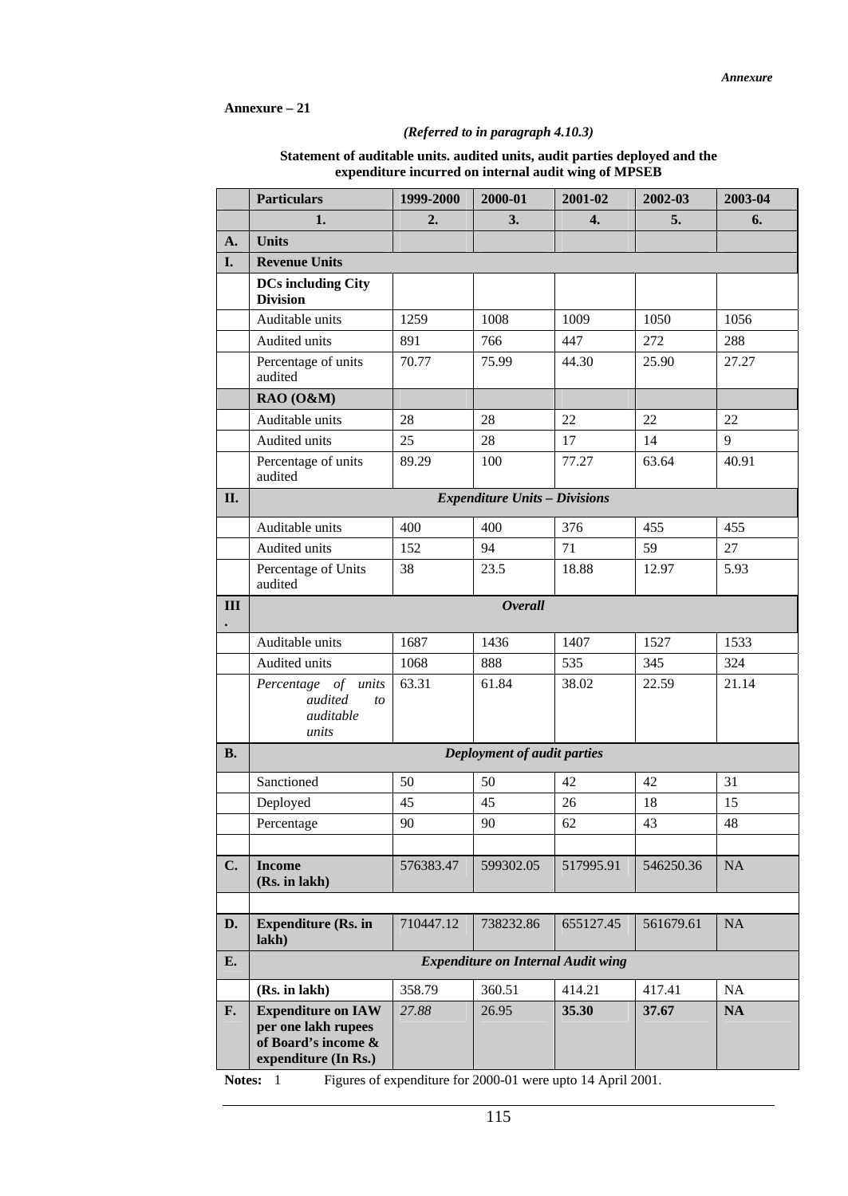## **Annexure – 21**

## *(Referred to in paragraph 4.10.3)*

| Statement of auditable units. audited units, audit parties deployed and the |  |
|-----------------------------------------------------------------------------|--|
| expenditure incurred on internal audit wing of MPSEB                        |  |

|              | <b>Particulars</b>                                                                                   | 1999-2000 | 2000-01                                   | 2001-02          | 2002-03   | 2003-04 |  |  |
|--------------|------------------------------------------------------------------------------------------------------|-----------|-------------------------------------------|------------------|-----------|---------|--|--|
|              | 1.                                                                                                   | 2.        | 3.                                        | $\overline{4}$ . | 5.        | 6.      |  |  |
| A.           | <b>Units</b>                                                                                         |           |                                           |                  |           |         |  |  |
| I.           | <b>Revenue Units</b>                                                                                 |           |                                           |                  |           |         |  |  |
|              | <b>DCs including City</b><br><b>Division</b>                                                         |           |                                           |                  |           |         |  |  |
|              | Auditable units                                                                                      | 1259      | 1008                                      | 1009             | 1050      | 1056    |  |  |
|              | Audited units                                                                                        | 891       | 766                                       | 447              | 272       | 288     |  |  |
|              | Percentage of units<br>audited                                                                       | 70.77     | 75.99                                     | 44.30            | 25.90     | 27.27   |  |  |
|              | RAO (O&M)                                                                                            |           |                                           |                  |           |         |  |  |
|              | Auditable units                                                                                      | 28        | 28                                        | 22               | 22        | 22      |  |  |
|              | Audited units                                                                                        | 25        | 28                                        | 17               | 14        | 9       |  |  |
|              | Percentage of units<br>audited                                                                       | 89.29     | 100                                       | 77.27            | 63.64     | 40.91   |  |  |
| II.          |                                                                                                      |           | <b>Expenditure Units - Divisions</b>      |                  |           |         |  |  |
|              | Auditable units                                                                                      | 400       | 400                                       | 376              | 455       | 455     |  |  |
|              | Audited units                                                                                        | 152       | 94                                        | 71               | 59        | 27      |  |  |
|              | Percentage of Units<br>audited                                                                       | 38        | 23.5                                      | 18.88            | 12.97     | 5.93    |  |  |
| III          |                                                                                                      |           | <b>Overall</b>                            |                  |           |         |  |  |
|              | Auditable units                                                                                      | 1687      | 1436                                      | 1407             | 1527      | 1533    |  |  |
|              | Audited units                                                                                        | 1068      | 888                                       | 535              | 345       | 324     |  |  |
|              | Percentage of units<br>audited<br>to<br>auditable<br>units                                           | 63.31     | 61.84                                     | 38.02            | 22.59     | 21.14   |  |  |
| <b>B.</b>    |                                                                                                      |           | Deployment of audit parties               |                  |           |         |  |  |
|              | Sanctioned                                                                                           | 50        | 50                                        | 42               | 42        | 31      |  |  |
|              | Deployed                                                                                             | 45        | 45                                        | 26               | 18        | 15      |  |  |
|              | Percentage                                                                                           | 90        | 90                                        | 62               | 43        | 48      |  |  |
|              |                                                                                                      |           |                                           |                  |           |         |  |  |
| C.           | <b>Income</b><br>(Rs. in lakh)                                                                       | 576383.47 | 599302.05                                 | 517995.91        | 546250.36 | NA      |  |  |
|              |                                                                                                      |           |                                           |                  |           |         |  |  |
| D.           | <b>Expenditure (Rs. in</b><br>lakh)                                                                  | 710447.12 | 738232.86                                 | 655127.45        | 561679.61 | NA      |  |  |
| E.           |                                                                                                      |           | <b>Expenditure on Internal Audit wing</b> |                  |           |         |  |  |
|              | (Rs. in lakh)                                                                                        | 358.79    | 360.51                                    | 414.21           | 417.41    | NA      |  |  |
| F.<br>Notes: | <b>Expenditure on IAW</b><br>per one lakh rupees<br>of Board's income &<br>expenditure (In Rs.)<br>1 | 27.88     | 26.95                                     | 35.30            | 37.67     | NA      |  |  |
|              | Figures of expenditure for 2000-01 were upto 14 April 2001.                                          |           |                                           |                  |           |         |  |  |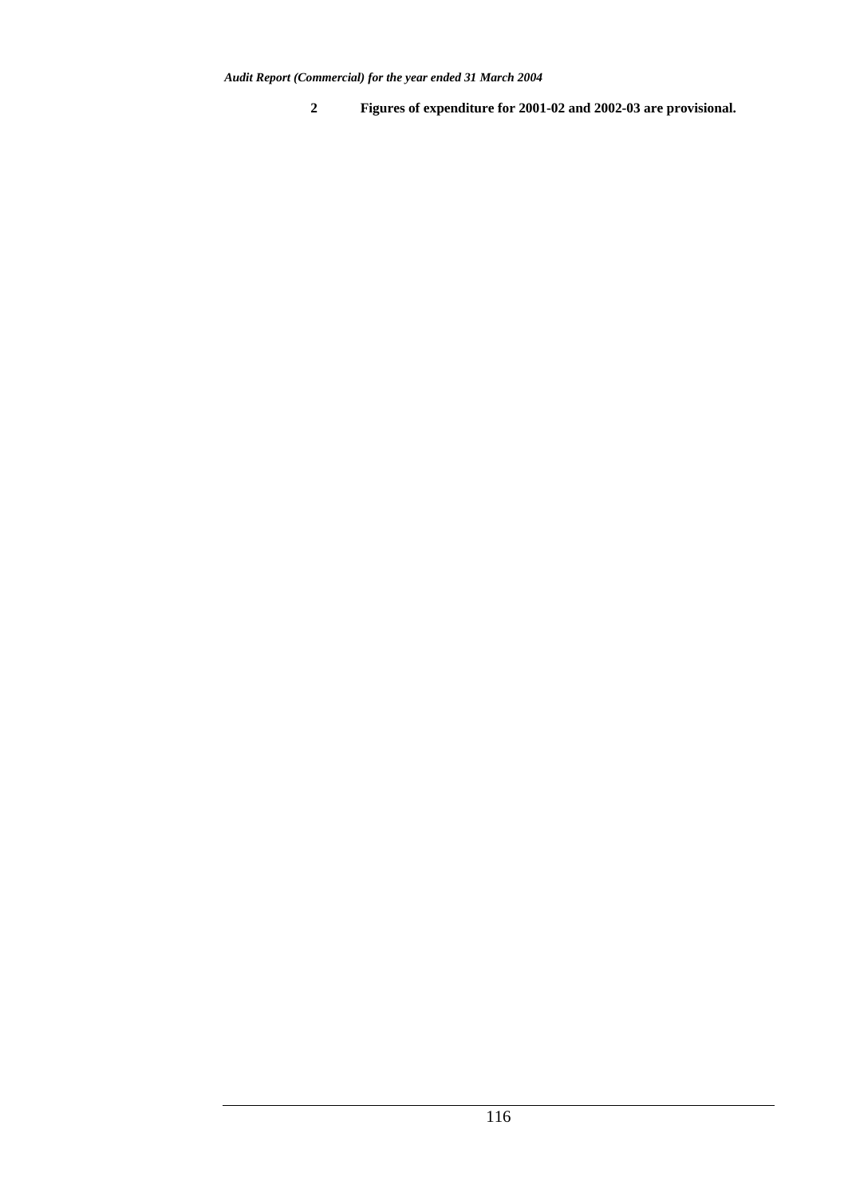**2 Figures of expenditure for 2001-02 and 2002-03 are provisional.**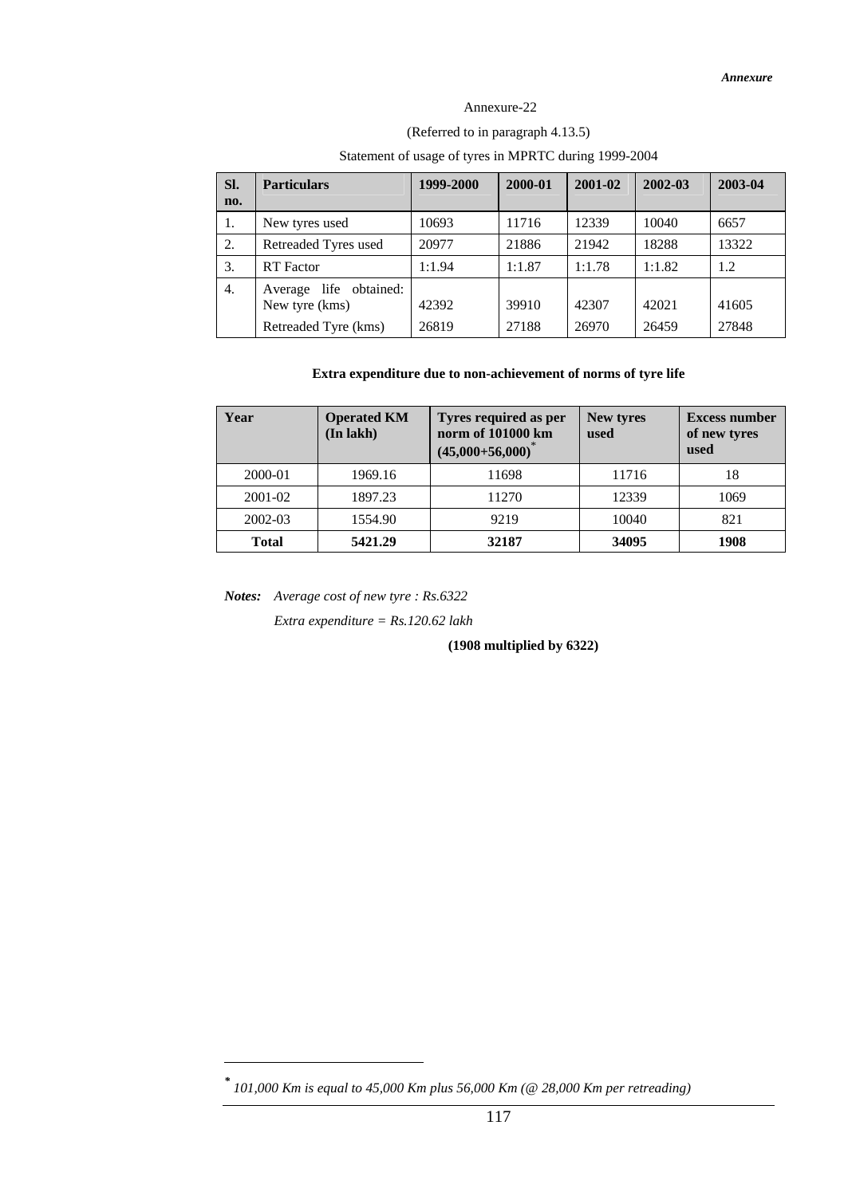## Annexure-22

## (Referred to in paragraph 4.13.5)

## Statement of usage of tyres in MPRTC during 1999-2004

| SI.<br>no. | <b>Particulars</b>                       | 1999-2000 | 2000-01 | 2001-02 | 2002-03 | 2003-04 |
|------------|------------------------------------------|-----------|---------|---------|---------|---------|
| 1.         | New tyres used                           | 10693     | 11716   | 12339   | 10040   | 6657    |
| 2.         | Retreaded Tyres used                     | 20977     | 21886   | 21942   | 18288   | 13322   |
| 3.         | <b>RT</b> Factor                         | 1:1.94    | 1:1.87  | 1:1.78  | 1:1.82  | 1.2     |
| 4.         | Average life obtained:<br>New tyre (kms) | 42392     | 39910   | 42307   | 42021   | 41605   |
|            | Retreaded Tyre (kms)                     | 26819     | 27188   | 26970   | 26459   | 27848   |

## **Extra expenditure due to non-achievement of norms of tyre life**

| Year         | <b>Operated KM</b><br>(In lakh) | Tyres required as per<br>norm of 101000 km<br>$(45,000+56,000)$ |       | <b>Excess number</b><br>of new tyres<br>used |  |
|--------------|---------------------------------|-----------------------------------------------------------------|-------|----------------------------------------------|--|
| 2000-01      | 1969.16                         | 11698                                                           | 11716 | 18                                           |  |
| 2001-02      | 1897.23                         | 11270                                                           | 12339 | 1069                                         |  |
| 2002-03      | 1554.90                         | 9219                                                            | 10040 | 821                                          |  |
| <b>Total</b> | 5421.29                         | 32187                                                           | 34095 | 1908                                         |  |

*Notes: Average cost of new tyre : Rs.6322*

 $\overline{a}$ 

*Extra expenditure = Rs.120.62 lakh*

**(1908 multiplied by 6322)**

*<sup>\*</sup> 101,000 Km is equal to 45,000 Km plus 56,000 Km (@ 28,000 Km per retreading)*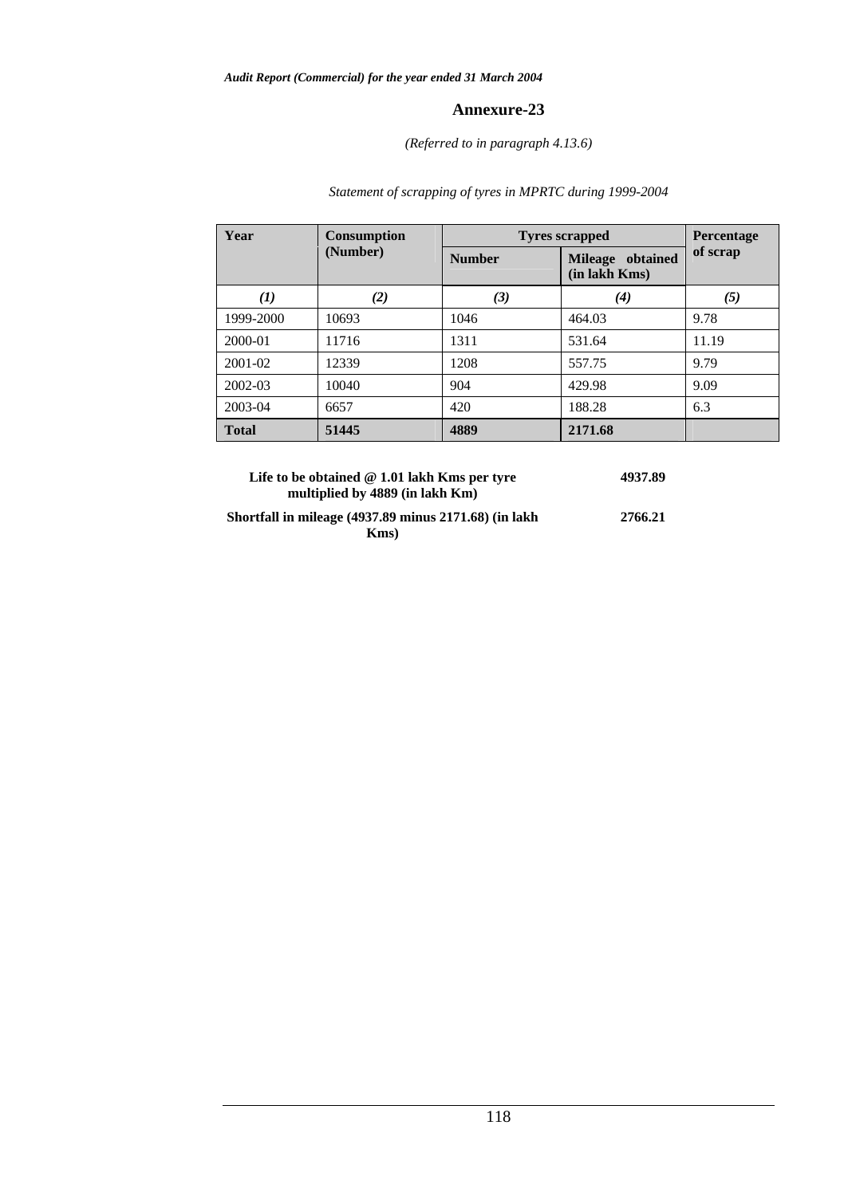## *(Referred to in paragraph 4.13.6)*

# *Statement of scrapping of tyres in MPRTC during 1999-2004*

| Year         | <b>Consumption</b> | <b>Tyres scrapped</b> | Percentage                        |          |  |
|--------------|--------------------|-----------------------|-----------------------------------|----------|--|
|              | (Number)           | <b>Number</b>         | Mileage obtained<br>(in lakh Kms) | of scrap |  |
| (1)          | (2)                | (3)                   | $\boldsymbol{r}(4)$               | (5)      |  |
| 1999-2000    | 10693              | 1046                  | 464.03                            | 9.78     |  |
| 2000-01      | 11716              | 1311                  | 531.64                            | 11.19    |  |
| $2001 - 02$  | 12339              | 1208                  | 557.75                            | 9.79     |  |
| 2002-03      | 10040              | 904                   | 429.98                            | 9.09     |  |
| 2003-04      | 6657               | 420                   | 188.28                            | 6.3      |  |
| <b>Total</b> | 51445              | 4889                  | 2171.68                           |          |  |

| Life to be obtained $@1.01$ lakh Kms per tyre<br>multiplied by 4889 (in lakh Km) | 4937.89 |
|----------------------------------------------------------------------------------|---------|
| Shortfall in mileage (4937.89 minus 2171.68) (in lakh                            | 2766.21 |
| Kms                                                                              |         |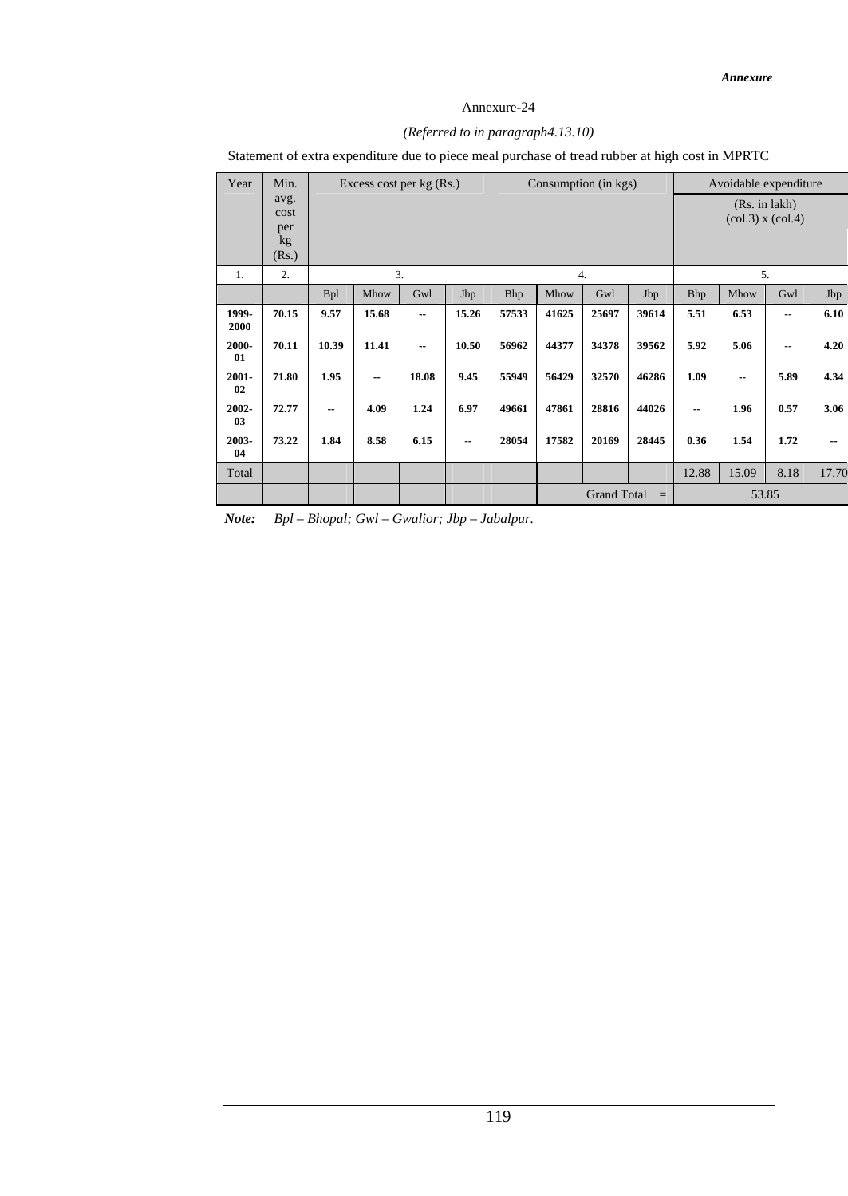## *(Referred to in paragraph4.13.10)*

Statement of extra expenditure due to piece meal purchase of tread rubber at high cost in MPRTC

| Year           | Min.                               | Excess cost per $kg(Rs.)$ |       |                          | Consumption (in kgs)     |            |                                | Avoidable expenditure |       |                                        |       |      |       |
|----------------|------------------------------------|---------------------------|-------|--------------------------|--------------------------|------------|--------------------------------|-----------------------|-------|----------------------------------------|-------|------|-------|
|                | avg.<br>cost<br>per<br>kg<br>(Rs.) |                           |       |                          |                          |            |                                |                       |       | (Rs. in lakh)<br>$(col.3)$ x $(col.4)$ |       |      |       |
| 1.             | 2.                                 | 3.                        |       |                          |                          |            | 4.                             |                       | 5.    |                                        |       |      |       |
|                |                                    | <b>Bpl</b>                | Mhow  | Gwl                      | Jbp                      | <b>Bhp</b> | Mhow                           | Gwl                   | Jbp   | Bhp                                    | Mhow  | Gwl  | Jbp   |
| 1999-<br>2000  | 70.15                              | 9.57                      | 15.68 | $-$                      | 15.26                    | 57533      | 41625                          | 25697                 | 39614 | 5.51                                   | 6.53  | --   | 6.10  |
| 2000-<br>01    | 70.11                              | 10.39                     | 11.41 | $\overline{\phantom{a}}$ | 10.50                    | 56962      | 44377                          | 34378                 | 39562 | 5.92                                   | 5.06  | --   | 4.20  |
| $2001 -$<br>02 | 71.80                              | 1.95                      | $-$   | 18.08                    | 9.45                     | 55949      | 56429                          | 32570                 | 46286 | 1.09                                   | --    | 5.89 | 4.34  |
| 2002-<br>03    | 72.77                              | --                        | 4.09  | 1.24                     | 6.97                     | 49661      | 47861                          | 28816                 | 44026 | $\overline{\phantom{a}}$               | 1.96  | 0.57 | 3.06  |
| 2003-<br>04    | 73.22                              | 1.84                      | 8.58  | 6.15                     | $\overline{\phantom{a}}$ | 28054      | 17582                          | 20169                 | 28445 | 0.36                                   | 1.54  | 1.72 | $- -$ |
| Total          |                                    |                           |       |                          |                          |            |                                |                       |       | 12.88                                  | 15.09 | 8.18 | 17.70 |
|                |                                    |                           |       |                          |                          |            | <b>Grand Total</b><br>$\equiv$ |                       |       |                                        | 53.85 |      |       |

*Note: Bpl – Bhopal; Gwl – Gwalior; Jbp – Jabalpur.*